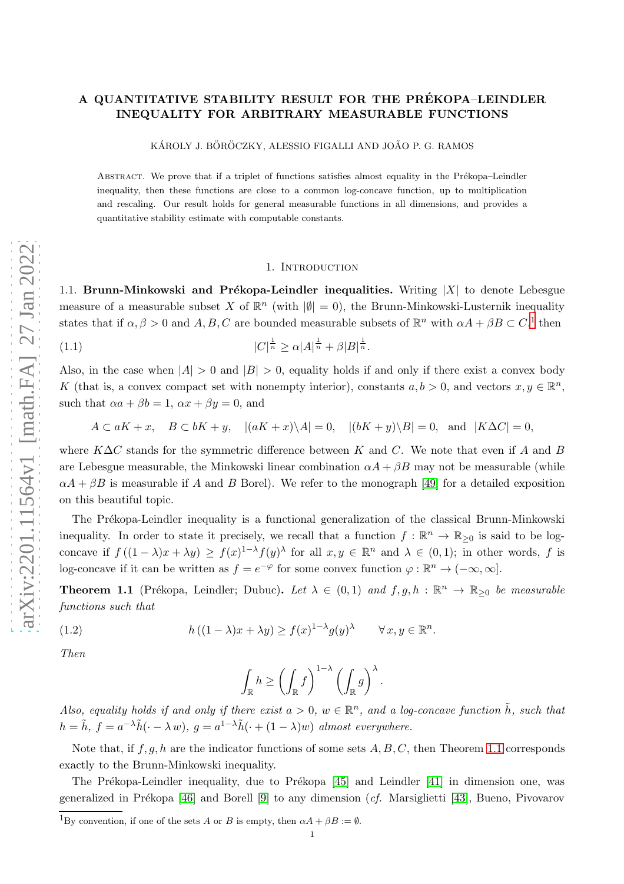## A QUANTITATIVE STABILITY RESULT FOR THE PREKOPA–LEINDLER ´ INEQUALITY FOR ARBITRARY MEASURABLE FUNCTIONS

KÁROLY J. BÖRÖCZKY, ALESSIO FIGALLI AND JOÃO P. G. RAMOS

ABSTRACT. We prove that if a triplet of functions satisfies almost equality in the Prékopa–Leindler inequality, then these functions are close to a common log-concave function, up to multiplication and rescaling. Our result holds for general measurable functions in all dimensions, and provides a quantitative stability estimate with computable constants.

#### 1. INTRODUCTION

1.1. Brunn-Minkowski and Prékopa-Leindler inequalities. Writing  $|X|$  to denote Lebesgue measure of a measurable subset X of  $\mathbb{R}^n$  (with  $|\emptyset|=0$ ), the Brunn-Minkowski-Lusternik inequality states that if  $\alpha, \beta > 0$  and  $A, B, C$  are bounded measurable subsets of  $\mathbb{R}^n$  with  $\alpha A + \beta B \subset C$ ,<sup>[1](#page-0-0)</sup> then

<span id="page-0-2"></span> $|C|$  |  $|C|$  $\frac{1}{n} \ge \alpha |A|^{\frac{1}{n}} + \beta |B|^{\frac{1}{n}}.$ 

Also, in the case when  $|A| > 0$  and  $|B| > 0$ , equality holds if and only if there exist a convex body K (that is, a convex compact set with nonempty interior), constants  $a, b > 0$ , and vectors  $x, y \in \mathbb{R}^n$ , such that  $\alpha a + \beta b = 1$ ,  $\alpha x + \beta y = 0$ , and

$$
A \subset aK + x, \quad B \subset bK + y, \quad |(aK + x)\backslash A| = 0, \quad |(bK + y)\backslash B| = 0, \text{ and } |K\Delta C| = 0,
$$

where  $K\Delta C$  stands for the symmetric difference between K and C. We note that even if A and B are Lebesgue measurable, the Minkowski linear combination  $\alpha A + \beta B$  may not be measurable (while  $\alpha A + \beta B$  is measurable if A and B Borel). We refer to the monograph [\[49\]](#page-36-0) for a detailed exposition on this beautiful topic.

The Prékopa-Leindler inequality is a functional generalization of the classical Brunn-Minkowski inequality. In order to state it precisely, we recall that a function  $f : \mathbb{R}^n \to \mathbb{R}_{\geq 0}$  is said to be logconcave if  $f((1 - \lambda)x + \lambda y) \ge f(x)^{1-\lambda} f(y)^{\lambda}$  for all  $x, y \in \mathbb{R}^n$  and  $\lambda \in (0, 1)$ ; in other words, f is log-concave if it can be written as  $f = e^{-\varphi}$  for some convex function  $\varphi : \mathbb{R}^n \to (-\infty, \infty]$ .

<span id="page-0-1"></span>**Theorem 1.1** (Prékopa, Leindler; Dubuc). Let  $\lambda \in (0,1)$  and  $f, g, h : \mathbb{R}^n \to \mathbb{R}_{\geq 0}$  be measurable functions such that

<span id="page-0-3"></span>(1.2) 
$$
h((1 - \lambda)x + \lambda y) \ge f(x)^{1 - \lambda} g(y)^{\lambda} \quad \forall x, y \in \mathbb{R}^n.
$$

Then

$$
\int_{\mathbb{R}} h \ge \left( \int_{\mathbb{R}} f \right)^{1-\lambda} \left( \int_{\mathbb{R}} g \right)^{\lambda}.
$$

Also, equality holds if and only if there exist  $a > 0$ ,  $w \in \mathbb{R}^n$ , and a log-concave function  $\tilde{h}$ , such that  $h = \tilde{h}$ ,  $f = a^{-\lambda} \tilde{h}(\cdot - \lambda w)$ ,  $g = a^{1-\lambda} \tilde{h}(\cdot + (1 - \lambda)w)$  almost everywhere.

Note that, if  $f, g, h$  are the indicator functions of some sets  $A, B, C$ , then Theorem [1.1](#page-0-1) corresponds exactly to the Brunn-Minkowski inequality.

The Prékopa-Leindler inequality, due to Prékopa  $[45]$  and Leindler  $[41]$  in dimension one, was generalized in Prékopa [\[46\]](#page-36-3) and Borell [\[9\]](#page-35-0) to any dimension  $(cf.$  Marsiglietti [\[43\]](#page-36-4), Bueno, Pivovarov

<span id="page-0-0"></span><sup>&</sup>lt;sup>1</sup>By convention, if one of the sets A or B is empty, then  $\alpha A + \beta B := \emptyset$ .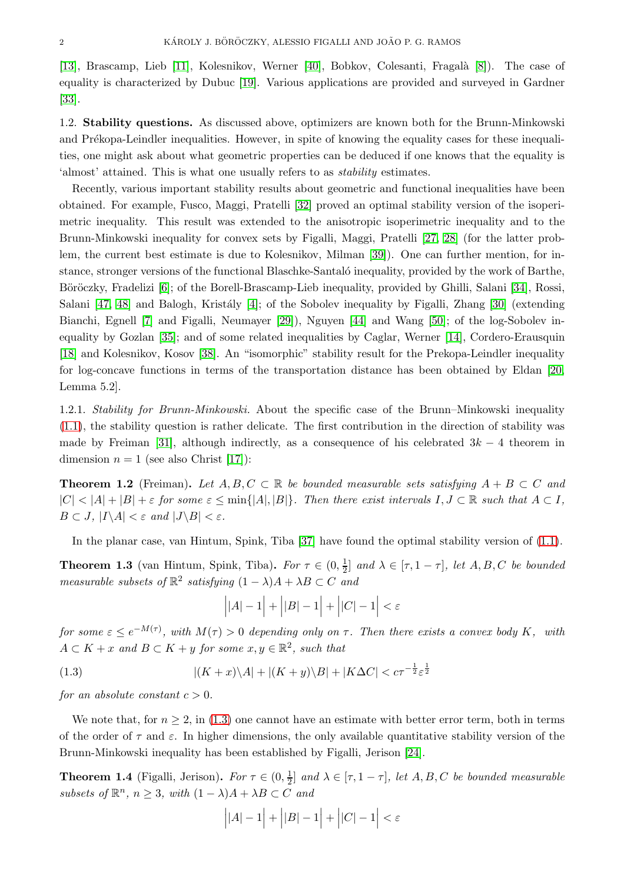[\[13\]](#page-35-1), Brascamp, Lieb [\[11\]](#page-35-2), Kolesnikov, Werner [\[40\]](#page-36-5), Bobkov, Colesanti, Fragalà [\[8\]](#page-35-3)). The case of equality is characterized by Dubuc [\[19\]](#page-35-4). Various applications are provided and surveyed in Gardner [\[33\]](#page-36-6).

1.2. Stability questions. As discussed above, optimizers are known both for the Brunn-Minkowski and Prékopa-Leindler inequalities. However, in spite of knowing the equality cases for these inequalities, one might ask about what geometric properties can be deduced if one knows that the equality is 'almost' attained. This is what one usually refers to as stability estimates.

Recently, various important stability results about geometric and functional inequalities have been obtained. For example, Fusco, Maggi, Pratelli [\[32\]](#page-36-7) proved an optimal stability version of the isoperimetric inequality. This result was extended to the anisotropic isoperimetric inequality and to the Brunn-Minkowski inequality for convex sets by Figalli, Maggi, Pratelli [\[27,](#page-35-5) [28\]](#page-36-8) (for the latter problem, the current best estimate is due to Kolesnikov, Milman [\[39\]](#page-36-9)). One can further mention, for instance, stronger versions of the functional Blaschke-Santaló inequality, provided by the work of Barthe, Böröczky, Fradelizi [\[6\]](#page-35-6); of the Borell-Brascamp-Lieb inequality, provided by Ghilli, Salani [\[34\]](#page-36-10), Rossi, Salani [\[47,](#page-36-11) [48\]](#page-36-12) and Balogh, Kristály [\[4\]](#page-35-7); of the Sobolev inequality by Figalli, Zhang [\[30\]](#page-36-13) (extending Bianchi, Egnell [\[7\]](#page-35-8) and Figalli, Neumayer [\[29\]](#page-36-14)), Nguyen [\[44\]](#page-36-15) and Wang [\[50\]](#page-36-16); of the log-Sobolev inequality by Gozlan [\[35\]](#page-36-17); and of some related inequalities by Caglar, Werner [\[14\]](#page-35-9), Cordero-Erausquin [\[18\]](#page-35-10) and Kolesnikov, Kosov [\[38\]](#page-36-18). An "isomorphic" stability result for the Prekopa-Leindler inequality for log-concave functions in terms of the transportation distance has been obtained by Eldan [\[20,](#page-35-11) Lemma 5.2].

1.2.1. Stability for Brunn-Minkowski. About the specific case of the Brunn–Minkowski inequality [\(1.1\)](#page-0-2), the stability question is rather delicate. The first contribution in the direction of stability was made by Freiman [\[31\]](#page-36-19), although indirectly, as a consequence of his celebrated  $3k - 4$  theorem in dimension  $n = 1$  (see also Christ [\[17\]](#page-35-12)):

<span id="page-1-2"></span>**Theorem 1.2** (Freiman). Let  $A, B, C \subset \mathbb{R}$  be bounded measurable sets satisfying  $A + B \subset C$  and  $|C| < |A| + |B| + \varepsilon$  for some  $\varepsilon \le \min\{|A|, |B|\}$ . Then there exist intervals  $I, J \subset \mathbb{R}$  such that  $A \subset I$ ,  $B \subset J$ ,  $|I \backslash A| < \varepsilon$  and  $|J \backslash B| < \varepsilon$ .

In the planar case, van Hintum, Spink, Tiba [\[37\]](#page-36-20) have found the optimal stability version of [\(1.1\)](#page-0-2).

**Theorem 1.3** (van Hintum, Spink, Tiba). For  $\tau \in (0, \frac{1}{2})$  $\frac{1}{2}$  and  $\lambda \in [\tau, 1-\tau]$ , let  $A, B, C$  be bounded measurable subsets of  $\mathbb{R}^2$  satisfying  $(1 - \lambda)A + \lambda B \subset C$  and

$$
\Big| |A|-1 \Big| + \Big| |B|-1 \Big| + \Big| |C|-1 \Big| < \varepsilon
$$

for some  $\varepsilon \le e^{-M(\tau)}$ , with  $M(\tau) > 0$  depending only on  $\tau$ . Then there exists a convex body K, with  $A \subset K + x$  and  $B \subset K + y$  for some  $x, y \in \mathbb{R}^2$ , such that

<span id="page-1-0"></span>(1.3) 
$$
|(K+x)\backslash A|+|(K+y)\backslash B|+|K\Delta C|
$$

for an absolute constant  $c > 0$ .

We note that, for  $n \geq 2$ , in [\(1.3\)](#page-1-0) one cannot have an estimate with better error term, both in terms of the order of  $\tau$  and  $\varepsilon$ . In higher dimensions, the only available quantitative stability version of the Brunn-Minkowski inequality has been established by Figalli, Jerison [\[24\]](#page-35-13).

<span id="page-1-1"></span>**Theorem 1.4** (Figalli, Jerison). For  $\tau \in (0, \frac{1}{2})$  $\frac{1}{2}$  and  $\lambda \in [\tau, 1-\tau]$ , let  $A, B, C$  be bounded measurable subsets of  $\mathbb{R}^n$ ,  $n \geq 3$ , with  $(1 - \lambda)A + \lambda B \subset C$  and

$$
\Big| |A|-1 \Big| + \Big| |B|-1 \Big| + \Big| |C|-1 \Big| < \varepsilon
$$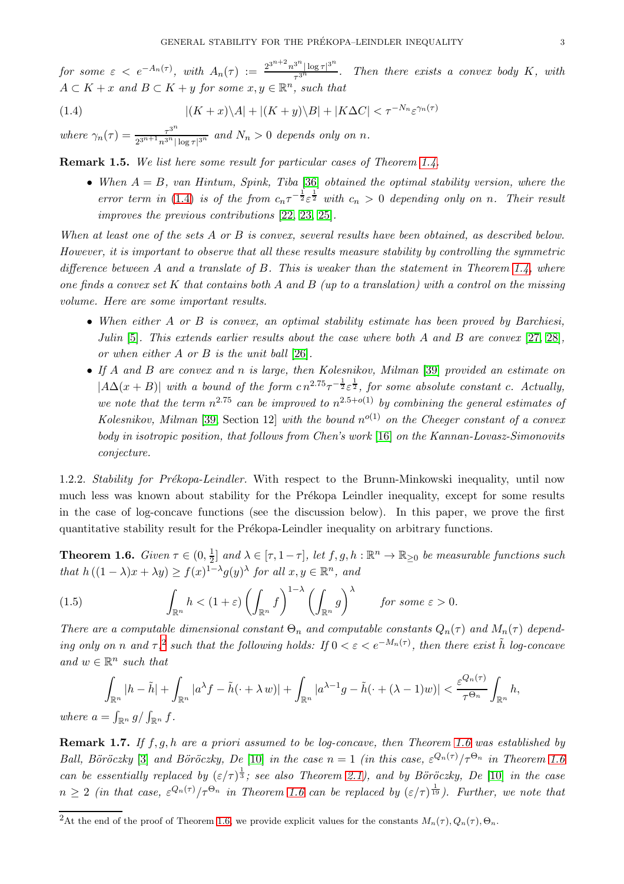for some  $\varepsilon \, <\, e^{-A_n(\tau)}$ , with  $A_n(\tau) := \frac{2^{3^{n+2}} n^{3^n} |\log \tau|^{3^n}}{\tau^{3^n}}$  $\frac{\tau_{\text{max}}}{\tau_{3n}}$ . Then there exists a convex body K, with  $A \subset K + x$  and  $B \subset K + y$  for some  $x, y \in \mathbb{R}^n$ , such that

<span id="page-2-0"></span>(1.4) 
$$
|(K+x)\backslash A|+|(K+y)\backslash B|+|K\Delta C|<\tau^{-N_n}\varepsilon^{\gamma_n(\tau)}
$$

where  $\gamma_n(\tau) = \frac{\tau^{3^n}}{2^{3^n+1} n^{3^n}}$  $\frac{\tau^{\circ}}{2^{3^{n+1}}n^{3^{n}}|\log \tau|^{3^{n}}}$  and  $N_{n} > 0$  depends only on n.

Remark 1.5. We list here some result for particular cases of Theorem [1.4.](#page-1-1)

• When  $A = B$ , van Hintum, Spink, Tiba [\[36\]](#page-36-21) obtained the optimal stability version, where the error term in [\(1.4\)](#page-2-0) is of the from  $c_n \tau^{-\frac{1}{2}} \varepsilon^{\frac{1}{2}}$  with  $c_n > 0$  depending only on n. Their result improves the previous contributions [\[22,](#page-35-14) [23,](#page-35-15) [25\]](#page-35-16).

When at least one of the sets A or B is convex, several results have been obtained, as described below. However, it is important to observe that all these results measure stability by controlling the symmetric difference between A and a translate of B. This is weaker than the statement in Theorem [1.4,](#page-1-1) where one finds a convex set K that contains both A and B (up to a translation) with a control on the missing volume. Here are some important results.

- When either A or B is convex, an optimal stability estimate has been proved by Barchiesi, Julin  $[5]$ . This extends earlier results about the case where both A and B are convex  $[27, 28]$  $[27, 28]$ , or when either A or B is the unit ball [\[26\]](#page-35-18).
- If A and B are convex and n is large, then Kolesnikov, Milman [\[39\]](#page-36-9) provided an estimate on  $|A\Delta(x+B)|$  with a bound of the form  $cn^{2.75}\tau^{-\frac{1}{2}}\varepsilon^{\frac{1}{2}}$ , for some absolute constant c. Actually, we note that the term  $n^{2.75}$  can be improved to  $n^{2.5+o(1)}$  by combining the general estimates of Kolesnikov, Milman [\[39,](#page-36-9) Section 12] with the bound  $n^{o(1)}$  on the Cheeger constant of a convex body in isotropic position, that follows from Chen's work [\[16\]](#page-35-19) on the Kannan-Lovasz-Simonovits conjecture.

1.2.2. Stability for Prékopa-Leindler. With respect to the Brunn-Minkowski inequality, until now much less was known about stability for the Prékopa Leindler inequality, except for some results in the case of log-concave functions (see the discussion below). In this paper, we prove the first quantitative stability result for the Prékopa-Leindler inequality on arbitrary functions.

<span id="page-2-2"></span>**Theorem 1.6.** Given  $\tau \in (0, \frac{1}{2})$  $\frac{1}{2}$  and  $\lambda \in [\tau, 1-\tau]$ , let  $f, g, h : \mathbb{R}^n \to \mathbb{R}_{\geq 0}$  be measurable functions such that  $h((1 - \lambda)x + \lambda y) \ge f(x)^{1-\lambda}g(y)^{\lambda}$  for all  $x, y \in \mathbb{R}^n$ , and

<span id="page-2-3"></span>(1.5) 
$$
\int_{\mathbb{R}^n} h < (1+\varepsilon) \left( \int_{\mathbb{R}^n} f \right)^{1-\lambda} \left( \int_{\mathbb{R}^n} g \right)^{\lambda} \quad \text{for some } \varepsilon > 0.
$$

There are a computable dimensional constant  $\Theta_n$  and computable constants  $Q_n(\tau)$  and  $M_n(\tau)$  depending only on n and  $\tau$ ,<sup>[2](#page-2-1)</sup> such that the following holds: If  $0 < \varepsilon < e^{-M_n(\tau)}$ , then there exist  $\tilde{h}$  log-concave and  $w \in \mathbb{R}^n$  such that

$$
\int_{\mathbb{R}^n} |h - \tilde{h}| + \int_{\mathbb{R}^n} |a^{\lambda} f - \tilde{h}(\cdot + \lambda w)| + \int_{\mathbb{R}^n} |a^{\lambda - 1} g - \tilde{h}(\cdot + (\lambda - 1)w)| < \frac{\varepsilon^{Q_n(\tau)}}{\tau^{\Theta_n}} \int_{\mathbb{R}^n} h,
$$

where  $a = \int_{\mathbb{R}^n} g / \int_{\mathbb{R}^n} f$ .

**Remark 1.7.** If  $f, g, h$  are a priori assumed to be log-concave, then Theorem [1.6](#page-2-2) was established by Ball, Böröczky [\[3\]](#page-35-20) and Böröczky, De [\[10\]](#page-35-21) in the case  $n=1$  (in this case,  $\varepsilon^{Q_n(\tau)}/\tau^{\Theta_n}$  in Theorem [1.6](#page-2-2) can be essentially replaced by  $(\varepsilon/\tau)^{\frac{1}{3}}$ ; see also Theorem [2.1\)](#page-6-0), and by Böröczky, De [\[10\]](#page-35-21) in the case  $n \geq 2$  (in that case,  $\varepsilon^{Q_n(\tau)}/\tau^{\Theta_n}$  in Theorem [1.6](#page-2-2) can be replaced by  $(\varepsilon/\tau)^{\frac{1}{19}}$ ). Further, we note that

<span id="page-2-1"></span><sup>&</sup>lt;sup>2</sup>At the end of the proof of Theorem [1.6,](#page-2-2) we provide explicit values for the constants  $M_n(\tau), Q_n(\tau), \Theta_n$ .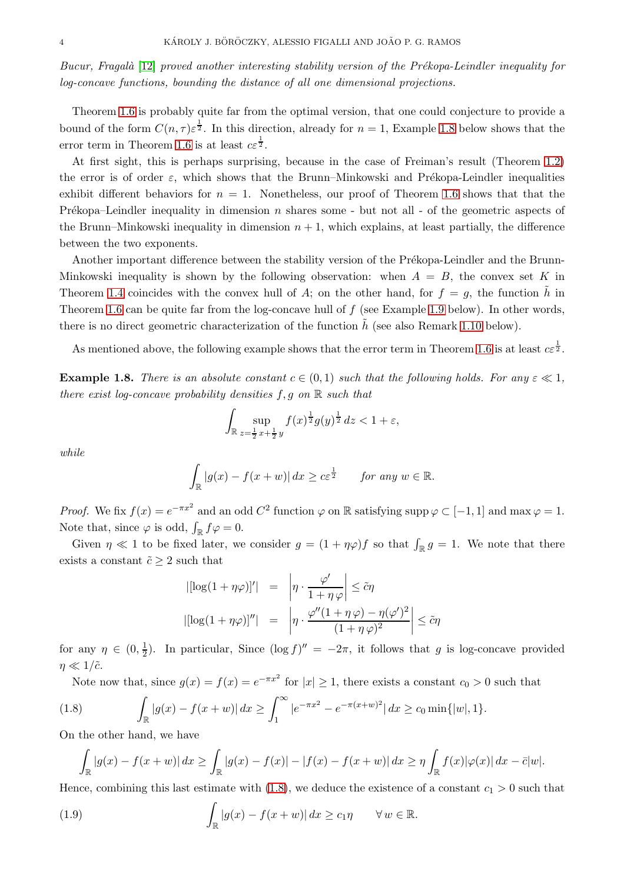Bucur, Fragalà [\[12\]](#page-35-22) proved another interesting stability version of the Prékopa-Leindler inequality for log-concave functions, bounding the distance of all one dimensional projections.

Theorem [1.6](#page-2-2) is probably quite far from the optimal version, that one could conjecture to provide a bound of the form  $C(n, \tau) \varepsilon^{\frac{1}{2}}$ . In this direction, already for  $n = 1$ , Example [1.8](#page-3-0) below shows that the error term in Theorem [1.6](#page-2-2) is at least  $c\epsilon^{\frac{1}{2}}$ .

At first sight, this is perhaps surprising, because in the case of Freiman's result (Theorem [1.2\)](#page-1-2) the error is of order  $\varepsilon$ , which shows that the Brunn–Minkowski and Prékopa-Leindler inequalities exhibit different behaviors for  $n = 1$ . Nonetheless, our proof of Theorem [1.6](#page-2-2) shows that that the Prékopa–Leindler inequality in dimension n shares some - but not all - of the geometric aspects of the Brunn–Minkowski inequality in dimension  $n + 1$ , which explains, at least partially, the difference between the two exponents.

Another important difference between the stability version of the Prékopa-Leindler and the Brunn-Minkowski inequality is shown by the following observation: when  $A = B$ , the convex set K in Theorem [1.4](#page-1-1) coincides with the convex hull of A; on the other hand, for  $f = g$ , the function h in Theorem [1.6](#page-2-2) can be quite far from the log-concave hull of  $f$  (see Example [1.9](#page-4-0) below). In other words, there is no direct geometric characterization of the function  $\hat{h}$  (see also Remark [1.10](#page-4-1) below).

As mentioned above, the following example shows that the error term in Theorem [1.6](#page-2-2) is at least  $c\epsilon^{\frac{1}{2}}$ .

<span id="page-3-0"></span>**Example 1.8.** There is an absolute constant  $c \in (0,1)$  such that the following holds. For any  $\varepsilon \ll 1$ , there exist log-concave probability densities  $f, g$  on  $\mathbb R$  such that

$$
\int_{\mathbb{R}} \sup_{z=\frac{1}{2}x+\frac{1}{2}y} f(x)^{\frac{1}{2}} g(y)^{\frac{1}{2}} dz < 1 + \varepsilon,
$$

while

$$
\int_{\mathbb{R}} |g(x) - f(x + w)| dx \ge c \varepsilon^{\frac{1}{2}} \quad \text{for any } w \in \mathbb{R}.
$$

*Proof.* We fix  $f(x) = e^{-\pi x^2}$  and an odd  $C^2$  function  $\varphi$  on R satisfying supp  $\varphi \subset [-1, 1]$  and max  $\varphi = 1$ . Note that, since  $\varphi$  is odd,  $\int_{\mathbb{R}} f \varphi = 0$ .

Given  $\eta \ll 1$  to be fixed later, we consider  $g = (1 + \eta \varphi) f$  so that  $\int_{\mathbb{R}} g = 1$ . We note that there exists a constant  $\tilde{c} \geq 2$  such that

<span id="page-3-2"></span>
$$
|[\log(1 + \eta \varphi)]'| = \left| \eta \cdot \frac{\varphi'}{1 + \eta \varphi} \right| \leq \tilde{c}\eta
$$

$$
|[\log(1 + \eta \varphi)]''| = \left| \eta \cdot \frac{\varphi''(1 + \eta \varphi) - \eta(\varphi')^2}{(1 + \eta \varphi)^2} \right| \leq \tilde{c}\eta
$$

for any  $\eta \in (0, \frac{1}{2})$  $\frac{1}{2}$ ). In particular, Since  $(\log f)'' = -2\pi$ , it follows that g is log-concave provided  $\eta \ll 1/\tilde{c}$ .

Note now that, since  $g(x) = f(x) = e^{-\pi x^2}$  for  $|x| \ge 1$ , there exists a constant  $c_0 > 0$  such that

<span id="page-3-1"></span>(1.8) 
$$
\int_{\mathbb{R}} |g(x) - f(x+w)| dx \ge \int_{1}^{\infty} |e^{-\pi x^{2}} - e^{-\pi (x+w)^{2}}| dx \ge c_{0} \min\{|w|, 1\}.
$$

On the other hand, we have

$$
\int_{\mathbb{R}} |g(x) - f(x+w)| dx \ge \int_{\mathbb{R}} |g(x) - f(x)| - |f(x) - f(x+w)| dx \ge \eta \int_{\mathbb{R}} f(x) |\varphi(x)| dx - \bar{c}|w|.
$$

Hence, combining this last estimate with [\(1.8\)](#page-3-1), we deduce the existence of a constant  $c_1 > 0$  such that

<span id="page-3-3"></span>(1.9) 
$$
\int_{\mathbb{R}} |g(x) - f(x+w)| dx \ge c_1 \eta \quad \forall w \in \mathbb{R}.
$$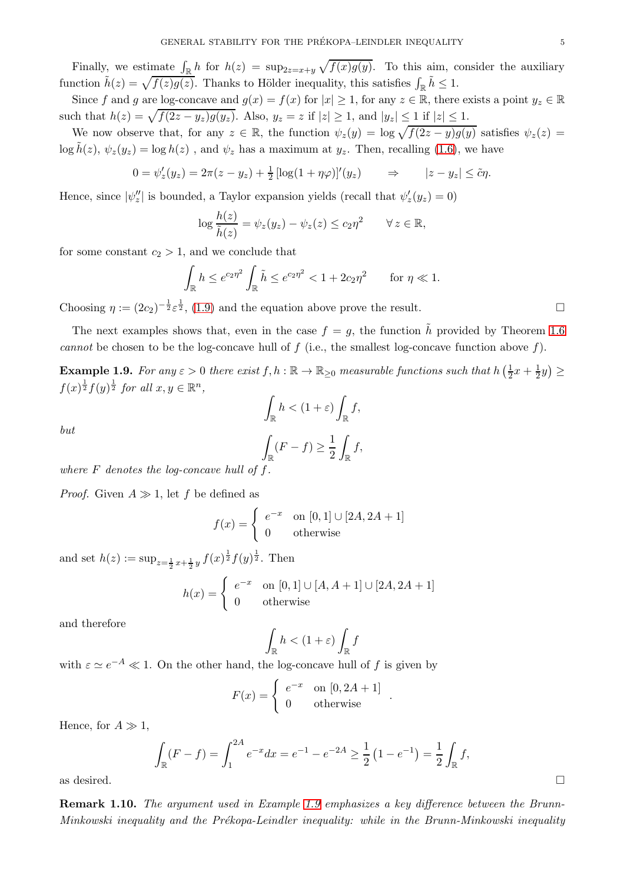Finally, we estimate  $\int_{\mathbb{R}} h$  for  $h(z) = \sup_{z=-x+y} \sqrt{f(x)g(y)}$ . To this aim, consider the auxiliary function  $\tilde{h}(z) = \sqrt{f(z)g(z)}$ . Thanks to Hölder inequality, this satisfies  $\int_{\mathbb{R}} \tilde{h} \leq 1$ .

Since f and g are log-concave and  $g(x) = f(x)$  for  $|x| \ge 1$ , for any  $z \in \mathbb{R}$ , there exists a point  $y_z \in \mathbb{R}$ such that  $h(z) = \sqrt{f(2z - y_z)g(y_z)}$ . Also,  $y_z = z$  if  $|z| \ge 1$ , and  $|y_z| \le 1$  if  $|z| \le 1$ .

We now observe that, for any  $z \in \mathbb{R}$ , the function  $\psi_z(y) = \log \sqrt{f(2z - y)g(y)}$  satisfies  $\psi_z(z) =$  $\log \tilde{h}(z), \psi_z(y_z) = \log h(z)$ , and  $\psi_z$  has a maximum at  $y_z$ . Then, recalling [\(1.6\)](#page-3-2), we have

$$
0 = \psi'_z(y_z) = 2\pi(z - y_z) + \frac{1}{2} [\log(1 + \eta \varphi)]'(y_z) \qquad \Rightarrow \qquad |z - y_z| \leq \tilde{c}\eta.
$$

Hence, since  $|\psi''_z|$  is bounded, a Taylor expansion yields (recall that  $\psi'_z(y_z) = 0$ )

$$
\log \frac{h(z)}{\tilde{h}(z)} = \psi_z(y_z) - \psi_z(z) \leq c_2 \eta^2 \qquad \forall \, z \in \mathbb{R},
$$

for some constant  $c_2 > 1$ , and we conclude that

$$
\int_{\mathbb{R}} h \le e^{c_2 \eta^2} \int_{\mathbb{R}} \tilde{h} \le e^{c_2 \eta^2} < 1 + 2c_2 \eta^2 \quad \text{for } \eta \ll 1.
$$

Choosing  $\eta := (2c_2)^{-\frac{1}{2}} \varepsilon^{\frac{1}{2}}$ , [\(1.9\)](#page-3-3) and the equation above prove the result.

The next examples shows that, even in the case  $f = g$ , the function  $\tilde{h}$  provided by Theorem [1.6](#page-2-2) cannot be chosen to be the log-concave hull of  $f$  (i.e., the smallest log-concave function above  $f$ ).

<span id="page-4-0"></span>**Example 1.9.** For any  $\varepsilon > 0$  there exist  $f, h : \mathbb{R} \to \mathbb{R}_{\geq 0}$  measurable functions such that  $h\left(\frac{1}{2}, h\right)$  $\frac{1}{2}x + \frac{1}{2}y$   $\ge$  $f(x)^{\frac{1}{2}}f(y)^{\frac{1}{2}}$  for all  $x, y \in \mathbb{R}^n$ ,  $\overline{\phantom{a}}$ 

$$
\int_{\mathbb{R}} h < (1 + \varepsilon) \int_{\mathbb{R}} f,
$$
\n
$$
\int_{\mathbb{R}} (F - f) \ge \frac{1}{2} \int_{\mathbb{R}} f,
$$

but

where  $F$  denotes the log-concave hull of  $f$ .

*Proof.* Given  $A \gg 1$ , let f be defined as

$$
f(x) = \begin{cases} e^{-x} & \text{on } [0,1] \cup [2A, 2A+1] \\ 0 & \text{otherwise} \end{cases}
$$

and set  $h(z) := \sup_{z=\frac{1}{2}x+\frac{1}{2}y} f(x)^{\frac{1}{2}} f(y)^{\frac{1}{2}}$ . Then

$$
h(x) = \begin{cases} e^{-x} & \text{on } [0,1] \cup [A, A+1] \cup [2A, 2A+1] \\ 0 & \text{otherwise} \end{cases}
$$

and therefore

$$
\int_{\mathbb{R}} h < (1+\varepsilon) \int_{\mathbb{R}} f
$$

with  $\varepsilon \simeq e^{-A} \ll 1$ . On the other hand, the log-concave hull of f is given by

$$
F(x) = \begin{cases} e^{-x} & \text{on } [0, 2A + 1] \\ 0 & \text{otherwise} \end{cases}
$$

.

Hence, for  $A \gg 1$ ,

$$
\int_{\mathbb{R}} (F - f) = \int_{1}^{2A} e^{-x} dx = e^{-1} - e^{-2A} \ge \frac{1}{2} (1 - e^{-1}) = \frac{1}{2} \int_{\mathbb{R}} f,
$$
 as desired.

<span id="page-4-1"></span>Remark 1.10. The argument used in Example [1.9](#page-4-0) emphasizes a key difference between the Brunn-Minkowski inequality and the Prékopa-Leindler inequality: while in the Brunn-Minkowski inequality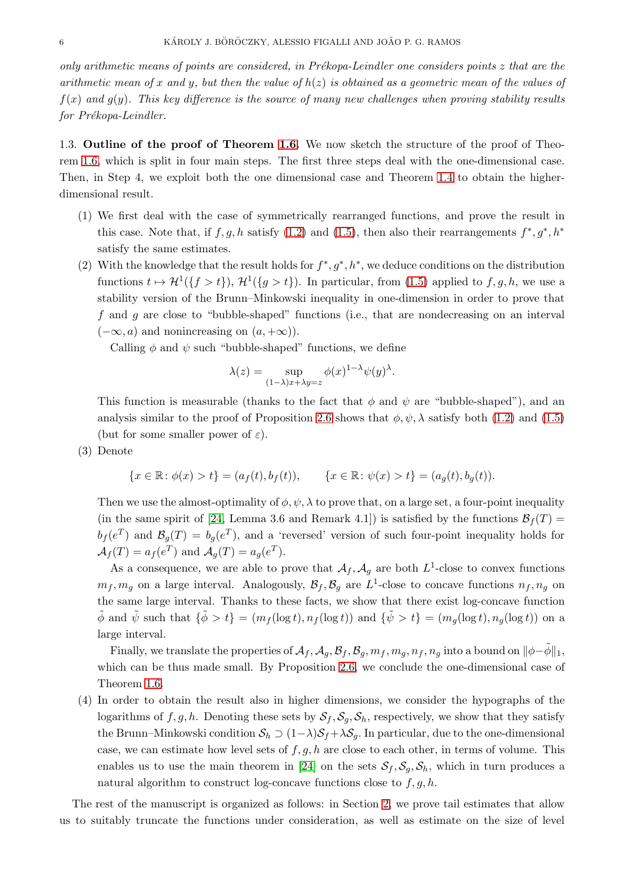only arithmetic means of points are considered, in Prékopa-Leindler one considers points  $z$  that are the arithmetic mean of x and y, but then the value of  $h(z)$  is obtained as a geometric mean of the values of  $f(x)$  and  $g(y)$ . This key difference is the source of many new challenges when proving stability results  $for Pr\acute{e}kopa-Leindler.$ 

1.3. Outline of the proof of Theorem [1.6.](#page-2-2) We now sketch the structure of the proof of Theorem [1.6,](#page-2-2) which is split in four main steps. The first three steps deal with the one-dimensional case. Then, in Step 4, we exploit both the one dimensional case and Theorem [1.4](#page-1-1) to obtain the higherdimensional result.

- (1) We first deal with the case of symmetrically rearranged functions, and prove the result in this case. Note that, if  $f, g, h$  satisfy  $(1.2)$  and  $(1.5)$ , then also their rearrangements  $f^*, g^*, h^*$ satisfy the same estimates.
- (2) With the knowledge that the result holds for  $f^*, g^*, h^*$ , we deduce conditions on the distribution functions  $t \mapsto H^1({f > t})$ ,  $H^1({g > t})$ . In particular, from [\(1.5\)](#page-2-3) applied to  $f, g, h$ , we use a stability version of the Brunn–Minkowski inequality in one-dimension in order to prove that f and g are close to "bubble-shaped" functions (i.e., that are nondecreasing on an interval  $(-\infty, a)$  and nonincreasing on  $(a, +\infty)$ ).

Calling  $\phi$  and  $\psi$  such "bubble-shaped" functions, we define

$$
\lambda(z) = \sup_{(1-\lambda)x + \lambda y = z} \phi(x)^{1-\lambda} \psi(y)^{\lambda}.
$$

This function is measurable (thanks to the fact that  $\phi$  and  $\psi$  are "bubble-shaped"), and an analysis similar to the proof of Proposition [2.6](#page-9-0) shows that  $\phi, \psi, \lambda$  satisfy both [\(1.2\)](#page-0-3) and [\(1.5\)](#page-2-3) (but for some smaller power of  $\varepsilon$ ).

(3) Denote

$$
\{x \in \mathbb{R} \colon \phi(x) > t\} = (a_f(t), b_f(t)), \qquad \{x \in \mathbb{R} \colon \psi(x) > t\} = (a_g(t), b_g(t)).
$$

Then we use the almost-optimality of  $\phi$ ,  $\psi$ ,  $\lambda$  to prove that, on a large set, a four-point inequality (in the same spirit of [\[24,](#page-35-13) Lemma 3.6 and Remark 4.1]) is satisfied by the functions  $\mathcal{B}_f(T)$  $b_f(e^T)$  and  $\mathcal{B}_g(T) = b_g(e^T)$ , and a 'reversed' version of such four-point inequality holds for  $\mathcal{A}_f(T) = a_f(e^T)$  and  $\mathcal{A}_g(T) = a_g(e^T)$ .

As a consequence, we are able to prove that  $A_f$ ,  $A_g$  are both  $L^1$ -close to convex functions  $m_f, m_g$  on a large interval. Analogously,  $\mathcal{B}_f, \mathcal{B}_g$  are  $L^1$ -close to concave functions  $n_f, n_g$  on the same large interval. Thanks to these facts, we show that there exist log-concave function  $\tilde{\phi}$  and  $\tilde{\psi}$  such that  $\{\tilde{\phi} > t\} = (m_f(\log t), n_f(\log t))$  and  $\{\tilde{\psi} > t\} = (m_g(\log t), n_g(\log t))$  on a large interval.

Finally, we translate the properties of  $\mathcal{A}_f$ ,  $\mathcal{A}_q$ ,  $\mathcal{B}_f$ ,  $\mathcal{B}_q$ ,  $m_f$ ,  $m_q$ ,  $n_f$ ,  $n_q$  into a bound on  $\|\phi-\phi\|_1$ , which can be thus made small. By Proposition [2.6,](#page-9-0) we conclude the one-dimensional case of Theorem [1.6.](#page-2-2)

(4) In order to obtain the result also in higher dimensions, we consider the hypographs of the logarithms of f, g, h. Denoting these sets by  $S_f$ ,  $S_g$ ,  $S_h$ , respectively, we show that they satisfy the Brunn–Minkowski condition  $S_h \supset (1-\lambda)S_f + \lambda S_g$ . In particular, due to the one-dimensional case, we can estimate how level sets of  $f, g, h$  are close to each other, in terms of volume. This enables us to use the main theorem in [\[24\]](#page-35-13) on the sets  $S_f$ ,  $S_g$ ,  $S_h$ , which in turn produces a natural algorithm to construct log-concave functions close to  $f, g, h$ .

The rest of the manuscript is organized as follows: in Section [2,](#page-6-1) we prove tail estimates that allow us to suitably truncate the functions under consideration, as well as estimate on the size of level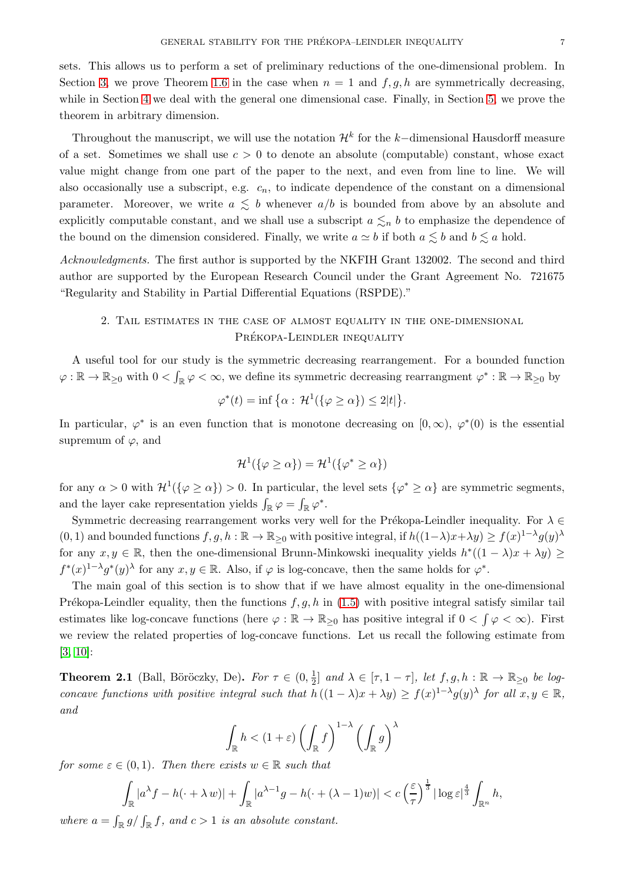sets. This allows us to perform a set of preliminary reductions of the one-dimensional problem. In Section [3,](#page-13-0) we prove Theorem [1.6](#page-2-2) in the case when  $n = 1$  and  $f, g, h$  are symmetrically decreasing, while in Section [4](#page-18-0) we deal with the general one dimensional case. Finally, in Section [5,](#page-25-0) we prove the theorem in arbitrary dimension.

Throughout the manuscript, we will use the notation  $\mathcal{H}^k$  for the k-dimensional Hausdorff measure of a set. Sometimes we shall use  $c > 0$  to denote an absolute (computable) constant, whose exact value might change from one part of the paper to the next, and even from line to line. We will also occasionally use a subscript, e.g.  $c_n$ , to indicate dependence of the constant on a dimensional parameter. Moreover, we write  $a \leq b$  whenever  $a/b$  is bounded from above by an absolute and explicitly computable constant, and we shall use a subscript  $a \leq_n b$  to emphasize the dependence of the bound on the dimension considered. Finally, we write  $a \simeq b$  if both  $a \lesssim b$  and  $b \lesssim a$  hold.

<span id="page-6-1"></span>Acknowledgments. The first author is supported by the NKFIH Grant 132002. The second and third author are supported by the European Research Council under the Grant Agreement No. 721675 "Regularity and Stability in Partial Differential Equations (RSPDE)."

# 2. Tail estimates in the case of almost equality in the one-dimensional PRÉKOPA-LEINDLER INEQUALITY

A useful tool for our study is the symmetric decreasing rearrangement. For a bounded function  $\varphi : \mathbb{R} \to \mathbb{R}_{\geq 0}$  with  $0 < \int_{\mathbb{R}} \varphi < \infty$ , we define its symmetric decreasing rearrangment  $\varphi^* : \mathbb{R} \to \mathbb{R}_{\geq 0}$  by

$$
\varphi^*(t) = \inf \left\{ \alpha : \, \mathcal{H}^1(\{\varphi \ge \alpha\}) \le 2|t| \right\}.
$$

In particular,  $\varphi^*$  is an even function that is monotone decreasing on  $[0, \infty)$ ,  $\varphi^*(0)$  is the essential supremum of  $\varphi$ , and

$$
\mathcal{H}^1(\{\varphi \ge \alpha\}) = \mathcal{H}^1(\{\varphi^* \ge \alpha\})
$$

for any  $\alpha > 0$  with  $\mathcal{H}^1(\{\varphi \ge \alpha\}) > 0$ . In particular, the level sets  $\{\varphi^* \ge \alpha\}$  are symmetric segments, and the layer cake representation yields  $\int_{\mathbb{R}} \varphi = \int_{\mathbb{R}} \varphi^*$ .

Symmetric decreasing rearrangement works very well for the Prékopa-Leindler inequality. For  $\lambda \in$  $(0, 1)$  and bounded functions  $f, g, h : \mathbb{R} \to \mathbb{R}_{\geq 0}$  with positive integral, if  $h((1 - \lambda)x + \lambda y) \geq f(x)^{1-\lambda}g(y)^{\lambda}$ for any  $x, y \in \mathbb{R}$ , then the one-dimensional Brunn-Minkowski inequality yields  $h^*((1 - \lambda)x + \lambda y) \ge$  $f^*(x)^{1-\lambda}g^*(y)$ <sup>λ</sup> for any  $x, y \in \mathbb{R}$ . Also, if  $\varphi$  is log-concave, then the same holds for  $\varphi^*$ .

The main goal of this section is to show that if we have almost equality in the one-dimensional Prékopa-Leindler equality, then the functions  $f, g, h$  in [\(1.5\)](#page-2-3) with positive integral satisfy similar tail estimates like log-concave functions (here  $\varphi : \mathbb{R} \to \mathbb{R}_{\geq 0}$  has positive integral if  $0 < \int \varphi < \infty$ ). First we review the related properties of log-concave functions. Let us recall the following estimate from [\[3,](#page-35-20) [10\]](#page-35-21):

<span id="page-6-0"></span>**Theorem 2.1** (Ball, Böröczky, De). For  $\tau \in (0, \frac{1}{2})$  $\frac{1}{2}$  and  $\lambda \in [\tau, 1 - \tau]$ , let  $f, g, h : \mathbb{R} \to \mathbb{R}_{\geq 0}$  be logconcave functions with positive integral such that  $h((1 - \lambda)x + \lambda y) \ge f(x)^{1-\lambda} g(y)^{\lambda}$  for all  $x, y \in \mathbb{R}$ , and

$$
\int_{\mathbb{R}} h < (1+\varepsilon) \left( \int_{\mathbb{R}} f \right)^{1-\lambda} \left( \int_{\mathbb{R}} g \right)^{\lambda}
$$

for some  $\varepsilon \in (0,1)$ . Then there exists  $w \in \mathbb{R}$  such that

$$
\int_{\mathbb{R}} |a^{\lambda} f - h(\cdot + \lambda w)| + \int_{\mathbb{R}} |a^{\lambda - 1} g - h(\cdot + (\lambda - 1)w)| < c \left(\frac{\varepsilon}{\tau}\right)^{\frac{1}{3}} |\log \varepsilon|^{\frac{4}{3}} \int_{\mathbb{R}^n} h,
$$

where  $a = \int_{\mathbb{R}} g / \int_{\mathbb{R}} f$ , and  $c > 1$  is an absolute constant.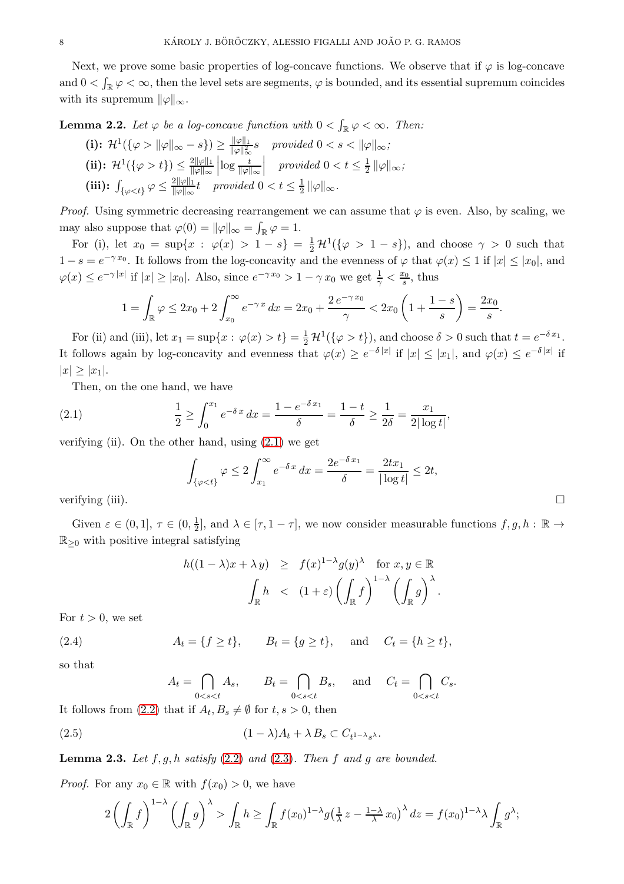Next, we prove some basic properties of log-concave functions. We observe that if  $\varphi$  is log-concave and  $0 < \int_{\mathbb{R}} \varphi < \infty$ , then the level sets are segments,  $\varphi$  is bounded, and its essential supremum coincides with its supremum  $\|\varphi\|_{\infty}$ .

<span id="page-7-5"></span>**Lemma 2.2.** Let  $\varphi$  be a log-concave function with  $0 < \int_{\mathbb{R}} \varphi < \infty$ . Then:

(i): 
$$
\mathcal{H}^1(\{\varphi > \|\varphi\|_{\infty} - s\}) \ge \frac{\|\varphi\|_1}{\|\varphi\|_{\infty}^2} s
$$
 provided  $0 < s < \|\varphi\|_{\infty}$ ;  
\n(ii):  $\mathcal{H}^1(\{\varphi > t\}) \le \frac{2\|\varphi\|_1}{\|\varphi\|_{\infty}} \left| \log \frac{t}{\|\varphi\|_{\infty}} \right|$  provided  $0 < t \le \frac{1}{2} \|\varphi\|_{\infty}$ ;  
\n(iii):  $\int_{\{\varphi < t\}} \varphi \le \frac{2\|\varphi\|_1}{\|\varphi\|_{\infty} t}$  provided  $0 < t \le \frac{1}{2} \|\varphi\|_{\infty}$ .

*Proof.* Using symmetric decreasing rearrangement we can assume that  $\varphi$  is even. Also, by scaling, we may also suppose that  $\varphi(0) = ||\varphi||_{\infty} = \int_{\mathbb{R}} \varphi = 1$ .

For (i), let  $x_0 = \sup\{x : \varphi(x) > 1 - s\} = \frac{1}{2} \mathcal{H}^1(\{\varphi > 1 - s\})$ , and choose  $\gamma > 0$  such that  $1-s=e^{-\gamma x_0}$ . It follows from the log-concavity and the evenness of  $\varphi$  that  $\varphi(x) \leq 1$  if  $|x| \leq |x_0|$ , and  $\varphi(x) \leq e^{-\gamma |x|}$  if  $|x| \geq |x_0|$ . Also, since  $e^{-\gamma x_0} > 1 - \gamma x_0$  we get  $\frac{1}{\gamma} < \frac{x_0}{s}$ , thus

$$
1 = \int_{\mathbb{R}} \varphi \leq 2x_0 + 2 \int_{x_0}^{\infty} e^{-\gamma x} dx = 2x_0 + \frac{2 e^{-\gamma x_0}}{\gamma} < 2x_0 \left( 1 + \frac{1 - s}{s} \right) = \frac{2x_0}{s}.
$$

For (ii) and (iii), let  $x_1 = \sup\{x : \varphi(x) > t\} = \frac{1}{2} \mathcal{H}^1(\{\varphi > t\})$ , and choose  $\delta > 0$  such that  $t = e^{-\delta x_1}$ . It follows again by log-concavity and evenness that  $\varphi(x) \geq e^{-\delta |x|}$  if  $|x| \leq |x_1|$ , and  $\varphi(x) \leq e^{-\delta |x|}$  if  $|x| \geq |x_1|$ .

Then, on the one hand, we have

<span id="page-7-0"></span>(2.1) 
$$
\frac{1}{2} \ge \int_0^{x_1} e^{-\delta x} dx = \frac{1 - e^{-\delta x_1}}{\delta} = \frac{1 - t}{\delta} \ge \frac{1}{2\delta} = \frac{x_1}{2|\log t|},
$$

verifying (ii). On the other hand, using  $(2.1)$  we get

$$
\int_{\{\varphi < t\}} \varphi \le 2 \int_{x_1}^{\infty} e^{-\delta x} dx = \frac{2e^{-\delta x_1}}{\delta} = \frac{2tx_1}{|\log t|} \le 2t,
$$
\n
$$
\text{verifying (iii).} \qquad \Box
$$

Given  $\varepsilon \in (0,1], \tau \in (0,\frac{1}{2})$  $\frac{1}{2}$ , and  $\lambda \in [\tau, 1 - \tau]$ , we now consider measurable functions  $f, g, h : \mathbb{R} \to$  $\mathbb{R}_{\geq 0}$  with positive integral satisfying

<span id="page-7-1"></span>
$$
h((1 - \lambda)x + \lambda y) \geq f(x)^{1 - \lambda} g(y)^{\lambda} \text{ for } x, y \in \mathbb{R}
$$

$$
\int_{\mathbb{R}} h \leq (1 + \varepsilon) \left( \int_{\mathbb{R}} f \right)^{1 - \lambda} \left( \int_{\mathbb{R}} g \right)^{\lambda}.
$$

For  $t > 0$ , we set

<span id="page-7-3"></span>(2.4) 
$$
A_t = \{f \ge t\}, \qquad B_t = \{g \ge t\}, \qquad \text{and} \qquad C_t = \{h \ge t\},
$$

so that

$$
A_t = \bigcap_{0 < s < t} A_s, \qquad B_t = \bigcap_{0 < s < t} B_s, \quad \text{ and } \quad C_t = \bigcap_{0 < s < t} C_s.
$$

It follows from [\(2.2\)](#page-7-1) that if  $A_t, B_s \neq \emptyset$  for  $t, s > 0$ , then

<span id="page-7-4"></span>(2.5) 
$$
(1 - \lambda)A_t + \lambda B_s \subset C_{t^{1-\lambda}s^{\lambda}}.
$$

<span id="page-7-2"></span>**Lemma 2.3.** Let  $f, g, h$  satisfy  $(2.2)$  and  $(2.3)$ . Then  $f$  and  $g$  are bounded.

*Proof.* For any  $x_0 \in \mathbb{R}$  with  $f(x_0) > 0$ , we have

$$
2\left(\int_{\mathbb{R}}f\right)^{1-\lambda}\left(\int_{\mathbb{R}}g\right)^{\lambda} > \int_{\mathbb{R}}h \ge \int_{\mathbb{R}}f(x_0)^{1-\lambda}g\left(\frac{1}{\lambda}z - \frac{1-\lambda}{\lambda}x_0\right)^{\lambda}dz = f(x_0)^{1-\lambda}\lambda\int_{\mathbb{R}}g^{\lambda};
$$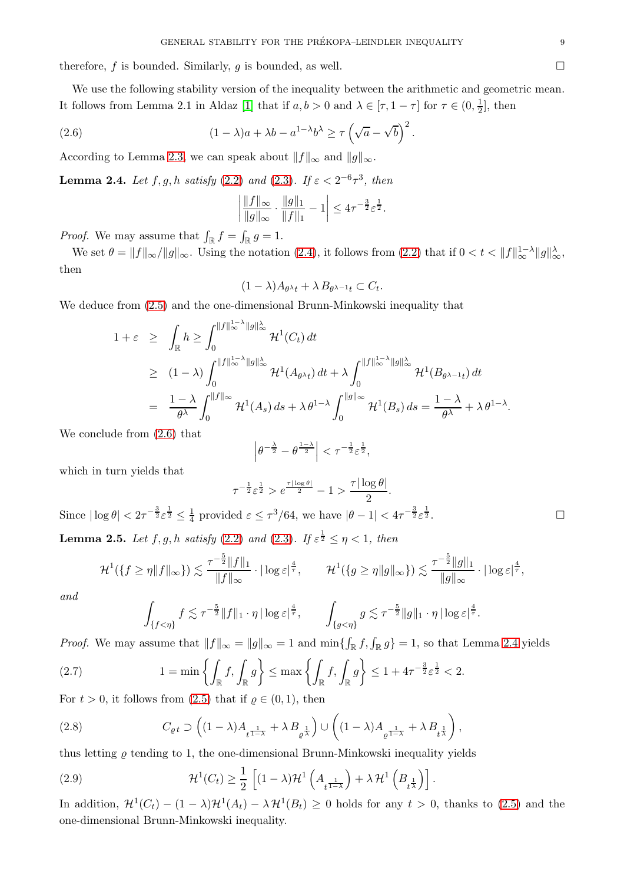therefore, f is bounded. Similarly, g is bounded, as well.

We use the following stability version of the inequality between the arithmetic and geometric mean. It follows from Lemma 2.1 in Aldaz [\[1\]](#page-35-23) that if  $a, b > 0$  and  $\lambda \in [\tau, 1 - \tau]$  for  $\tau \in (0, \frac{1}{2})$  $\frac{1}{2}$ , then

<span id="page-8-0"></span>(2.6) 
$$
(1 - \lambda)a + \lambda b - a^{1 - \lambda}b^{\lambda} \ge \tau \left(\sqrt{a} - \sqrt{b}\right)^2.
$$

According to Lemma [2.3,](#page-7-2) we can speak about  $||f||_{\infty}$  and  $||g||_{\infty}$ .

<span id="page-8-1"></span>**Lemma 2.4.** Let  $f, g, h$  satisfy [\(2.2\)](#page-7-1) and [\(2.3\)](#page-7-1). If  $\varepsilon < 2^{-6}\tau^3$ , then

$$
\left| \frac{\|f\|_{\infty}}{\|g\|_{\infty}} \cdot \frac{\|g\|_1}{\|f\|_1} - 1 \right| \le 4\tau^{-\frac{3}{2}} \varepsilon^{\frac{1}{2}}.
$$

*Proof.* We may assume that  $\int_{\mathbb{R}} f = \int_{\mathbb{R}} g = 1$ .

We set  $\theta = ||f||_{\infty} / ||g||_{\infty}$ . Using the notation [\(2.4\)](#page-7-3), it follows from [\(2.2\)](#page-7-1) that if  $0 < t < ||f||_{\infty}^{1-\lambda} ||g||_{\infty}^{\lambda}$ , then

$$
(1 - \lambda)A_{\theta^{\lambda}t} + \lambda B_{\theta^{\lambda-1}t} \subset C_t.
$$

We deduce from [\(2.5\)](#page-7-4) and the one-dimensional Brunn-Minkowski inequality that

$$
1 + \varepsilon \ge \int_{\mathbb{R}} h \ge \int_0^{\|f\|_{\infty}^{1-\lambda} \|g\|_{\infty}^{\lambda}} \mathcal{H}^1(C_t) dt
$$
  
\n
$$
\ge (1 - \lambda) \int_0^{\|f\|_{\infty}^{1-\lambda} \|g\|_{\infty}^{\lambda}} \mathcal{H}^1(A_{\theta^{\lambda}t}) dt + \lambda \int_0^{\|f\|_{\infty}^{1-\lambda} \|g\|_{\infty}^{\lambda}} \mathcal{H}^1(B_{\theta^{\lambda-1}t}) dt
$$
  
\n
$$
= \frac{1 - \lambda}{\theta^{\lambda}} \int_0^{\|f\|_{\infty}} \mathcal{H}^1(A_s) ds + \lambda \theta^{1-\lambda} \int_0^{\|g\|_{\infty}} \mathcal{H}^1(B_s) ds = \frac{1 - \lambda}{\theta^{\lambda}} + \lambda \theta^{1-\lambda}.
$$

We conclude from [\(2.6\)](#page-8-0) that

$$
\left|\theta^{-\frac{\lambda}{2}} - \theta^{\frac{1-\lambda}{2}}\right| < \tau^{-\frac{1}{2}} \varepsilon^{\frac{1}{2}},
$$

which in turn yields that

$$
\tau^{-\frac{1}{2}}\varepsilon^{\frac{1}{2}} > e^{\frac{\tau |\log \theta|}{2}} - 1 > \frac{\tau |\log \theta|}{2}.
$$

<span id="page-8-4"></span>Since  $|\log \theta| < 2\tau^{-\frac{3}{2}} \varepsilon^{\frac{1}{2}} \leq \frac{1}{4}$  $\frac{1}{4}$  provided  $\varepsilon \leq \tau^3/64$ , we have  $|\theta - 1| < 4\tau^{-\frac{3}{2}} \varepsilon^{\frac{1}{2}}$  $\frac{1}{2}$ . **Lemma 2.5.** Let  $f, g, h$  satisfy [\(2.2\)](#page-7-1) and [\(2.3\)](#page-7-1). If  $\varepsilon^{\frac{1}{2}} \leq \eta < 1$ , then

$$
\mathcal{H}^{1}(\{f \geq \eta \|f\|_{\infty}\}) \lesssim \frac{\tau^{-\frac{5}{2}} \|f\|_{1}}{\|f\|_{\infty}} \cdot |\log \varepsilon|^{\frac{4}{\tau}}, \qquad \mathcal{H}^{1}(\{g \geq \eta \|g\|_{\infty}\}) \lesssim \frac{\tau^{-\frac{5}{2}} \|g\|_{1}}{\|g\|_{\infty}} \cdot |\log \varepsilon|^{\frac{4}{\tau}},
$$

and

$$
\int_{\{f<\eta\}}f\lesssim \tau^{-\frac{5}{2}}\|f\|_1\cdot \eta\,|\log\varepsilon|^{\frac{4}{\tau}},\qquad \int_{\{g<\eta\}}g\lesssim \tau^{-\frac{5}{2}}\|g\|_1\cdot \eta\,|\log\varepsilon|^{\frac{4}{\tau}}.
$$

*Proof.* We may assume that  $||f||_{\infty} = ||g||_{\infty} = 1$  and  $\min\{\int_{\mathbb{R}} f, \int_{\mathbb{R}} g\} = 1$ , so that Lemma [2.4](#page-8-1) yields

<span id="page-8-2"></span>(2.7) 
$$
1 = \min\left\{\int_{\mathbb{R}} f, \int_{\mathbb{R}} g\right\} \leq \max\left\{\int_{\mathbb{R}} f, \int_{\mathbb{R}} g\right\} \leq 1 + 4\tau^{-\frac{3}{2}} \varepsilon^{\frac{1}{2}} < 2.
$$

For  $t > 0$ , it follows from  $(2.5)$  that if  $\rho \in (0, 1)$ , then

<span id="page-8-5"></span>(2.8) 
$$
C_{\varrho t} \supset \left( (1 - \lambda) A_{t^{\frac{1}{1 - \lambda}}} + \lambda B_{\varrho^{\frac{1}{\lambda}}} \right) \cup \left( (1 - \lambda) A_{\varrho^{\frac{1}{1 - \lambda}}} + \lambda B_{t^{\frac{1}{\lambda}}} \right),
$$

thus letting  $\rho$  tending to 1, the one-dimensional Brunn-Minkowski inequality yields

<span id="page-8-3"></span>(2.9) 
$$
\mathcal{H}^1(C_t) \geq \frac{1}{2} \left[ (1 - \lambda) \mathcal{H}^1 \left( A_{t^{\frac{1}{1-\lambda}}} \right) + \lambda \mathcal{H}^1 \left( B_{t^{\frac{1}{\lambda}}} \right) \right].
$$

In addition,  $\mathcal{H}^1(C_t) - (1 - \lambda)\mathcal{H}^1(A_t) - \lambda \mathcal{H}^1(B_t) \ge 0$  holds for any  $t > 0$ , thanks to [\(2.5\)](#page-7-4) and the one-dimensional Brunn-Minkowski inequality.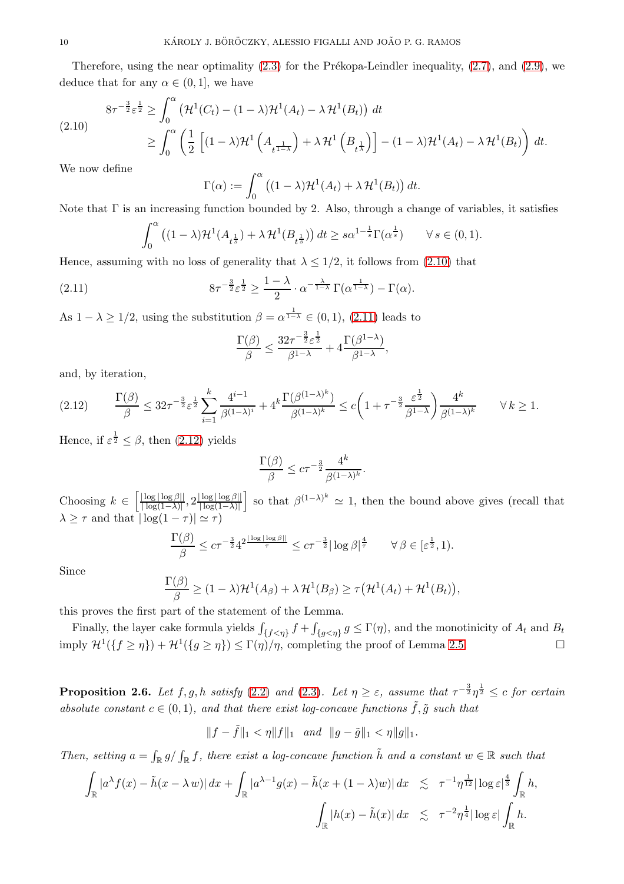Therefore, using the near optimality  $(2.3)$  for the Prékopa-Leindler inequality,  $(2.7)$ , and  $(2.9)$ , we deduce that for any  $\alpha \in (0,1]$ , we have

<span id="page-9-1"></span>
$$
(2.10) \quad 8\tau^{-\frac{3}{2}}\varepsilon^{\frac{1}{2}} \ge \int_0^\alpha \left(\mathcal{H}^1(C_t) - (1-\lambda)\mathcal{H}^1(A_t) - \lambda \mathcal{H}^1(B_t)\right) dt
$$
  

$$
\ge \int_0^\alpha \left(\frac{1}{2}\left[(1-\lambda)\mathcal{H}^1\left(A_{t^{\frac{1}{1-\lambda}}}\right) + \lambda \mathcal{H}^1\left(B_{t^{\frac{1}{\lambda}}}\right)\right] - (1-\lambda)\mathcal{H}^1(A_t) - \lambda \mathcal{H}^1(B_t)\right) dt.
$$

We now define

$$
\Gamma(\alpha) := \int_0^{\alpha} \left( (1 - \lambda) \mathcal{H}^1(A_t) + \lambda \mathcal{H}^1(B_t) \right) dt.
$$

Note that  $\Gamma$  is an increasing function bounded by 2. Also, through a change of variables, it satisfies

$$
\int_0^\alpha \left( (1-\lambda) \mathcal{H}^1(A_{t^{\frac{1}{s}}}) + \lambda \mathcal{H}^1(B_{t^{\frac{1}{s}}}) \right) dt \ge s \alpha^{1-\frac{1}{s}} \Gamma(\alpha^{\frac{1}{s}}) \qquad \forall s \in (0,1).
$$

Hence, assuming with no loss of generality that  $\lambda \leq 1/2$ , it follows from [\(2.10\)](#page-9-1) that

<span id="page-9-2"></span>(2.11) 
$$
8\tau^{-\frac{3}{2}}\varepsilon^{\frac{1}{2}} \geq \frac{1-\lambda}{2} \cdot \alpha^{-\frac{\lambda}{1-\lambda}}\Gamma(\alpha^{\frac{1}{1-\lambda}})-\Gamma(\alpha).
$$

As  $1 - \lambda \ge 1/2$ , using the substitution  $\beta = \alpha^{\frac{1}{1-\lambda}} \in (0,1)$ ,  $(2.11)$  leads to

$$
\frac{\Gamma(\beta)}{\beta} \le \frac{32\tau^{-\frac{3}{2}}\varepsilon^{\frac{1}{2}}}{\beta^{1-\lambda}} + 4\frac{\Gamma(\beta^{1-\lambda})}{\beta^{1-\lambda}},
$$

and, by iteration,

<span id="page-9-3"></span>
$$
(2.12) \qquad \frac{\Gamma(\beta)}{\beta} \leq 32\tau^{-\frac{3}{2}}\varepsilon^{\frac{1}{2}}\sum_{i=1}^{k} \frac{4^{i-1}}{\beta^{(1-\lambda)^{i}}} + 4^{k}\frac{\Gamma(\beta^{(1-\lambda)^{k}})}{\beta^{(1-\lambda)^{k}}} \leq c\left(1 + \tau^{-\frac{3}{2}}\frac{\varepsilon^{\frac{1}{2}}}{\beta^{1-\lambda}}\right)\frac{4^{k}}{\beta^{(1-\lambda)^{k}}} \qquad \forall k \geq 1.
$$

Hence, if  $\varepsilon^{\frac{1}{2}} \leq \beta$ , then [\(2.12\)](#page-9-3) yields

$$
\frac{\Gamma(\beta)}{\beta} \le c\tau^{-\frac{3}{2}} \frac{4^k}{\beta^{(1-\lambda)^k}}.
$$

Choosing  $k \in \left[\frac{|\log|\log\beta||}{|\log(1-\lambda)|}\right]$  $\frac{|\log|\log\beta||}{|\log(1-\lambda)|}, 2\frac{|\log|\log\beta||}{|\log(1-\lambda)|}$  $|\log(1-\lambda)|$ so that  $\beta^{(1-\lambda)^k} \simeq 1$ , then the bound above gives (recall that  $\lambda \geq \tau$  and that  $|\log(1 - \tau)| \simeq \tau$ )

$$
\frac{\Gamma(\beta)}{\beta} \le c\tau^{-\frac{3}{2}} 4^{2\frac{|\log|\log \beta||}{\tau}} \le c\tau^{-\frac{3}{2}}|\log \beta|^{\frac{4}{\tau}} \qquad \forall \beta \in [\varepsilon^{\frac{1}{2}}, 1).
$$

Since

$$
\frac{\Gamma(\beta)}{\beta} \ge (1 - \lambda)\mathcal{H}^1(A_{\beta}) + \lambda \mathcal{H}^1(B_{\beta}) \ge \tau(\mathcal{H}^1(A_t) + \mathcal{H}^1(B_t)),
$$

this proves the first part of the statement of the Lemma.

Finally, the layer cake formula yields  $\int_{\{f < \eta\}} f + \int$  ${f}_{g\lt\eta}$   $g \leq \Gamma(\eta)$ , and the monotinicity of  $A_t$  and  $B_t$ imply  $\mathcal{H}^1({f \geq \eta}) + \mathcal{H}^1({g \geq \eta}) \leq \Gamma(\eta)/\eta$ , completing the proof of Lemma [2.5.](#page-8-4)

<span id="page-9-0"></span>**Proposition 2.6.** Let  $f, g, h$  satisfy [\(2.2\)](#page-7-1) and [\(2.3\)](#page-7-1). Let  $\eta \geq \varepsilon$ , assume that  $\tau^{-\frac{3}{2}} \eta^{\frac{1}{2}} \leq c$  for certain absolute constant  $c \in (0, 1)$ , and that there exist log-concave functions  $\tilde{f}, \tilde{g}$  such that

$$
||f - \tilde{f}||_1 < \eta ||f||_1 \quad and \quad ||g - \tilde{g}||_1 < \eta ||g||_1.
$$

Then, setting  $a = \int_{\mathbb{R}} g / \int_{\mathbb{R}} f$ , there exist a log-concave function  $\tilde{h}$  and a constant  $w \in \mathbb{R}$  such that

$$
\int_{\mathbb{R}} |a^{\lambda} f(x) - \tilde{h}(x - \lambda w)| dx + \int_{\mathbb{R}} |a^{\lambda - 1} g(x) - \tilde{h}(x + (1 - \lambda)w)| dx \leq \tau^{-1} \eta^{\frac{1}{12}} |\log \varepsilon|^{\frac{4}{3}} \int_{\mathbb{R}} h,
$$
  

$$
\int_{\mathbb{R}} |h(x) - \tilde{h}(x)| dx \leq \tau^{-2} \eta^{\frac{1}{4}} |\log \varepsilon| \int_{\mathbb{R}} h.
$$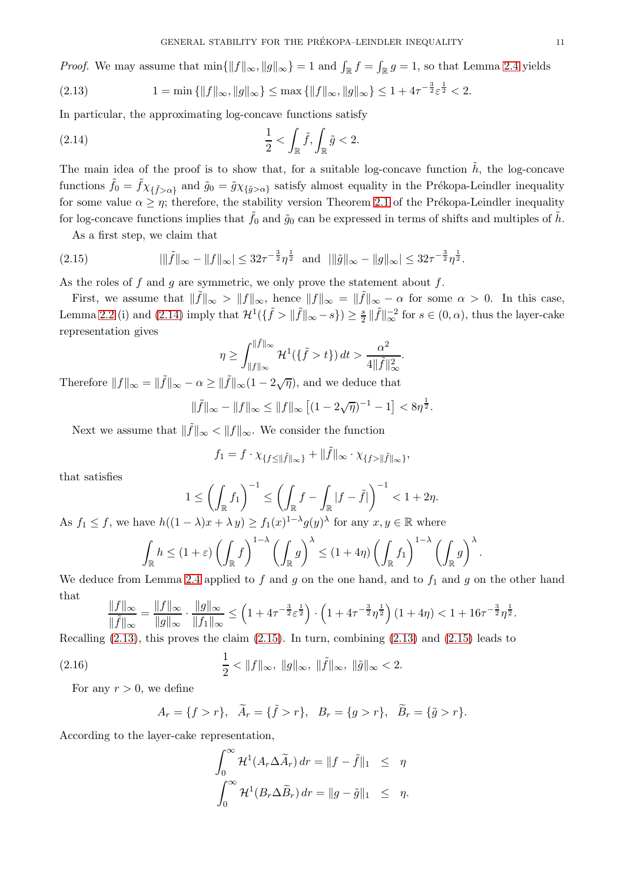*Proof.* We may assume that  $\min\{\|f\|_{\infty}, \|g\|_{\infty}\} = 1$  and  $\int_{\mathbb{R}} f = \int_{\mathbb{R}} g = 1$ , so that Lemma [2.4](#page-8-1) yields

<span id="page-10-1"></span>
$$
(2.13) \t1 = \min\left\{ \|f\|_{\infty}, \|g\|_{\infty} \right\} \le \max\left\{ \|f\|_{\infty}, \|g\|_{\infty} \right\} \le 1 + 4\tau^{-\frac{3}{2}} \varepsilon^{\frac{1}{2}} < 2.
$$

In particular, the approximating log-concave functions satisfy

<span id="page-10-0"></span>(2.14) 
$$
\frac{1}{2} < \int_{\mathbb{R}} \tilde{f}, \int_{\mathbb{R}} \tilde{g} < 2.
$$

The main idea of the proof is to show that, for a suitable log-concave function  $\tilde{h}$ , the log-concave functions  $\tilde{f}_0 = \tilde{f} \chi_{\{\tilde{f} > \alpha\}}$  and  $\tilde{g}_0 = \tilde{g} \chi_{\{\tilde{g} > \alpha\}}$  satisfy almost equality in the Prékopa-Leindler inequality for some value  $\alpha \geq \eta$ ; therefore, the stability version Theorem [2.1](#page-6-0) of the Prékopa-Leindler inequality for log-concave functions implies that  $\tilde{f}_0$  and  $\tilde{g}_0$  can be expressed in terms of shifts and multiples of  $\tilde{h}$ .

As a first step, we claim that

<span id="page-10-2"></span>
$$
(2.15) \t||\tilde{f}||_{\infty} - \|f\|_{\infty}| \leq 32\tau^{-\frac{3}{2}}\eta^{\frac{1}{2}} \text{ and } ||\tilde{g}||_{\infty} - \|g\|_{\infty}| \leq 32\tau^{-\frac{3}{2}}\eta^{\frac{1}{2}}.
$$

As the roles of f and g are symmetric, we only prove the statement about  $f$ .

First, we assume that  $\|\tilde{f}\|_{\infty} > \|f\|_{\infty}$ , hence  $\|f\|_{\infty} = \|\tilde{f}\|_{\infty} - \alpha$  for some  $\alpha > 0$ . In this case, Lemma [2.2](#page-7-5) (i) and [\(2.14\)](#page-10-0) imply that  $\mathcal{H}^1(\{\tilde{f} > ||\tilde{f}||_{\infty} - s\}) \ge \frac{s}{2} ||\tilde{f}||_{\infty}^{-2}$  for  $s \in (0, \alpha)$ , thus the layer-cake representation gives

$$
\eta \ge \int_{\|f\|_{\infty}}^{\|\tilde{f}\|_{\infty}} \mathcal{H}^1(\{\tilde{f} > t\}) dt > \frac{\alpha^2}{4\|\tilde{f}\|_{\infty}^2}.
$$

Therefore  $||f||_{\infty} = ||\tilde{f}||_{\infty} - \alpha \ge ||\tilde{f}||_{\infty} (1 - 2\sqrt{\eta}),$  and we deduce that

$$
\|\tilde{f}\|_{\infty} - \|f\|_{\infty} \le \|f\|_{\infty} \left[ (1 - 2\sqrt{\eta})^{-1} - 1 \right] < 8\eta^{\frac{1}{2}}.
$$

Next we assume that  $\|\tilde{f}\|_{\infty} < \|f\|_{\infty}$ . We consider the function

$$
f_1 = f \cdot \chi_{\{f \le ||\tilde{f}||_{\infty}\}} + ||\tilde{f}||_{\infty} \cdot \chi_{\{f > ||\tilde{f}||_{\infty}\}}
$$

,

.

that satisfies

$$
1 \le \left(\int_{\mathbb{R}} f_1\right)^{-1} \le \left(\int_{\mathbb{R}} f - \int_{\mathbb{R}} |f - \tilde{f}|\right)^{-1} < 1 + 2\eta.
$$
\nAs  $f_1 \le f$ , we have  $h((1 - \lambda)x + \lambda y) \ge f_1(x)^{1 - \lambda} g(y)^{\lambda}$  for any  $x, y \in \mathbb{R}$  where

$$
\int_{\mathbb{R}} h \leq (1+\varepsilon) \left( \int_{\mathbb{R}} f \right)^{1-\lambda} \left( \int_{\mathbb{R}} g \right)^{\lambda} \leq (1+4\eta) \left( \int_{\mathbb{R}} f_1 \right)^{1-\lambda} \left( \int_{\mathbb{R}} g \right)^{\lambda}
$$

We deduce from Lemma [2.4](#page-8-1) applied to f and g on the one hand, and to  $f_1$  and g on the other hand that

$$
\frac{\|f\|_{\infty}}{\|\tilde{f}\|_{\infty}} = \frac{\|f\|_{\infty}}{\|g\|_{\infty}} \cdot \frac{\|g\|_{\infty}}{\|f_1\|_{\infty}} \le \left(1 + 4\tau^{-\frac{3}{2}} \varepsilon^{\frac{1}{2}}\right) \cdot \left(1 + 4\tau^{-\frac{3}{2}} \eta^{\frac{1}{2}}\right) (1 + 4\eta) < 1 + 16\tau^{-\frac{3}{2}} \eta^{\frac{1}{2}}.
$$

Recalling  $(2.13)$ , this proves the claim  $(2.15)$ . In turn, combining  $(2.13)$  and  $(2.15)$  leads to

<span id="page-10-3"></span>(2.16) 
$$
\frac{1}{2} < ||f||_{\infty}, ||g||_{\infty}, ||\tilde{f}||_{\infty}, ||\tilde{g}||_{\infty} < 2.
$$

For any  $r > 0$ , we define

$$
A_r = \{f > r\}, \quad \tilde{A}_r = \{\tilde{f} > r\}, \quad B_r = \{g > r\}, \quad \tilde{B}_r = \{\tilde{g} > r\}.
$$

According to the layer-cake representation,

$$
\int_0^\infty \mathcal{H}^1(A_r \Delta \widetilde{A}_r) dr = ||f - \widetilde{f}||_1 \leq \eta
$$
  

$$
\int_0^\infty \mathcal{H}^1(B_r \Delta \widetilde{B}_r) dr = ||g - \widetilde{g}||_1 \leq \eta.
$$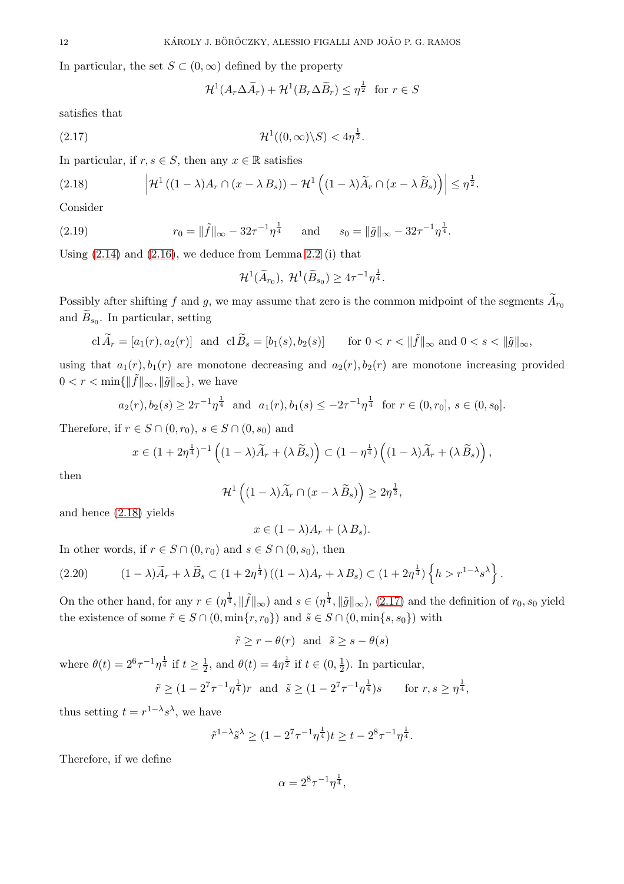In particular, the set  $S \subset (0,\infty)$  defined by the property

$$
\mathcal{H}^1(A_r \Delta \widetilde{A}_r) + \mathcal{H}^1(B_r \Delta \widetilde{B}_r) \le \eta^{\frac{1}{2}} \text{ for } r \in S
$$

satisfies that

<span id="page-11-1"></span>
$$
(2.17) \t\t\t\t\mathcal{H}^1((0,\infty)\backslash S) < 4\eta^{\frac{1}{2}}.
$$

In particular, if  $r, s \in S$ , then any  $x \in \mathbb{R}$  satisfies

<span id="page-11-0"></span>(2.18) 
$$
\left|\mathcal{H}^1((1-\lambda)A_r\cap(x-\lambda B_s))-\mathcal{H}^1((1-\lambda)\widetilde{A}_r\cap(x-\lambda \widetilde{B}_s))\right|\leq \eta^{\frac{1}{2}}.
$$

Consider

<span id="page-11-3"></span>(2.19) 
$$
r_0 = \|\tilde{f}\|_{\infty} - 32\tau^{-1}\eta^{\frac{1}{4}} \quad \text{and} \quad s_0 = \|\tilde{g}\|_{\infty} - 32\tau^{-1}\eta^{\frac{1}{4}}.
$$

Using  $(2.14)$  and  $(2.16)$ , we deduce from Lemma [2.2](#page-7-5) (i) that

$$
\mathcal{H}^1(\widetilde{A}_{r_0}), \ \mathcal{H}^1(\widetilde{B}_{s_0}) \ge 4\tau^{-1}\eta^{\frac{1}{4}}.
$$

Possibly after shifting f and g, we may assume that zero is the common midpoint of the segments  $A_{r_0}$ and  $B_{s_0}$ . In particular, setting

$$
\operatorname{cl} \widetilde{A}_r = [a_1(r), a_2(r)] \quad \text{and} \quad \operatorname{cl} \widetilde{B}_s = [b_1(s), b_2(s)] \qquad \text{for } 0 < r < \|\widetilde{f}\|_{\infty} \text{ and } 0 < s < \|\widetilde{g}\|_{\infty},
$$

using that  $a_1(r)$ ,  $b_1(r)$  are monotone decreasing and  $a_2(r)$ ,  $b_2(r)$  are monotone increasing provided  $0 < r < \min\{\|\tilde{f}\|_{\infty}, \|\tilde{g}\|_{\infty}\},\$  we have

$$
a_2(r), b_2(s) \geq 2\tau^{-1}\eta^{\frac{1}{4}}
$$
 and  $a_1(r), b_1(s) \leq -2\tau^{-1}\eta^{\frac{1}{4}}$  for  $r \in (0, r_0]$ ,  $s \in (0, s_0]$ .

Therefore, if  $r \in S \cap (0, r_0)$ ,  $s \in S \cap (0, s_0)$  and

$$
x\in(1+2\eta^{\frac{1}{4}})^{-1}\left((1-\lambda)\widetilde{A}_r+(\lambda\widetilde{B}_s)\right)\subset(1-\eta^{\frac{1}{4}})\left((1-\lambda)\widetilde{A}_r+(\lambda\widetilde{B}_s)\right),
$$

then

$$
\mathcal{H}^1\left((1-\lambda)\widetilde{A}_r\cap(x-\lambda)\widetilde{B}_s\right)\geq 2\eta^{\frac{1}{2}},
$$

and hence [\(2.18\)](#page-11-0) yields

$$
x\in(1-\lambda)A_r+(\lambda B_s).
$$

In other words, if  $r \in S \cap (0, r_0)$  and  $s \in S \cap (0, s_0)$ , then

<span id="page-11-2"></span>
$$
(2.20) \qquad (1-\lambda)\widetilde{A}_r + \lambda \widetilde{B}_s \subset (1+2\eta^{\frac{1}{4}})((1-\lambda)A_r + \lambda B_s) \subset (1+2\eta^{\frac{1}{4}})\left\{h > r^{1-\lambda}s^{\lambda}\right\}.
$$

On the other hand, for any  $r \in (\eta^{\frac{1}{4}}, \|\tilde{f}\|_{\infty})$  and  $s \in (\eta^{\frac{1}{4}}, \|\tilde{g}\|_{\infty})$ , [\(2.17\)](#page-11-1) and the definition of  $r_0, s_0$  yield the existence of some  $\tilde{r} \in S \cap (0, \min\{r, r_0\})$  and  $\tilde{s} \in S \cap (0, \min\{s, s_0\})$  with

$$
\tilde{r} \ge r - \theta(r)
$$
 and  $\tilde{s} \ge s - \theta(s)$ 

where  $\theta(t) = 2^6 \tau^{-1} \eta^{\frac{1}{4}}$  if  $t \ge \frac{1}{2}$  $\frac{1}{2}$ , and  $\theta(t) = 4\eta^{\frac{1}{2}}$  if  $t \in (0, \frac{1}{2})$  $\frac{1}{2}$ ). In particular,

$$
\tilde{r} \ge (1 - 2^7 \tau^{-1} \eta^{\frac{1}{4}}) r
$$
 and  $\tilde{s} \ge (1 - 2^7 \tau^{-1} \eta^{\frac{1}{4}}) s$  for  $r, s \ge \eta^{\frac{1}{4}}$ ,

thus setting  $t = r^{1-\lambda} s^{\lambda}$ , we have

$$
\tilde{r}^{1-\lambda}\tilde{s}^{\lambda} \ge (1 - 2^7 \tau^{-1} \eta^{\frac{1}{4}})t \ge t - 2^8 \tau^{-1} \eta^{\frac{1}{4}}.
$$

Therefore, if we define

$$
\alpha = 2^8 \tau^{-1} \eta^{\frac{1}{4}},
$$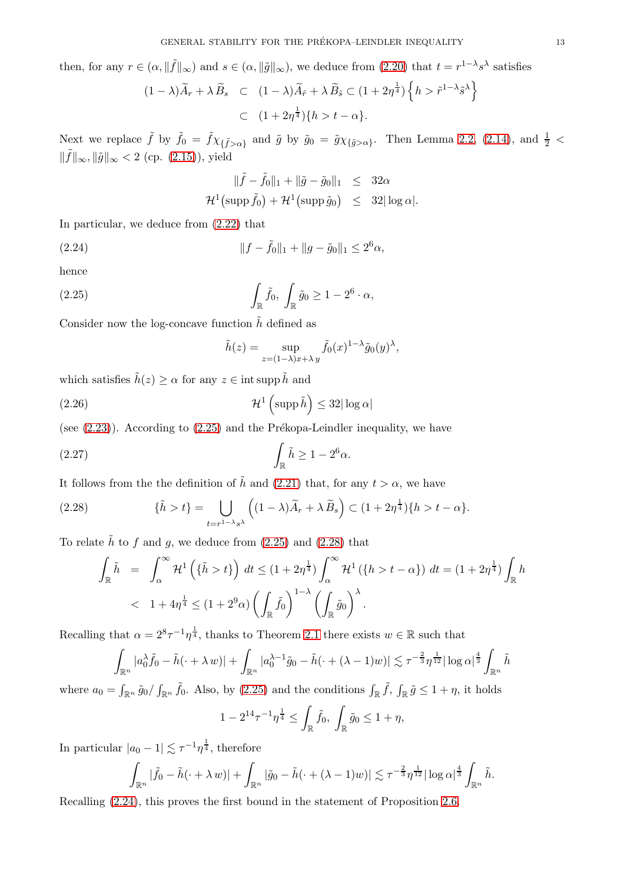then, for any  $r \in (\alpha, \|\tilde{f}\|_{\infty})$  and  $s \in (\alpha, \|\tilde{g}\|_{\infty})$ , we deduce from  $(2.20)$  that  $t = r^{1-\lambda}s^{\lambda}$  satisfies

<span id="page-12-2"></span>
$$
(1 - \lambda)\widetilde{A}_r + \lambda \widetilde{B}_s \quad \subset \quad (1 - \lambda)\widetilde{A}_{\widetilde{r}} + \lambda \widetilde{B}_{\widetilde{s}} \subset (1 + 2\eta^{\frac{1}{4}}) \left\{ h > \widetilde{r}^{1 - \lambda} \widetilde{s}^{\lambda} \right\}
$$
\n
$$
\subset \quad (1 + 2\eta^{\frac{1}{4}}) \{ h > t - \alpha \}.
$$

Next we replace  $\tilde{f}$  by  $\tilde{f}_0 = \tilde{f} \chi_{\{\tilde{f} > \alpha\}}$  and  $\tilde{g}$  by  $\tilde{g}_0 = \tilde{g} \chi_{\{\tilde{g} > \alpha\}}$ . Then Lemma [2.2,](#page-7-5) [\(2.14\)](#page-10-0), and  $\frac{1}{2}$  <  $\|\tilde{f}\|_{\infty}, \|\tilde{g}\|_{\infty} < 2$  (cp. [\(2.15\)](#page-10-2)), yield

<span id="page-12-0"></span>
$$
\|\tilde{f} - \tilde{f}_0\|_1 + \|\tilde{g} - \tilde{g}_0\|_1 \le 32\alpha
$$
  

$$
\mathcal{H}^1(\text{supp}\,\tilde{f}_0) + \mathcal{H}^1(\text{supp}\,\tilde{g}_0) \le 32|\log \alpha|.
$$

In particular, we deduce from [\(2.22\)](#page-12-0) that

<span id="page-12-4"></span>(2.24) 
$$
||f - \tilde{f}_0||_1 + ||g - \tilde{g}_0||_1 \leq 2^6 \alpha,
$$

hence

<span id="page-12-1"></span>(2.25) 
$$
\int_{\mathbb{R}} \tilde{f}_0, \int_{\mathbb{R}} \tilde{g}_0 \ge 1 - 2^6 \cdot \alpha,
$$

Consider now the log-concave function  $\tilde{h}$  defined as

$$
\tilde{h}(z) = \sup_{z = (1-\lambda)x + \lambda y} \tilde{f}_0(x)^{1-\lambda} \tilde{g}_0(y)^{\lambda},
$$

which satisfies  $\tilde{h}(z) \ge \alpha$  for any  $z \in \text{int} \operatorname{supp} \tilde{h}$  and

<span id="page-12-7"></span>(2.26) 
$$
\mathcal{H}^1\left(\mathrm{supp}\,\tilde{h}\right) \leq 32|\log\alpha|
$$

(see  $(2.23)$ ). According to  $(2.25)$  and the Prékopa-Leindler inequality, we have

<span id="page-12-5"></span>(2.27) 
$$
\int_{\mathbb{R}} \tilde{h} \ge 1 - 2^6 \alpha.
$$

It follows from the the definition of  $\tilde{h}$  and [\(2.21\)](#page-12-2) that, for any  $t > \alpha$ , we have

<span id="page-12-3"></span>(2.28) 
$$
\{\tilde{h} > t\} = \bigcup_{t=r^{1-\lambda}s^{\lambda}} \left( (1-\lambda)\tilde{A}_r + \lambda \tilde{B}_s \right) \subset (1+2\eta^{\frac{1}{4}})\{h > t-\alpha\}.
$$

To relate  $\tilde{h}$  to  $f$  and  $g$ , we deduce from [\(2.25\)](#page-12-1) and [\(2.28\)](#page-12-3) that

<span id="page-12-6"></span>
$$
\int_{\mathbb{R}} \tilde{h} = \int_{\alpha}^{\infty} \mathcal{H}^{1} \left( \{\tilde{h} > t\} \right) dt \le (1 + 2\eta^{\frac{1}{4}}) \int_{\alpha}^{\infty} \mathcal{H}^{1} \left( \{h > t - \alpha\} \right) dt = (1 + 2\eta^{\frac{1}{4}}) \int_{\mathbb{R}} h
$$
  

$$
< 1 + 4\eta^{\frac{1}{4}} \le (1 + 2^{9}\alpha) \left( \int_{\mathbb{R}} \tilde{f}_{0} \right)^{1-\lambda} \left( \int_{\mathbb{R}} \tilde{g}_{0} \right)^{\lambda}.
$$

Recalling that  $\alpha = 2^8 \tau^{-1} \eta^{\frac{1}{4}}$ , thanks to Theorem [2.1](#page-6-0) there exists  $w \in \mathbb{R}$  such that

$$
\int_{\mathbb{R}^n} |a_0^{\lambda} \tilde{f}_0 - \tilde{h}(\cdot + \lambda w)| + \int_{\mathbb{R}^n} |a_0^{\lambda - 1} \tilde{g}_0 - \tilde{h}(\cdot + (\lambda - 1)w)| \lesssim \tau^{-\frac{2}{3}} \eta^{\frac{1}{12}} |\log \alpha|^{\frac{4}{3}} \int_{\mathbb{R}^n} \tilde{h}
$$

where  $a_0 = \int_{\mathbb{R}^n} \tilde{g}_0 / \int_{\mathbb{R}^n} \tilde{f}_0$ . Also, by [\(2.25\)](#page-12-1) and the conditions  $\int_{\mathbb{R}} \tilde{f}$ ,  $\int_{\mathbb{R}} \tilde{g} \leq 1 + \eta$ , it holds

$$
1 - 2^{14} \tau^{-1} \eta^{\frac{1}{4}} \le \int_{\mathbb{R}} \tilde{f}_0, \int_{\mathbb{R}} \tilde{g}_0 \le 1 + \eta,
$$

In particular  $|a_0 - 1| \lesssim \tau^{-1} \eta^{\frac{1}{4}},$  therefore

$$
\int_{\mathbb{R}^n} |\tilde{f}_0 - \tilde{h}(\cdot + \lambda w)| + \int_{\mathbb{R}^n} |\tilde{g}_0 - \tilde{h}(\cdot + (\lambda - 1)w)| \lesssim \tau^{-\frac{2}{3}} \eta^{\frac{1}{12}} |\log \alpha|^{\frac{4}{3}} \int_{\mathbb{R}^n} \tilde{h}.
$$

Recalling [\(2.24\)](#page-12-4), this proves the first bound in the statement of Proposition [2.6.](#page-9-0)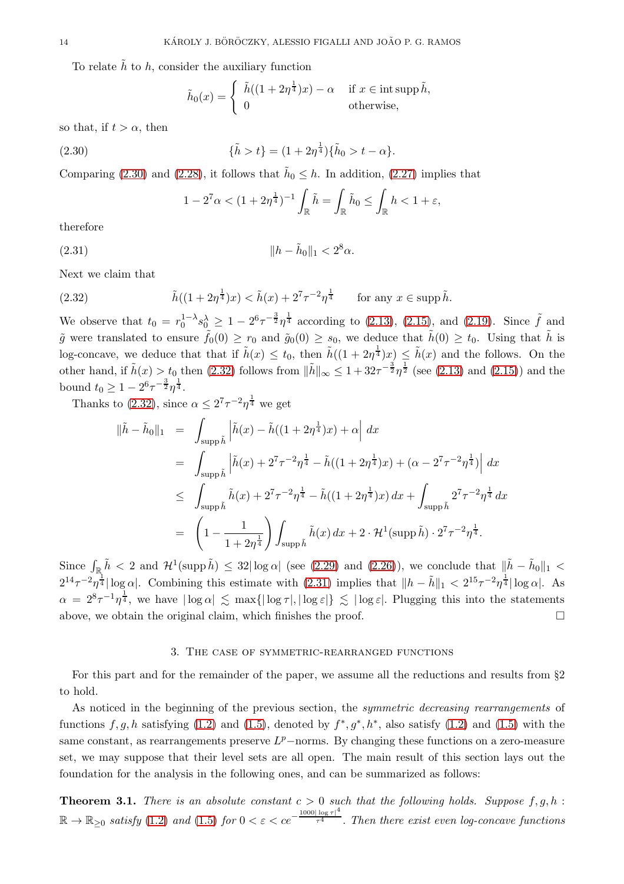To relate  $\tilde{h}$  to h, consider the auxiliary function

$$
\tilde{h}_0(x) = \begin{cases} \n\tilde{h}((1+2\eta^{\frac{1}{4}})x) - \alpha & \text{if } x \in \text{int} \operatorname{supp} \tilde{h}, \\ \n0 & \text{otherwise,} \n\end{cases}
$$

so that, if  $t > \alpha$ , then

<span id="page-13-1"></span>(2.30) 
$$
\{\tilde{h} > t\} = (1 + 2\eta^{\frac{1}{4}})\{\tilde{h}_0 > t - \alpha\}.
$$

Comparing [\(2.30\)](#page-13-1) and [\(2.28\)](#page-12-3), it follows that  $\tilde{h}_0 \leq h$ . In addition, [\(2.27\)](#page-12-5) implies that

$$
1 - 2^7 \alpha < (1 + 2\eta^{\frac{1}{4}})^{-1} \int_{\mathbb{R}} \tilde{h} = \int_{\mathbb{R}} \tilde{h}_0 \le \int_{\mathbb{R}} h < 1 + \varepsilon,
$$

therefore

<span id="page-13-3"></span>(2.31) 
$$
\|h - \tilde{h}_0\|_1 < 2^8 \alpha.
$$

Next we claim that

<span id="page-13-2"></span>(2.32) 
$$
\tilde{h}((1+2\eta^{\frac{1}{4}})x) < \tilde{h}(x) + 2^{7}\tau^{-2}\eta^{\frac{1}{4}} \quad \text{for any } x \in \text{supp }\tilde{h}.
$$

We observe that  $t_0 = r_0^{1-\lambda} s_0^{\lambda} \ge 1 - 2^6 \tau^{-\frac{3}{2}} \eta^{\frac{1}{4}}$  according to [\(2.13\)](#page-10-1), [\(2.15\)](#page-10-2), and [\(2.19\)](#page-11-3). Since  $\tilde{f}$  and  $\tilde{g}$  were translated to ensure  $\tilde{f}_0(0) \ge r_0$  and  $\tilde{g}_0(0) \ge s_0$ , we deduce that  $\tilde{h}(0) \ge t_0$ . Using that  $\tilde{h}$  is log-concave, we deduce that that if  $\tilde{h}(x) \le t_0$ , then  $\tilde{h}((1+2\eta^{\frac{1}{4}})x) \le \tilde{h}(x)$  and the follows. On the other hand, if  $\tilde{h}(x) > t_0$  then [\(2.32\)](#page-13-2) follows from  $\|\tilde{h}\|_{\infty} \leq 1 + 32\tau^{-\frac{3}{2}}\eta^{\frac{1}{2}}$  (see [\(2.13\)](#page-10-1) and [\(2.15\)](#page-10-2)) and the bound  $t_0 \geq 1 - 2^6 \tau^{-\frac{3}{2}} \eta^{\frac{1}{4}}$ .

Thanks to [\(2.32\)](#page-13-2), since  $\alpha \leq 2^7 \tau^{-2} \eta^{\frac{1}{4}}$  we get

$$
\|\tilde{h} - \tilde{h}_0\|_1 = \int_{\text{supp}\,\tilde{h}} \left|\tilde{h}(x) - \tilde{h}((1+2\eta^{\frac{1}{4}})x) + \alpha\right| dx
$$
  
\n
$$
= \int_{\text{supp}\,\tilde{h}} \left|\tilde{h}(x) + 2^7\tau^{-2}\eta^{\frac{1}{4}} - \tilde{h}((1+2\eta^{\frac{1}{4}})x) + (\alpha - 2^7\tau^{-2}\eta^{\frac{1}{4}})\right| dx
$$
  
\n
$$
\leq \int_{\text{supp}\,\tilde{h}} \tilde{h}(x) + 2^7\tau^{-2}\eta^{\frac{1}{4}} - \tilde{h}((1+2\eta^{\frac{1}{4}})x) dx + \int_{\text{supp}\,\tilde{h}} 2^7\tau^{-2}\eta^{\frac{1}{4}} dx
$$
  
\n
$$
= \left(1 - \frac{1}{1+2\eta^{\frac{1}{4}}}\right) \int_{\text{supp}\,\tilde{h}} \tilde{h}(x) dx + 2 \cdot \mathcal{H}^1(\text{supp}\,\tilde{h}) \cdot 2^7\tau^{-2}\eta^{\frac{1}{4}}.
$$

Since  $\int_{\mathbb{R}} \tilde{h} < 2$  and  $\mathcal{H}^1(\text{supp }\tilde{h}) \leq 32|\log \alpha|$  (see [\(2.29\)](#page-12-6) and [\(2.26\)](#page-12-7)), we conclude that  $\|\tilde{h} - \tilde{h}_0\|_1 <$  $2^{14}\tau^{-2}\eta^{\frac{1}{4}}|\log\alpha|$ . Combining this estimate with  $(2.31)$  implies that  $\|h-\tilde{h}\|_1 < 2^{15}\tau^{-2}\eta^{\frac{1}{4}}|\log\alpha|$ . As  $\alpha = 2^8 \tau^{-1} \eta^{\frac{1}{4}}$ , we have  $|\log \alpha| \lesssim \max\{|\log \tau|, |\log \varepsilon|\} \lesssim |\log \varepsilon|$ . Plugging this into the statements above, we obtain the original claim, which finishes the proof.  $\Box$ 

### 3. The case of symmetric-rearranged functions

<span id="page-13-0"></span>For this part and for the remainder of the paper, we assume all the reductions and results from §2 to hold.

As noticed in the beginning of the previous section, the *symmetric decreasing rearrangements* of functions  $f, g, h$  satisfying [\(1.2\)](#page-0-3) and [\(1.5\)](#page-2-3), denoted by  $f^*, g^*, h^*$ , also satisfy (1.2) and (1.5) with the same constant, as rearrangements preserve  $L^p$ -norms. By changing these functions on a zero-measure set, we may suppose that their level sets are all open. The main result of this section lays out the foundation for the analysis in the following ones, and can be summarized as follows:

<span id="page-13-4"></span>**Theorem 3.1.** There is an absolute constant  $c > 0$  such that the following holds. Suppose  $f, q, h$ :  $\mathbb{R} \to \mathbb{R}_{\geq 0}$  satisfy [\(1.2\)](#page-0-3) and [\(1.5\)](#page-2-3) for  $0 < \varepsilon < ce^{-\frac{1000|\log \tau|^4}{\tau^4}}$  $\overline{\tau^4}$ . Then there exist even log-concave functions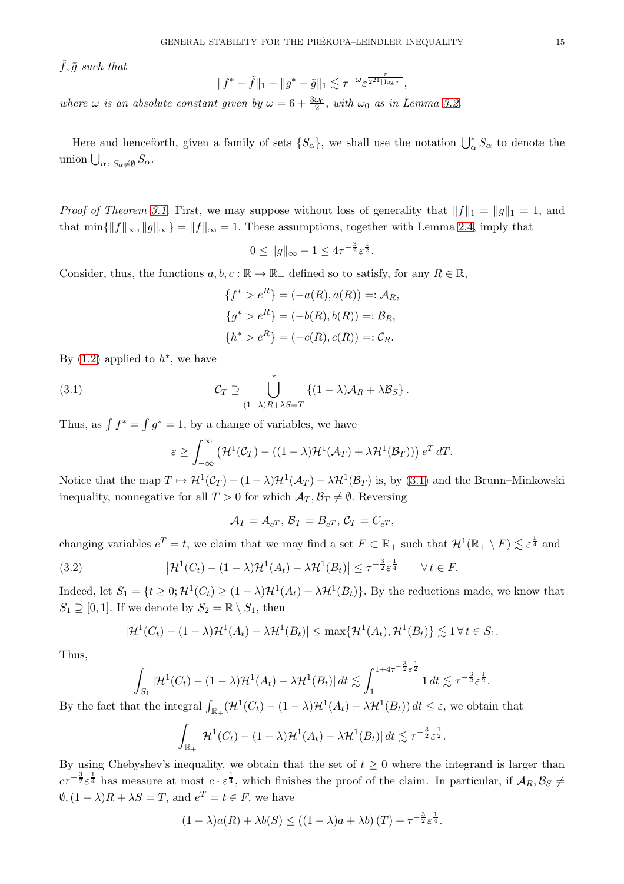$\tilde{f}, \tilde{g}$  such that

 $||f^* - \tilde{f}||_1 + ||g^* - \tilde{g}||_1 \lesssim \tau^{-\omega} \varepsilon^{\frac{\tau}{2^{21}|\log \tau|}},$ 

where  $\omega$  is an absolute constant given by  $\omega = 6 + \frac{3\omega_0}{2}$ , with  $\omega_0$  as in Lemma [3.2.](#page-15-0)

Here and henceforth, given a family of sets  $\{S_{\alpha}\}\$ , we shall use the notation  $\bigcup_{\alpha}^{*} S_{\alpha}$  to denote the union  $\bigcup_{\alpha \colon S_{\alpha} \neq \emptyset} S_{\alpha}$ .

*Proof of Theorem [3.1.](#page-13-4)* First, we may suppose without loss of generality that  $||f||_1 = ||g||_1 = 1$ , and that  $\min\{\|f\|_{\infty}, \|g\|_{\infty}\} = \|f\|_{\infty} = 1$ . These assumptions, together with Lemma [2.4,](#page-8-1) imply that

$$
0 \le \|g\|_{\infty} - 1 \le 4\tau^{-\frac{3}{2}} \varepsilon^{\frac{1}{2}}.
$$

Consider, thus, the functions  $a, b, c : \mathbb{R} \to \mathbb{R}_+$  defined so to satisfy, for any  $R \in \mathbb{R}$ ,

$$
\{f^* > e^R\} = (-a(R), a(R)) =: A_R,
$$
  
\n
$$
\{g^* > e^R\} = (-b(R), b(R)) =: B_R,
$$
  
\n
$$
\{h^* > e^R\} = (-c(R), c(R)) =: C_R.
$$

By  $(1.2)$  applied to  $h^*$ , we have

<span id="page-14-0"></span>(3.1) 
$$
\mathcal{C}_T \supseteq \bigcup_{(1-\lambda)R+\lambda S=T}^* \{ (1-\lambda)\mathcal{A}_R + \lambda \mathcal{B}_S \}.
$$

Thus, as  $\int f^* = \int g^* = 1$ , by a change of variables, we have

$$
\varepsilon \geq \int_{-\infty}^{\infty} \left( \mathcal{H}^1(\mathcal{C}_T) - ((1-\lambda)\mathcal{H}^1(\mathcal{A}_T) + \lambda \mathcal{H}^1(\mathcal{B}_T)) \right) e^T dT.
$$

Notice that the map  $T \mapsto H^1(\mathcal{C}_T) - (1 - \lambda)\mathcal{H}^1(\mathcal{A}_T) - \lambda\mathcal{H}^1(\mathcal{B}_T)$  is, by [\(3.1\)](#page-14-0) and the Brunn–Minkowski inequality, nonnegative for all  $T > 0$  for which  $\mathcal{A}_T, \mathcal{B}_T \neq \emptyset$ . Reversing

$$
\mathcal{A}_T = A_{e^T}, \, \mathcal{B}_T = B_{e^T}, \, \mathcal{C}_T = C_{e^T},
$$

changing variables  $e^T = t$ , we claim that we may find a set  $F \subset \mathbb{R}_+$  such that  $\mathcal{H}^1(\mathbb{R}_+ \setminus F) \lesssim \varepsilon^{\frac{1}{4}}$  and

<span id="page-14-1"></span>(3.2) 
$$
\left|\mathcal{H}^1(C_t) - (1-\lambda)\mathcal{H}^1(A_t) - \lambda \mathcal{H}^1(B_t)\right| \leq \tau^{-\frac{3}{2}} \varepsilon^{\frac{1}{4}} \quad \forall \, t \in F.
$$

Indeed, let  $S_1 = \{t \geq 0; \mathcal{H}^1(C_t) \geq (1 - \lambda)\mathcal{H}^1(A_t) + \lambda \mathcal{H}^1(B_t)\}.$  By the reductions made, we know that  $S_1 \supseteq [0, 1]$ . If we denote by  $S_2 = \mathbb{R} \setminus S_1$ , then

$$
|\mathcal{H}^1(C_t) - (1 - \lambda)\mathcal{H}^1(A_t) - \lambda\mathcal{H}^1(B_t)| \le \max\{\mathcal{H}^1(A_t), \mathcal{H}^1(B_t)\} \lesssim 1 \,\forall \, t \in S_1.
$$

Thus,

$$
\int_{S_1} |\mathcal{H}^1(C_t) - (1-\lambda)\mathcal{H}^1(A_t) - \lambda\mathcal{H}^1(B_t)| dt \lesssim \int_1^{1+4\tau^{-\frac{3}{2}}\varepsilon^{\frac{1}{2}}} 1 dt \lesssim \tau^{-\frac{3}{2}}\varepsilon^{\frac{1}{2}}.
$$

By the fact that the integral  $\int_{\mathbb{R}_+} (\mathcal{H}^1(C_t) - (1 - \lambda)\mathcal{H}^1(A_t) - \lambda\mathcal{H}^1(B_t)) dt \leq \varepsilon$ , we obtain that

$$
\int_{\mathbb{R}_+} |\mathcal{H}^1(C_t) - (1 - \lambda)\mathcal{H}^1(A_t) - \lambda\mathcal{H}^1(B_t)| dt \lesssim \tau^{-\frac{3}{2}} \varepsilon^{\frac{1}{2}}.
$$

By using Chebyshev's inequality, we obtain that the set of  $t \geq 0$  where the integrand is larger than  $c\tau^{-\frac{3}{2}}\varepsilon^{\frac{1}{4}}$  has measure at most  $c \cdot \varepsilon^{\frac{1}{4}}$ , which finishes the proof of the claim. In particular, if  $A_R, B_S \neq$  $\emptyset$ ,  $(1 - \lambda)R + \lambda S = T$ , and  $e^T = t \in F$ , we have

$$
(1 - \lambda)a(R) + \lambda b(S) \le ((1 - \lambda)a + \lambda b)(T) + \tau^{-\frac{3}{2}} \varepsilon^{\frac{1}{4}}.
$$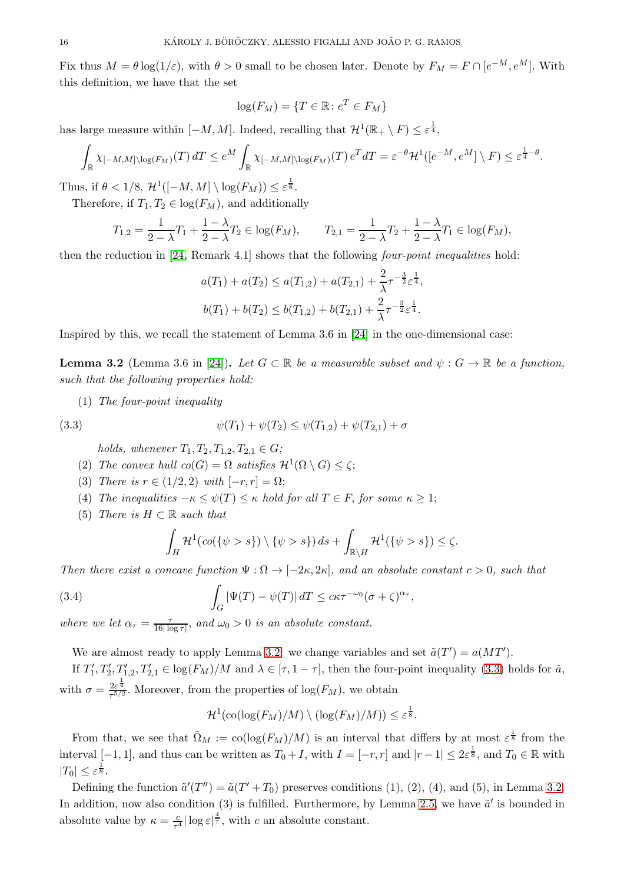Fix thus  $M = \theta \log(1/\varepsilon)$ , with  $\theta > 0$  small to be chosen later. Denote by  $F_M = F \cap [e^{-M}, e^M]$ . With this definition, we have that the set

$$
\log(F_M) = \{ T \in \mathbb{R} \colon e^T \in F_M \}
$$

has large measure within  $[-M, M]$ . Indeed, recalling that  $\mathcal{H}^1(\mathbb{R}_+ \setminus F) \leq \varepsilon^{\frac{1}{4}},$ 

$$
\int_{\mathbb{R}} \chi_{[-M,M] \setminus \log(F_M)}(T) dT \le e^M \int_{\mathbb{R}} \chi_{[-M,M] \setminus \log(F_M)}(T) e^T dT = \varepsilon^{-\theta} \mathcal{H}^1([e^{-M}, e^M] \setminus F) \le \varepsilon^{\frac{1}{4} - \theta}.
$$

Thus, if  $\theta < 1/8$ ,  $\mathcal{H}^1([-M, M] \setminus \log(F_M)) \leq \varepsilon^{\frac{1}{8}}$ .

Therefore, if  $T_1, T_2 \in \log(F_M)$ , and additionally

$$
T_{1,2} = \frac{1}{2 - \lambda} T_1 + \frac{1 - \lambda}{2 - \lambda} T_2 \in \log(F_M), \qquad T_{2,1} = \frac{1}{2 - \lambda} T_2 + \frac{1 - \lambda}{2 - \lambda} T_1 \in \log(F_M),
$$

then the reduction in [\[24,](#page-35-13) Remark 4.1] shows that the following four-point inequalities hold:

$$
a(T_1) + a(T_2) \le a(T_{1,2}) + a(T_{2,1}) + \frac{2}{\lambda} \tau^{-\frac{3}{2}} \varepsilon^{\frac{1}{4}},
$$
  

$$
b(T_1) + b(T_2) \le b(T_{1,2}) + b(T_{2,1}) + \frac{2}{\lambda} \tau^{-\frac{3}{2}} \varepsilon^{\frac{1}{4}}.
$$

Inspired by this, we recall the statement of Lemma 3.6 in [\[24\]](#page-35-13) in the one-dimensional case:

<span id="page-15-0"></span>**Lemma 3.2** (Lemma 3.6 in [\[24\]](#page-35-13)). Let  $G \subset \mathbb{R}$  be a measurable subset and  $\psi : G \to \mathbb{R}$  be a function, such that the following properties hold:

(1) The four-point inequality

<span id="page-15-1"></span>(3.3) 
$$
\psi(T_1) + \psi(T_2) \leq \psi(T_{1,2}) + \psi(T_{2,1}) + \sigma
$$

holds, whenever  $T_1, T_2, T_{1,2}, T_{2,1} \in G$ ;

- (2) The convex hull  $co(G) = \Omega$  satisfies  $\mathcal{H}^1(\Omega \setminus G) \leq \zeta$ ;
- (3) There is  $r \in (1/2, 2)$  with  $[-r, r] = \Omega$ ;
- (4) The inequalities  $-\kappa \leq \psi(T) \leq \kappa$  hold for all  $T \in F$ , for some  $\kappa \geq 1$ ;
- (5) There is  $H \subset \mathbb{R}$  such that

$$
\int_H \mathcal{H}^1(\text{co}(\{\psi>s\}) \setminus \{\psi>s\}) ds + \int_{\mathbb{R}\setminus H} \mathcal{H}^1(\{\psi>s\}) \leq \zeta.
$$

Then there exist a concave function  $\Psi : \Omega \to [-2\kappa, 2\kappa]$ , and an absolute constant  $c > 0$ , such that

<span id="page-15-2"></span>(3.4) 
$$
\int_G |\Psi(T) - \psi(T)| dT \leq c\kappa \tau^{-\omega_0} (\sigma + \zeta)^{\alpha_{\tau}},
$$

where we let  $\alpha_{\tau} = \frac{\tau}{16 \log n}$  $\frac{7}{16|\log \tau|}$ , and  $\omega_0 > 0$  is an absolute constant.

We are almost ready to apply Lemma [3.2:](#page-15-0) we change variables and set  $\tilde{a}(T') = a(MT')$ .

If  $T_1', T_2', T_{1,2}', T_{2,1}' \in \log(F_M)/M$  and  $\lambda \in [\tau, 1 - \tau]$ , then the four-point inequality [\(3.3\)](#page-15-1) holds for  $\tilde{a}$ , with  $\sigma = \frac{2\varepsilon^{\frac{1}{4}}}{\pi^{5/2}}$  $\frac{2\varepsilon^4}{\tau^{5/2}}$ . Moreover, from the properties of  $\log(F_M)$ , we obtain

$$
\mathcal{H}^1(\text{co}(\log(F_M)/M) \setminus (\log(F_M)/M)) \leq \varepsilon^{\frac{1}{8}}.
$$

From that, we see that  $\tilde{\Omega}_M := \text{co}(\log(F_M)/M)$  is an interval that differs by at most  $\varepsilon^{\frac{1}{8}}$  from the interval [-1, 1], and thus can be written as  $T_0 + I$ , with  $I = [-r, r]$  and  $|r - 1| \leq 2\varepsilon^{\frac{1}{8}}$ , and  $T_0 \in \mathbb{R}$  with  $|T_0| \leq \varepsilon^{\frac{1}{8}}.$ 

Defining the function  $\tilde{a}'(T'') = \tilde{a}(T' + T_0)$  preserves conditions (1), (2), (4), and (5), in Lemma [3.2.](#page-15-0) In addition, now also condition (3) is fulfilled. Furthermore, by Lemma [2.5,](#page-8-4) we have  $\tilde{a}'$  is bounded in absolute value by  $\kappa = \frac{c}{\tau^4}$  $\frac{c}{\tau^4}$  log  $\varepsilon$   $\frac{4}{\tau}$ , with c an absolute constant.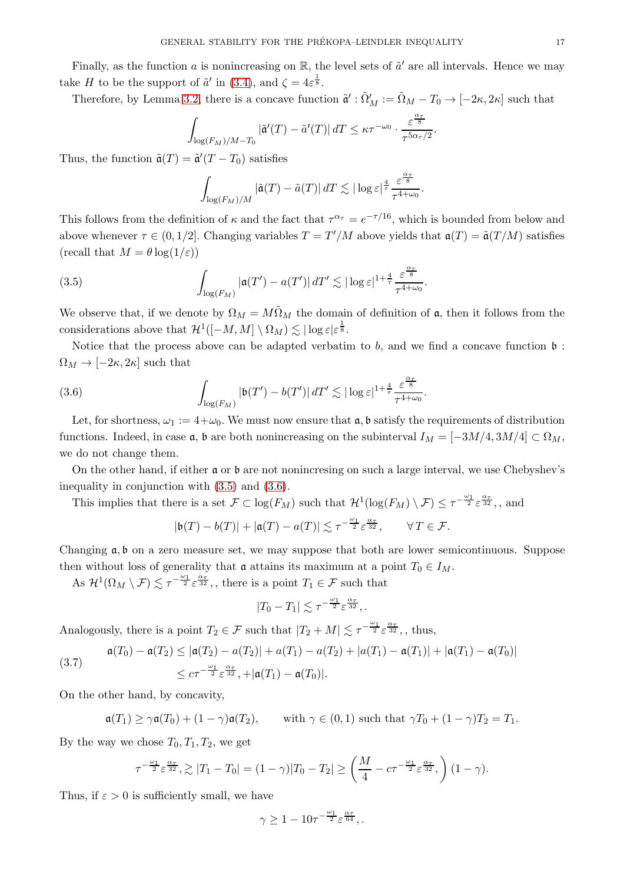Finally, as the function a is nonincreasing on  $\mathbb{R}$ , the level sets of  $\tilde{a}'$  are all intervals. Hence we may take H to be the support of  $\tilde{a}'$  in [\(3.4\)](#page-15-2), and  $\zeta = 4\varepsilon^{\frac{1}{8}}$ .

Therefore, by Lemma [3.2,](#page-15-0) there is a concave function  $\tilde{\mathfrak{a}}' : \tilde{\Omega}'_M := \tilde{\Omega}_M - T_0 \to [-2\kappa, 2\kappa]$  such that

$$
\int_{\log(F_M)/M-T_0} |\tilde{\mathfrak{a}}'(T) - \tilde{a}'(T)| \, dT \leq \kappa \tau^{-\omega_0} \cdot \frac{\varepsilon^{\frac{\alpha_{\tau}}{8}}}{\tau^{5\alpha_{\tau}/2}}.
$$

Thus, the function  $\tilde{\mathfrak{a}}(T) = \tilde{\mathfrak{a}}'(T - T_0)$  satisfies

$$
\int_{\log(F_M)/M} |\tilde{\mathfrak{a}}(T) - \tilde{a}(T)| \, dT \lesssim |\log \varepsilon|^{\frac{4}{\tau}} \frac{\varepsilon^{\frac{\alpha_{\tau}}{8}}}{\tau^{4+\omega_0}}.
$$

This follows from the definition of  $\kappa$  and the fact that  $\tau^{\alpha_{\tau}} = e^{-\tau/16}$ , which is bounded from below and above whenever  $\tau \in (0, 1/2]$ . Changing variables  $T = T'/M$  above yields that  $\mathfrak{a}(T) = \tilde{\mathfrak{a}}(T/M)$  satisfies (recall that  $M = \theta \log(1/\varepsilon)$ )

<span id="page-16-0"></span>(3.5) 
$$
\int_{\log(F_M)} |\mathfrak{a}(T') - a(T')| \, dT' \lesssim |\log \varepsilon|^{1 + \frac{4}{\tau}} \frac{\varepsilon^{\frac{\alpha_{\tau}}{8}}}{\tau^{4 + \omega_0}}
$$

We observe that, if we denote by  $\Omega_M = M\tilde{\Omega}_M$  the domain of definition of a, then it follows from the considerations above that  $\mathcal{H}^1([-M,M] \setminus \Omega_M) \lesssim |\log \varepsilon| \varepsilon^{\frac{1}{8}}.$ 

.

.

Notice that the process above can be adapted verbatim to  $b$ , and we find a concave function  $\mathfrak b$ :  $\Omega_M \to [-2\kappa, 2\kappa]$  such that

<span id="page-16-1"></span>(3.6) 
$$
\int_{\log(F_M)} |\mathfrak{b}(T') - \mathfrak{b}(T')| \, dT' \lesssim |\log \varepsilon|^{1 + \frac{4}{\tau}} \frac{\varepsilon^{\frac{\alpha_{\tau}}{8}}}{\tau^{4 + \omega_0}}
$$

Let, for shortness,  $\omega_1 := 4 + \omega_0$ . We must now ensure that  $\mathfrak{a}$ ,  $\mathfrak{b}$  satisfy the requirements of distribution functions. Indeed, in case  $\mathfrak{a}$ ,  $\mathfrak{b}$  are both nonincreasing on the subinterval  $I_M = [-3M/4, 3M/4] \subset \Omega_M$ , we do not change them.

On the other hand, if either a or b are not nonincresing on such a large interval, we use Chebyshev's inequality in conjunction with [\(3.5\)](#page-16-0) and [\(3.6\)](#page-16-1).

This implies that there is a set  $\mathcal{F} \subset \log(F_M)$  such that  $\mathcal{H}^1(\log(F_M) \setminus \mathcal{F}) \leq \tau^{-\frac{\omega_1}{2}} \varepsilon^{\frac{\alpha \tau}{32}},$ , and

$$
|\mathfrak{b}(T)-\mathfrak{b}(T)|+|\mathfrak{a}(T)-a(T)|\lesssim \tau^{-\frac{\omega_1}{2}}\varepsilon^{\frac{\alpha_{\tau}}{32}},\qquad\forall\,T\in\mathcal{F}.
$$

Changing a, b on a zero measure set, we may suppose that both are lower semicontinuous. Suppose then without loss of generality that  $\mathfrak a$  attains its maximum at a point  $T_0 \in I_M$ .

As  $\mathcal{H}^1(\Omega_M \setminus \mathcal{F}) \lesssim \tau^{-\frac{\omega_1}{2}} \varepsilon^{\frac{\alpha \tau}{32}},$ , there is a point  $T_1 \in \mathcal{F}$  such that

$$
|T_0-T_1|\lesssim \tau^{-\frac{\omega_1}{2}}\varepsilon^{\frac{\alpha\tau}{32}},.
$$

Analogously, there is a point  $T_2 \in \mathcal{F}$  such that  $|T_2 + M| \lesssim \tau^{-\frac{\omega_1}{2}} \varepsilon^{\frac{\alpha_{\tau}}{32}}$ ,, thus,

<span id="page-16-2"></span>(3.7) 
$$
\mathfrak{a}(T_0) - \mathfrak{a}(T_2) \leq |\mathfrak{a}(T_2) - a(T_2)| + a(T_1) - a(T_2) + |a(T_1) - a(T_1)| + |\mathfrak{a}(T_1) - \mathfrak{a}(T_0)|
$$
  

$$
\leq c\tau^{-\frac{\omega_1}{2}} \varepsilon^{\frac{\alpha_7}{32}}, + |\mathfrak{a}(T_1) - \mathfrak{a}(T_0)|.
$$

On the other hand, by concavity,

$$
\mathfrak{a}(T_1) \ge \gamma \mathfrak{a}(T_0) + (1 - \gamma) \mathfrak{a}(T_2), \quad \text{with } \gamma \in (0, 1) \text{ such that } \gamma T_0 + (1 - \gamma)T_2 = T_1.
$$

By the way we chose  $T_0, T_1, T_2$ , we get

$$
\tau^{-\frac{\omega_1}{2}} \varepsilon^{\frac{\alpha_\tau}{32}}, \gtrsim |T_1 - T_0| = (1 - \gamma)|T_0 - T_2| \ge \left(\frac{M}{4} - c\tau^{-\frac{\omega_1}{2}} \varepsilon^{\frac{\alpha_\tau}{32}}, \right) (1 - \gamma).
$$

Thus, if  $\varepsilon > 0$  is sufficiently small, we have

$$
\gamma \geq 1-10\tau^{-\frac{\omega_1}{2}}\varepsilon^{\frac{\alpha_\tau}{64}},.
$$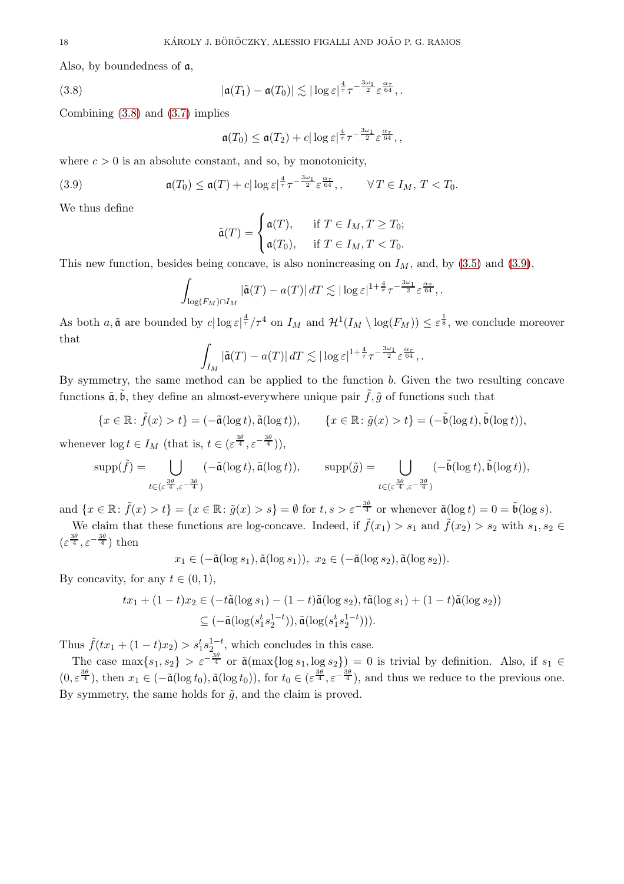Also, by boundedness of a,

<span id="page-17-0"></span>(3.8) 
$$
|\mathfrak{a}(T_1)-\mathfrak{a}(T_0)| \lesssim |\log \varepsilon|^{\frac{4}{\tau}} \tau^{-\frac{3\omega_1}{2}} \varepsilon^{\frac{\alpha \tau}{64}},.
$$

Combining [\(3.8\)](#page-17-0) and [\(3.7\)](#page-16-2) implies

$$
\mathfrak{a}(T_0) \leq \mathfrak{a}(T_2) + c |\log \varepsilon|^{\frac{4}{\tau}} \tau^{-\frac{3\omega_1}{2}} \varepsilon^{\frac{\alpha_{\tau}}{64}},
$$

where  $c > 0$  is an absolute constant, and so, by monotonicity,

<span id="page-17-1"></span>(3.9) 
$$
\mathfrak{a}(T_0) \leq \mathfrak{a}(T) + c |\log \varepsilon|^{\frac{4}{\tau}} \tau^{-\frac{3\omega_1}{2}} \varepsilon^{\frac{\alpha_{\tau}}{64}}, \qquad \forall T \in I_M, T < T_0.
$$

We thus define

$$
\tilde{\mathfrak{a}}(T) = \begin{cases} \mathfrak{a}(T), & \text{if } T \in I_M, T \geq T_0; \\ \mathfrak{a}(T_0), & \text{if } T \in I_M, T < T_0. \end{cases}
$$

This new function, besides being concave, is also nonincreasing on  $I_M$ , and, by [\(3.5\)](#page-16-0) and [\(3.9\)](#page-17-1),

$$
\int_{\log(F_M)\cap I_M} |\tilde{\mathfrak{a}}(T) - a(T)| \, dT \lesssim |\log \varepsilon|^{1+\frac{4}{\tau}} \tau^{-\frac{3\omega_1}{2}} \varepsilon^{\frac{\alpha_{\tau}}{64}},
$$

As both  $a, \tilde{a}$  are bounded by  $c | \log \varepsilon |^{4 \over 7}/\tau^4$  on  $I_M$  and  $\mathcal{H}^1(I_M \setminus \log(F_M)) \leq \varepsilon^{\frac{1}{8}}$ , we conclude moreover that

$$
\int_{I_M} |\tilde{\mathfrak{a}}(T) - a(T)| \, dT \lesssim |\log \varepsilon|^{1 + \frac{4}{\tau}} \tau^{-\frac{3\omega_1}{2}} \varepsilon^{\frac{\alpha_{\tau}}{64}},.
$$

By symmetry, the same method can be applied to the function b. Given the two resulting concave functions  $\tilde{a}, \tilde{b}$ , they define an almost-everywhere unique pair  $\tilde{f}, \tilde{g}$  of functions such that

$$
\{x \in \mathbb{R} \colon \tilde{f}(x) > t\} = (-\tilde{\mathfrak{a}}(\log t), \tilde{\mathfrak{a}}(\log t)), \qquad \{x \in \mathbb{R} \colon \tilde{g}(x) > t\} = (-\tilde{\mathfrak{b}}(\log t), \tilde{\mathfrak{b}}(\log t)),
$$

whenever  $\log t \in I_M$  (that is,  $t \in (\varepsilon^{\frac{3\theta}{4}}, \varepsilon^{-\frac{3\theta}{4}})$ ),

$$
\text{supp}(\tilde{f}) = \bigcup_{t \in (\varepsilon^{\frac{3\theta}{4}}, \varepsilon^{-\frac{3\theta}{4}})} (-\tilde{\mathfrak{a}}(\log t), \tilde{\mathfrak{a}}(\log t)), \qquad \text{supp}(\tilde{g}) = \bigcup_{t \in (\varepsilon^{\frac{3\theta}{4}}, \varepsilon^{-\frac{3\theta}{4}})} (-\tilde{\mathfrak{b}}(\log t), \tilde{\mathfrak{b}}(\log t)),
$$

and  $\{x \in \mathbb{R} : \tilde{f}(x) > t\} = \{x \in \mathbb{R} : \tilde{g}(x) > s\} = \emptyset$  for  $t, s > \varepsilon^{-\frac{3\theta}{4}}$  or whenever  $\tilde{\mathfrak{a}}(\log t) = 0 = \tilde{\mathfrak{b}}(\log s)$ .

We claim that these functions are log-concave. Indeed, if  $\tilde{f}(x_1) > s_1$  and  $\tilde{f}(x_2) > s_2$  with  $s_1, s_2 \in$  $(\varepsilon^{\frac{3\theta}{4}}, \varepsilon^{-\frac{3\theta}{4}})$  then

$$
x_1 \in (-\tilde{\mathfrak{a}}(\log s_1), \tilde{\mathfrak{a}}(\log s_1)), x_2 \in (-\tilde{\mathfrak{a}}(\log s_2), \tilde{\mathfrak{a}}(\log s_2)).
$$

By concavity, for any  $t \in (0,1)$ ,

$$
tx_1 + (1-t)x_2 \in (-t\tilde{\mathfrak{a}}(\log s_1) - (1-t)\tilde{\mathfrak{a}}(\log s_2), t\tilde{\mathfrak{a}}(\log s_1) + (1-t)\tilde{\mathfrak{a}}(\log s_2))
$$
  

$$
\subseteq (-\tilde{\mathfrak{a}}(\log(s_1^t s_2^{1-t})), \tilde{\mathfrak{a}}(\log(s_1^t s_2^{1-t}))).
$$

Thus  $\tilde{f}(tx_1 + (1-t)x_2) > s_1^t s_{2a}^{1-t}$ , which concludes in this case.

The case  $\max\{s_1, s_2\} > \varepsilon^{-\frac{3\theta}{4}}$  or  $\tilde{\mathfrak{a}}(\max\{\log s_1, \log s_2\}) = 0$  is trivial by definition. Also, if  $s_1 \in$  $(0, \varepsilon^{\frac{3\theta}{4}})$ , then  $x_1 \in (-\tilde{a}(\log t_0), \tilde{a}(\log t_0))$ , for  $t_0 \in (\varepsilon^{\frac{3\theta}{4}}, \varepsilon^{-\frac{3\theta}{4}})$ , and thus we reduce to the previous one. By symmetry, the same holds for  $\tilde{g}$ , and the claim is proved.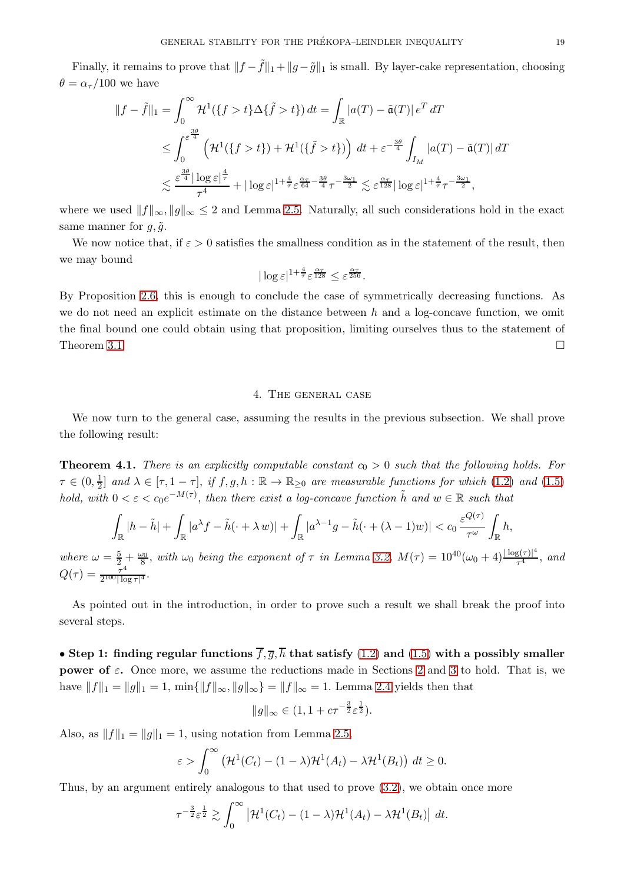Finally, it remains to prove that  $||f - \tilde{f}||_1 + ||g - \tilde{g}||_1$  is small. By layer-cake representation, choosing  $\theta = \alpha_{\tau}/100$  we have

$$
||f - \tilde{f}||_1 = \int_0^\infty \mathcal{H}^1(\{f > t\} \Delta \{\tilde{f} > t\}) dt = \int_{\mathbb{R}} |a(T) - \tilde{a}(T)| e^T dT
$$
  
\n
$$
\leq \int_0^{\varepsilon^{\frac{3\theta}{4}}} \left( \mathcal{H}^1(\{f > t\}) + \mathcal{H}^1(\{\tilde{f} > t\}) \right) dt + \varepsilon^{-\frac{3\theta}{4}} \int_{I_M} |a(T) - \tilde{a}(T)| dT
$$
  
\n
$$
\lesssim \frac{\varepsilon^{\frac{3\theta}{4}} |\log \varepsilon|^{\frac{4}{\tau}}}{\tau^4} + |\log \varepsilon|^{1 + \frac{4}{\tau}} \varepsilon^{\frac{\alpha \tau}{64} - \frac{3\theta}{4}} \tau^{-\frac{3\omega_1}{2}} \lesssim \varepsilon^{\frac{\alpha \tau}{128}} |\log \varepsilon|^{1 + \frac{4}{\tau}} \tau^{-\frac{3\omega_1}{2}},
$$

where we used  $||f||_{\infty}$ ,  $||g||_{\infty} \leq 2$  and Lemma [2.5.](#page-8-4) Naturally, all such considerations hold in the exact same manner for  $q, \tilde{q}$ .

We now notice that, if  $\varepsilon > 0$  satisfies the smallness condition as in the statement of the result, then we may bound

$$
|\log \varepsilon|^{1+\frac{4}{\tau}} \varepsilon^{\frac{\alpha\tau}{128}} \leq \varepsilon^{\frac{\alpha\tau}{256}}.
$$

By Proposition [2.6,](#page-9-0) this is enough to conclude the case of symmetrically decreasing functions. As we do not need an explicit estimate on the distance between  $h$  and a log-concave function, we omit the final bound one could obtain using that proposition, limiting ourselves thus to the statement of Theorem [3.1](#page-13-4)

## 4. The general case

<span id="page-18-0"></span>We now turn to the general case, assuming the results in the previous subsection. We shall prove the following result:

<span id="page-18-1"></span>**Theorem 4.1.** There is an explicitly computable constant  $c_0 > 0$  such that the following holds. For  $\tau \in (0, \frac{1}{2})$  $\frac{1}{2}$  and  $\lambda \in [\tau, 1-\tau]$ , if  $f, g, h : \mathbb{R} \to \mathbb{R}_{\geq 0}$  are measurable functions for which [\(1.2\)](#page-0-3) and [\(1.5\)](#page-2-3) hold, with  $0 < \varepsilon < c_0 e^{-M(\tau)}$ , then there exist a log-concave function  $\tilde{h}$  and  $w \in \mathbb{R}$  such that

$$
\int_{\mathbb{R}} |h - \tilde{h}| + \int_{\mathbb{R}} |a^{\lambda} f - \tilde{h}(\cdot + \lambda w)| + \int_{\mathbb{R}} |a^{\lambda - 1} g - \tilde{h}(\cdot + (\lambda - 1)w)| < c_0 \frac{\varepsilon^{Q(\tau)}}{\tau^{\omega}} \int_{\mathbb{R}} h,
$$

where  $\omega = \frac{5}{2} + \frac{\omega_0}{8}$ , with  $\omega_0$  being the exponent of  $\tau$  in Lemma [3.2,](#page-15-0)  $M(\tau) = 10^{40}(\omega_0 + 4) \frac{|\log(\tau)|^4}{\tau^4}$  $rac{3(7)}{7^4}$ , and  $Q(\tau) = \frac{\tau^4}{2^{100} \log \tau}$  $\frac{\tau^4}{2^{100}|\log \tau|^4}$ .

As pointed out in the introduction, in order to prove such a result we shall break the proof into several steps.

• Step 1: finding regular functions  $\overline{f}, \overline{q}, \overline{h}$  that satisfy [\(1.2\)](#page-0-3) and [\(1.5\)](#page-2-3) with a possibly smaller **power of**  $\varepsilon$ . Once more, we assume the reductions made in Sections [2](#page-6-1) and [3](#page-13-0) to hold. That is, we have  $||f||_1 = ||g||_1 = 1$ ,  $\min{||f||_{\infty}, ||g||_{\infty}} = ||f||_{\infty} = 1$ . Lemma [2.4](#page-8-1) yields then that

$$
||g||_{\infty} \in (1, 1 + c\tau^{-\frac{3}{2}} \varepsilon^{\frac{1}{2}}).
$$

Also, as  $||f||_1 = ||g||_1 = 1$ , using notation from Lemma [2.5,](#page-8-4)

$$
\varepsilon > \int_0^\infty \left( \mathcal{H}^1(C_t) - (1 - \lambda) \mathcal{H}^1(A_t) - \lambda \mathcal{H}^1(B_t) \right) dt \ge 0.
$$

Thus, by an argument entirely analogous to that used to prove [\(3.2\)](#page-14-1), we obtain once more

$$
\tau^{-\frac{3}{2}} \varepsilon^{\frac{1}{2}} \gtrsim \int_0^\infty \left| \mathcal{H}^1(C_t) - (1-\lambda)\mathcal{H}^1(A_t) - \lambda \mathcal{H}^1(B_t) \right| \, dt.
$$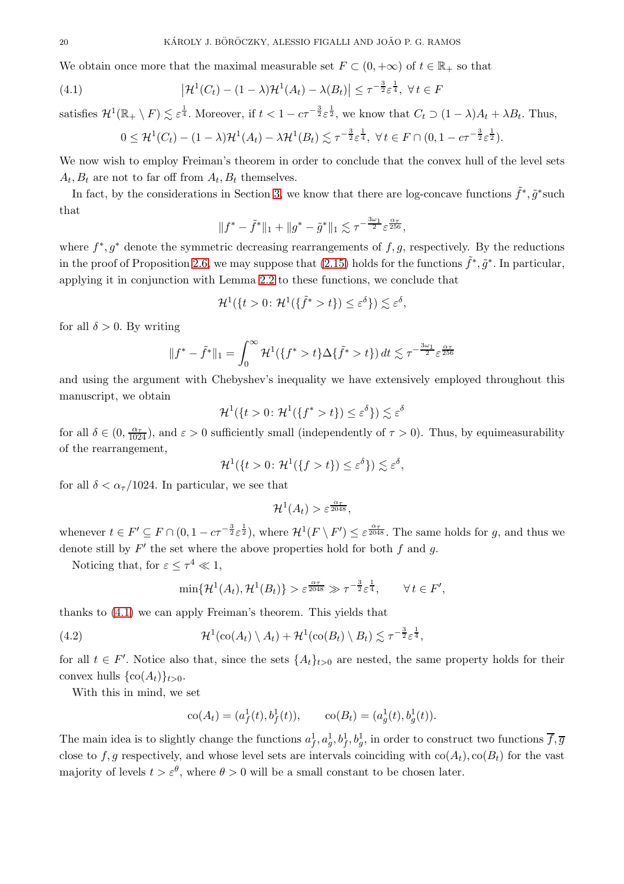We obtain once more that the maximal measurable set  $F \subset (0, +\infty)$  of  $t \in \mathbb{R}_+$  so that

<span id="page-19-0"></span>(4.1) 
$$
\left|\mathcal{H}^1(C_t) - (1-\lambda)\mathcal{H}^1(A_t) - \lambda(B_t)\right| \leq \tau^{-\frac{3}{2}}\varepsilon^{\frac{1}{4}}, \ \forall \, t \in F
$$

satisfies  $\mathcal{H}^1(\mathbb{R}_+ \setminus F) \lesssim \varepsilon^{\frac{1}{4}}$ . Moreover, if  $t < 1 - c\tau^{-\frac{3}{2}} \varepsilon^{\frac{1}{2}}$ , we know that  $C_t \supset (1 - \lambda)A_t + \lambda B_t$ . Thus,

$$
0 \leq \mathcal{H}^1(C_t) - (1 - \lambda)\mathcal{H}^1(A_t) - \lambda \mathcal{H}^1(B_t) \lesssim \tau^{-\frac{3}{2}} \varepsilon^{\frac{1}{4}}, \ \forall \, t \in F \cap (0, 1 - c\tau^{-\frac{3}{2}} \varepsilon^{\frac{1}{2}}).
$$

We now wish to employ Freiman's theorem in order to conclude that the convex hull of the level sets  $A_t, B_t$  are not to far off from  $A_t, B_t$  themselves.

In fact, by the considerations in Section [3,](#page-13-0) we know that there are log-concave functions  $\tilde{f}^*, \tilde{g}^*$  such that

$$
||f^* - \tilde{f}^*||_1 + ||g^* - \tilde{g}^*||_1 \lesssim \tau^{-\frac{3\omega_1}{2}} \varepsilon^{\frac{\alpha_\tau}{256}},
$$

where  $f^*, g^*$  denote the symmetric decreasing rearrangements of  $f, g$ , respectively. By the reductions in the proof of Proposition [2.6,](#page-9-0) we may suppose that [\(2.15\)](#page-10-2) holds for the functions  $\tilde{f}^*, \tilde{g}^*$ . In particular, applying it in conjunction with Lemma [2.2](#page-7-5) to these functions, we conclude that

$$
\mathcal{H}^1(\{t>0\colon\mathcal{H}^1(\{\tilde{f}^*>t\})\leq\varepsilon^{\delta}\})\lesssim\varepsilon^{\delta},
$$

for all  $\delta > 0$ . By writing

$$
||f^* - \tilde{f}^*||_1 = \int_0^\infty \mathcal{H}^1(\{f^* > t\} \Delta \{\tilde{f}^* > t\}) dt \lesssim \tau^{-\frac{3\omega_1}{2}} \varepsilon^{\frac{\alpha_\tau}{256}}
$$

and using the argument with Chebyshev's inequality we have extensively employed throughout this manuscript, we obtain

$$
\mathcal{H}^1(\lbrace t>0 \colon \mathcal{H}^1(\lbrace f^* > t \rbrace) \leq \varepsilon^{\delta} \rbrace) \lesssim \varepsilon^{\delta}
$$

for all  $\delta \in (0, \frac{\alpha_{\tau}}{1024})$ , and  $\varepsilon > 0$  sufficiently small (independently of  $\tau > 0$ ). Thus, by equimeasurability of the rearrangement,

$$
\mathcal{H}^1(\{t>0\colon \mathcal{H}^1(\{f>t\})\leq \varepsilon^{\delta}\})\lesssim \varepsilon^{\delta},
$$

for all  $\delta < \alpha_{\tau}/1024$ . In particular, we see that

$$
\mathcal{H}^1(A_t) > \varepsilon^{\frac{\alpha_{\tau}}{2048}},
$$

whenever  $t \in F' \subseteq F \cap (0, 1 - c\tau^{-\frac{3}{2}} \varepsilon^{\frac{1}{2}})$ , where  $\mathcal{H}^1(F \setminus F') \leq \varepsilon^{\frac{\alpha\tau}{2048}}$ . The same holds for g, and thus we denote still by  $F'$  the set where the above properties hold for both  $f$  and  $g$ .

Noticing that, for  $\varepsilon \leq \tau^4 \ll 1$ ,

$$
\min\{\mathcal{H}^1(A_t),\mathcal{H}^1(B_t)\} > \varepsilon^{\frac{\alpha\tau}{2048}} \gg \tau^{-\frac{3}{2}}\varepsilon^{\frac{1}{4}}, \qquad \forall t \in F',
$$

thanks to [\(4.1\)](#page-19-0) we can apply Freiman's theorem. This yields that

<span id="page-19-1"></span>(4.2) 
$$
\mathcal{H}^1(\text{co}(A_t) \setminus A_t) + \mathcal{H}^1(\text{co}(B_t) \setminus B_t) \lesssim \tau^{-\frac{3}{2}} \varepsilon^{\frac{1}{4}},
$$

for all  $t \in F'$ . Notice also that, since the sets  $\{A_t\}_{t>0}$  are nested, the same property holds for their convex hulls  $\{\text{co}(A_t)\}_{t>0}$ .

With this in mind, we set

$$
co(At) = (af1(t), bf1(t)), \t co(Bt) = (ag1(t), bg1(t)).
$$

The main idea is to slightly change the functions  $a_f^1, a_g^1, b_f^1, b_g^1$ , in order to construct two functions  $\overline{f}, \overline{g}$ close to f, g respectively, and whose level sets are intervals coinciding with  $\text{co}(A_t)$ ,  $\text{co}(B_t)$  for the vast majority of levels  $t > \varepsilon^{\theta}$ , where  $\theta > 0$  will be a small constant to be chosen later.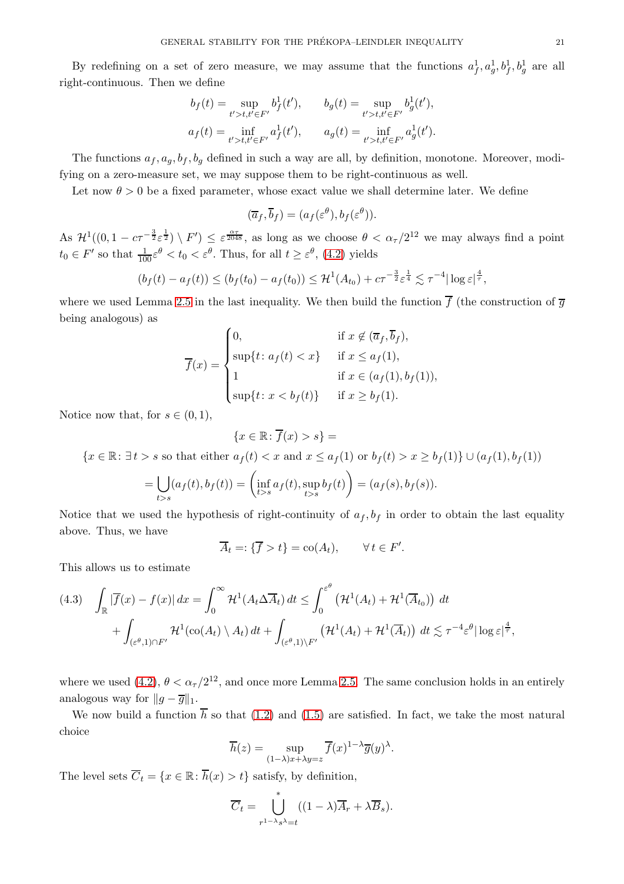By redefining on a set of zero measure, we may assume that the functions  $a_f^1, a_g^1, b_f^1, b_g^1$  are all right-continuous. Then we define

$$
b_f(t) = \sup_{t' > t, t' \in F'} b_f^1(t'), \qquad b_g(t) = \sup_{t' > t, t' \in F'} b_g^1(t'),
$$
  

$$
a_f(t) = \inf_{t' > t, t' \in F'} a_f^1(t'), \qquad a_g(t) = \inf_{t' > t, t' \in F'} a_g^1(t').
$$

The functions  $a_f, a_g, b_f, b_g$  defined in such a way are all, by definition, monotone. Moreover, modifying on a zero-measure set, we may suppose them to be right-continuous as well.

Let now  $\theta > 0$  be a fixed parameter, whose exact value we shall determine later. We define

$$
(\overline{a}_f, \overline{b}_f) = (a_f(\varepsilon^\theta), b_f(\varepsilon^\theta)).
$$

As  $\mathcal{H}^1((0, 1 - c\tau^{-\frac{3}{2}}\varepsilon^{\frac{1}{2}}) \setminus F') \leq \varepsilon^{\frac{\alpha\tau}{2048}}$ , as long as we choose  $\theta < \alpha_\tau/2^{12}$  we may always find a point  $t_0 \in F'$  so that  $\frac{1}{100} \varepsilon^{\theta} < t_0 < \varepsilon^{\theta}$ . Thus, for all  $t \ge \varepsilon^{\theta}$ , [\(4.2\)](#page-19-1) yields

$$
(b_f(t) - a_f(t)) \le (b_f(t_0) - a_f(t_0)) \le \mathcal{H}^1(A_{t_0}) + c\tau^{-\frac{3}{2}} \varepsilon^{\frac{1}{4}} \lesssim \tau^{-4} |\log \varepsilon|^{\frac{4}{\tau}},
$$

where we used Lemma [2.5](#page-8-4) in the last inequality. We then build the function  $\overline{f}$  (the construction of  $\overline{g}$ being analogous) as

$$
\overline{f}(x) = \begin{cases}\n0, & \text{if } x \notin (\overline{a}_f, \overline{b}_f), \\
\sup\{t: a_f(t) < x\} & \text{if } x \le a_f(1), \\
1 & \text{if } x \in (a_f(1), b_f(1)), \\
\sup\{t: x < b_f(t)\} & \text{if } x \ge b_f(1).\n\end{cases}
$$

Notice now that, for  $s \in (0,1)$ ,

$$
\{x \in \mathbb{R} \colon \overline{f}(x) > s\} =
$$

 ${x \in \mathbb{R} : \exists t > s \text{ so that either } a_f(t) < x \text{ and } x \le a_f(1) \text{ or } b_f(t) > x \ge b_f(1)} \cup (a_f(1), b_f(1))$ 

$$
= \bigcup_{t>s} (a_f(t), b_f(t)) = \left( \inf_{t>s} a_f(t), \sup_{t>s} b_f(t) \right) = (a_f(s), b_f(s)).
$$

Notice that we used the hypothesis of right-continuity of  $a_f, b_f$  in order to obtain the last equality above. Thus, we have

$$
\overline{A}_t =: \{ \overline{f} > t \} = \text{co}(A_t), \qquad \forall \, t \in F'.
$$

This allows us to estimate

<span id="page-20-0"></span>
$$
(4.3) \quad \int_{\mathbb{R}} |\overline{f}(x) - f(x)| dx = \int_0^{\infty} \mathcal{H}^1(A_t \Delta \overline{A}_t) dt \le \int_0^{\varepsilon^{\theta}} \left( \mathcal{H}^1(A_t) + \mathcal{H}^1(\overline{A}_{t_0}) \right) dt
$$

$$
+ \int_{(\varepsilon^{\theta}, 1) \cap F'} \mathcal{H}^1(\text{co}(A_t) \setminus A_t) dt + \int_{(\varepsilon^{\theta}, 1) \setminus F'} \left( \mathcal{H}^1(A_t) + \mathcal{H}^1(\overline{A}_t) \right) dt \lesssim \tau^{-4} \varepsilon^{\theta} |\log \varepsilon|^{\frac{4}{\tau}},
$$

where we used  $(4.2)$ ,  $\theta < \alpha_{\tau}/2^{12}$ , and once more Lemma [2.5.](#page-8-4) The same conclusion holds in an entirely analogous way for  $||g - \overline{g}||_1$ .

We now build a function  $\overline{h}$  so that [\(1.2\)](#page-0-3) and [\(1.5\)](#page-2-3) are satisfied. In fact, we take the most natural choice

$$
\overline{h}(z) = \sup_{(1-\lambda)x + \lambda y = z} \overline{f}(x)^{1-\lambda} \overline{g}(y)^{\lambda}.
$$

The level sets  $\overline{C}_t = \{x \in \mathbb{R} : \overline{h}(x) > t\}$  satisfy, by definition,

$$
\overline{C}_t = \bigcup_{r^{1-\lambda}s^{\lambda}=t}^{*} ((1-\lambda)\overline{A}_r + \lambda \overline{B}_s).
$$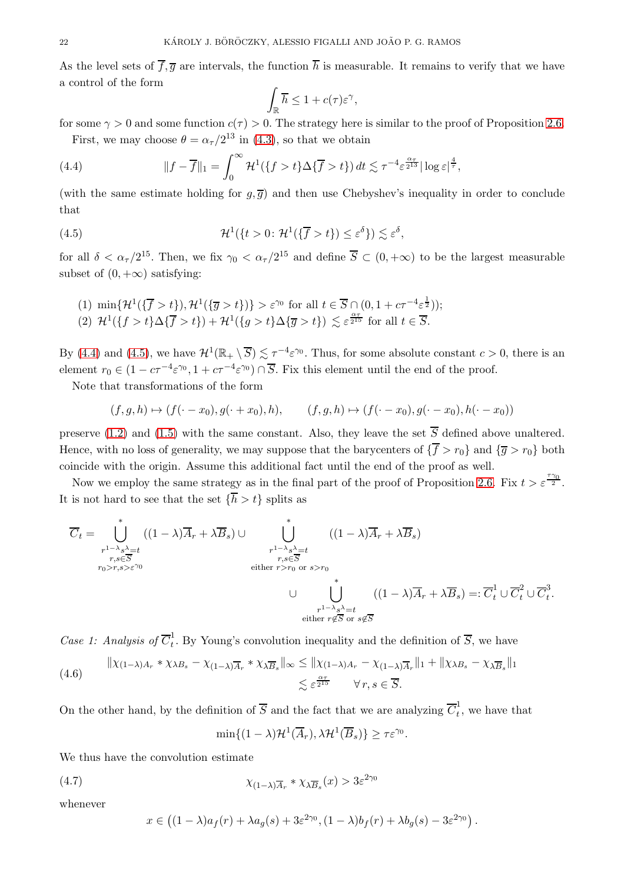As the level sets of  $\overline{f}, \overline{g}$  are intervals, the function  $\overline{h}$  is measurable. It remains to verify that we have a control of the form

$$
\int_{\mathbb{R}} \overline{h} \le 1 + c(\tau) \varepsilon^{\gamma},
$$

for some  $\gamma > 0$  and some function  $c(\tau) > 0$ . The strategy here is similar to the proof of Proposition [2.6.](#page-9-0) First, we may choose  $\theta = \alpha_{\tau}/2^{13}$  in [\(4.3\)](#page-20-0), so that we obtain

<span id="page-21-0"></span>(4.4) 
$$
||f - \overline{f}||_1 = \int_0^\infty \mathcal{H}^1(\{f > t\} \Delta \{\overline{f} > t\}) dt \lesssim \tau^{-4} \varepsilon^{\frac{\alpha \tau}{2^{13}}} |\log \varepsilon|^{\frac{4}{\tau}},
$$

(with the same estimate holding for  $q, \overline{q}$ ) and then use Chebyshev's inequality in order to conclude that

<span id="page-21-1"></span>(4.5) 
$$
\mathcal{H}^1(\lbrace t > 0: \mathcal{H}^1(\lbrace \overline{f} > t \rbrace) \leq \varepsilon^{\delta} \rbrace) \lesssim \varepsilon^{\delta},
$$

for all  $\delta < \alpha_{\tau}/2^{15}$ . Then, we fix  $\gamma_0 < \alpha_{\tau}/2^{15}$  and define  $\overline{S} \subset (0, +\infty)$  to be the largest measurable subset of  $(0, +\infty)$  satisfying:

(1)  $\min\{\mathcal{H}^1(\{\overline{f} > t\}), \mathcal{H}^1(\{\overline{g} > t\})\} > \varepsilon^{\gamma_0}$  for all  $t \in \overline{S} \cap (0, 1 + c\tau^{-4}\varepsilon^{\frac{1}{2}})$ ; (2)  $\mathcal{H}^1({f > t} \Delta {\overline{f > t}}) + \mathcal{H}^1({g > t} \Delta {\overline{g > t}}) \lesssim \varepsilon^{\frac{\alpha \tau}{2^{15}}}$  for all  $t \in \overline{S}$ .

By [\(4.4\)](#page-21-0) and [\(4.5\)](#page-21-1), we have  $\mathcal{H}^1(\mathbb{R}_+ \setminus \overline{S}) \lesssim \tau^{-4} \varepsilon^{\gamma_0}$ . Thus, for some absolute constant  $c > 0$ , there is an element  $r_0 \in (1 - c\tau^{-4} \varepsilon^{\gamma_0}, 1 + c\tau^{-4} \varepsilon^{\gamma_0}) \cap \overline{S}$ . Fix this element until the end of the proof.

Note that transformations of the form

$$
(f, g, h) \mapsto (f(\cdot - x_0), g(\cdot + x_0), h), \qquad (f, g, h) \mapsto (f(\cdot - x_0), g(\cdot - x_0), h(\cdot - x_0))
$$

preserve [\(1.2\)](#page-0-3) and [\(1.5\)](#page-2-3) with the same constant. Also, they leave the set  $\overline{S}$  defined above unaltered. Hence, with no loss of generality, we may suppose that the barycenters of  ${\overline f} > r_0$  and  ${\overline g} > r_0$  both coincide with the origin. Assume this additional fact until the end of the proof as well.

Now we employ the same strategy as in the final part of the proof of Proposition [2.6.](#page-9-0) Fix  $t > \varepsilon^{\frac{7\gamma_0}{2}}$ . It is not hard to see that the set  $\{\overline{h} > t\}$  splits as

$$
\overline{C}_{t} = \bigcup_{\substack{r^{1-\lambda}s^{\lambda} = t \\ r,s \in \overline{S} \\ r_{0} > r,s > \varepsilon^{\gamma_{0}}}}^{*} ((1-\lambda)\overline{A}_{r} + \lambda \overline{B}_{s}) \cup \bigcup_{\substack{r^{1-\lambda}s^{\lambda} = t \\ r,s \in \overline{S} \\ \text{either } r > r_{0} \text{ or } s > r_{0} \\ \cup \bigcup_{\substack{r^{1-\lambda}s^{\lambda} = t \\ r^{1-\lambda}s^{\lambda} = t \\ \text{either } r \notin \overline{S} \text{ or } s \notin \overline{S}}}^{*} ((1-\lambda)\overline{A}_{r} + \lambda \overline{B}_{s}) =: \overline{C}_{t}^{1} \cup \overline{C}_{t}^{2} \cup \overline{C}_{t}^{3}.
$$

Case 1: Analysis of  $\overline{C}_t^1$  $\frac{1}{t}$ . By Young's convolution inequality and the definition of S, we have

<span id="page-21-2"></span>
$$
\| \chi_{(1-\lambda)A_r} * \chi_{\lambda B_s} - \chi_{(1-\lambda)\overline{A}_r} * \chi_{\lambda \overline{B}_s} \|_{\infty} \le \| \chi_{(1-\lambda)A_r} - \chi_{(1-\lambda)\overline{A}_r} \|_1 + \| \chi_{\lambda B_s} - \chi_{\lambda \overline{B}_s} \|_1
$$
  

$$
\lesssim \varepsilon^{\frac{\alpha \tau}{2^{15}}} \qquad \forall r, s \in \overline{S}.
$$

On the other hand, by the definition of  $\overline{S}$  and the fact that we are analyzing  $\overline{C}_t^1$  $\frac{1}{t}$ , we have that

$$
\min\{(1-\lambda)\mathcal{H}^1(\overline{A}_r),\lambda\mathcal{H}^1(\overline{B}_s)\}\geq \tau \varepsilon^{\gamma_0}.
$$

We thus have the convolution estimate

<span id="page-21-3"></span>(4.7) 
$$
\chi_{(1-\lambda)\overline{A}_r} * \chi_{\lambda \overline{B}_s}(x) > 3\varepsilon^{2\gamma_0}
$$

whenever

$$
x\in \left((1-\lambda)a_f(r)+\lambda a_g(s)+3\varepsilon^{2\gamma_0},(1-\lambda)b_f(r)+\lambda b_g(s)-3\varepsilon^{2\gamma_0}\right).
$$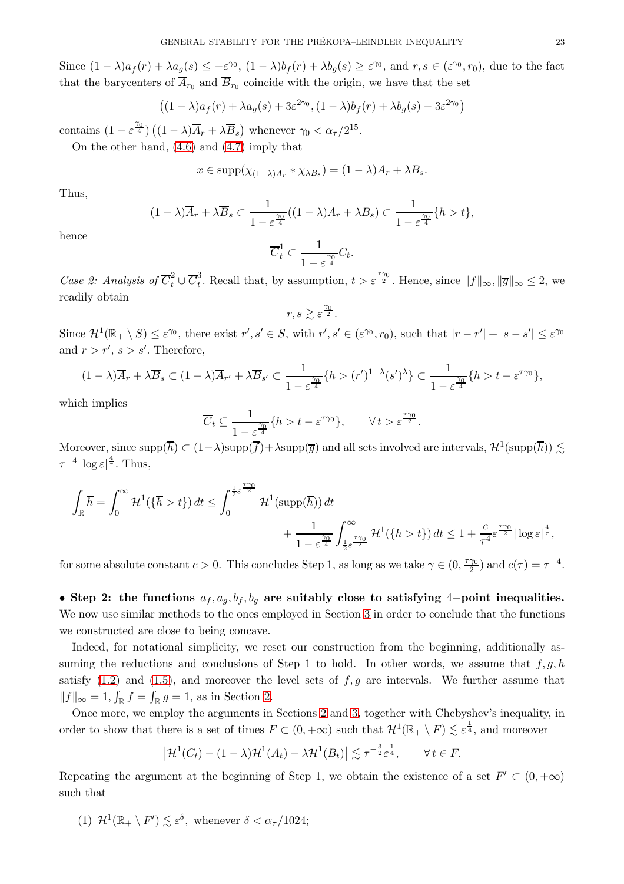Since  $(1 - \lambda)a_f(r) + \lambda a_g(s) \leq -\varepsilon^{\gamma_0}$ ,  $(1 - \lambda)b_f(r) + \lambda b_g(s) \geq \varepsilon^{\gamma_0}$ , and  $r, s \in (\varepsilon^{\gamma_0}, r_0)$ , due to the fact that the barycenters of  $A_{r_0}$  and  $B_{r_0}$  coincide with the origin, we have that the set

$$
((1 - \lambda)a_f(r) + \lambda a_g(s) + 3\varepsilon^{2\gamma_0}, (1 - \lambda)b_f(r) + \lambda b_g(s) - 3\varepsilon^{2\gamma_0})
$$

contains  $(1 - \varepsilon^{\frac{\gamma_0}{4}}) ((1 - \lambda)\overline{A}_r + \lambda \overline{B}_s)$  whenever  $\gamma_0 < \alpha_\tau/2^{15}$ .

On the other hand, [\(4.6\)](#page-21-2) and [\(4.7\)](#page-21-3) imply that

$$
x \in \mathrm{supp}(\chi_{(1-\lambda)A_r} * \chi_{\lambda B_s}) = (1-\lambda)A_r + \lambda B_s.
$$

Thus,

$$
(1 - \lambda)\overline{A}_r + \lambda \overline{B}_s \subset \frac{1}{1 - \varepsilon^{\frac{\gamma_0}{4}}}((1 - \lambda)A_r + \lambda B_s) \subset \frac{1}{1 - \varepsilon^{\frac{\gamma_0}{4}}} \{h > t\},\
$$

hence

$$
\overline{C}_t^1 \subset \frac{1}{1 - \varepsilon^{\frac{\gamma_0}{4}}} C_t.
$$

Case 2: Analysis of  $\overline{C}_t^2 \cup \overline{C}_t^3$ <sup>3</sup>. Recall that, by assumption,  $t > \varepsilon^{\frac{\tau \gamma_0}{2}}$ . Hence, since  $\|\overline{f}\|_{\infty}$ ,  $\|\overline{g}\|_{\infty} \leq 2$ , we readily obtain

$$
r, s \gtrsim \varepsilon^{\frac{\gamma_0}{2}}.
$$

Since  $\mathcal{H}^1(\mathbb{R}_+ \setminus \overline{S}) \leq \varepsilon^{\gamma_0}$ , there exist  $r', s' \in \overline{S}$ , with  $r', s' \in (\varepsilon^{\gamma_0}, r_0)$ , such that  $|r - r'| + |s - s'| \leq \varepsilon^{\gamma_0}$ and  $r > r'$ ,  $s > s'$ . Therefore,

$$
(1 - \lambda)\overline{A}_r + \lambda \overline{B}_s \subset (1 - \lambda)\overline{A}_{r'} + \lambda \overline{B}_{s'} \subset \frac{1}{1 - \varepsilon^{\frac{\gamma_0}{4}}} \{h > (r')^{1 - \lambda}(s')^{\lambda}\} \subset \frac{1}{1 - \varepsilon^{\frac{\gamma_0}{4}}} \{h > t - \varepsilon^{\tau \gamma_0}\},
$$

which implies

$$
\overline{C}_t \subseteq \frac{1}{1 - \varepsilon^{\frac{\gamma_0}{4}}} \{ h > t - \varepsilon^{\tau \gamma_0} \}, \qquad \forall \, t > \varepsilon^{\frac{\tau \gamma_0}{2}}.
$$

Moreover, since  $\mathrm{supp}(\overline{h}) \subset (1-\lambda)\mathrm{supp}(\overline{f})+\lambda \mathrm{supp}(\overline{g})$  and all sets involved are intervals,  $\mathcal{H}^1(\mathrm{supp}(\overline{h})) \lesssim$  $\tau^{-4} |\log \varepsilon|^{\frac{4}{\tau}}$ . Thus,

$$
\int_{\mathbb{R}} \overline{h} = \int_0^{\infty} \mathcal{H}^1(\{\overline{h} > t\}) dt \le \int_0^{\frac{1}{2}\varepsilon^{\frac{\tau \gamma_0}{2}}} \mathcal{H}^1(\mathrm{supp}(\overline{h})) dt + \frac{1}{1 - \varepsilon^{\frac{\gamma_0}{4}}} \int_{\frac{1}{2}\varepsilon^{\frac{\tau \gamma_0}{2}}}^{\infty} \mathcal{H}^1(\{h > t\}) dt \le 1 + \frac{c}{\tau^4} \varepsilon^{\frac{\tau \gamma_0}{2}} |\log \varepsilon|^{\frac{4}{\tau}},
$$

for some absolute constant  $c > 0$ . This concludes Step 1, as long as we take  $\gamma \in (0, \frac{\tau \gamma_0}{2})$  $\frac{\gamma_0}{2}$ ) and  $c(\tau) = \tau^{-4}$ .

• Step 2: the functions  $a_f, a_g, b_f, b_g$  are suitably close to satisfying 4-point inequalities. We now use similar methods to the ones employed in Section [3](#page-13-0) in order to conclude that the functions we constructed are close to being concave.

Indeed, for notational simplicity, we reset our construction from the beginning, additionally assuming the reductions and conclusions of Step 1 to hold. In other words, we assume that  $f, g, h$ satisfy  $(1.2)$  and  $(1.5)$ , and moreover the level sets of  $f, g$  are intervals. We further assume that  $||f||_{\infty} = 1, \int_{\mathbb{R}} f = \int_{\mathbb{R}} g = 1$ , as in Section [2.](#page-6-1)

Once more, we employ the arguments in Sections [2](#page-6-1) and [3,](#page-13-0) together with Chebyshev's inequality, in order to show that there is a set of times  $F \subset (0, +\infty)$  such that  $\mathcal{H}^1(\mathbb{R}_+ \setminus F) \lesssim \varepsilon^{\frac{1}{4}}$ , and moreover

$$
\left|\mathcal{H}^1(C_t) - (1-\lambda)\mathcal{H}^1(A_t) - \lambda\mathcal{H}^1(B_t)\right| \lesssim \tau^{-\frac{3}{2}}\varepsilon^{\frac{1}{4}}, \qquad \forall \, t \in F.
$$

Repeating the argument at the beginning of Step 1, we obtain the existence of a set  $F' \subset (0, +\infty)$ such that

(1)  $\mathcal{H}^1(\mathbb{R}_+ \setminus F') \lesssim \varepsilon^{\delta}$ , whenever  $\delta < \alpha_{\tau}/1024$ ;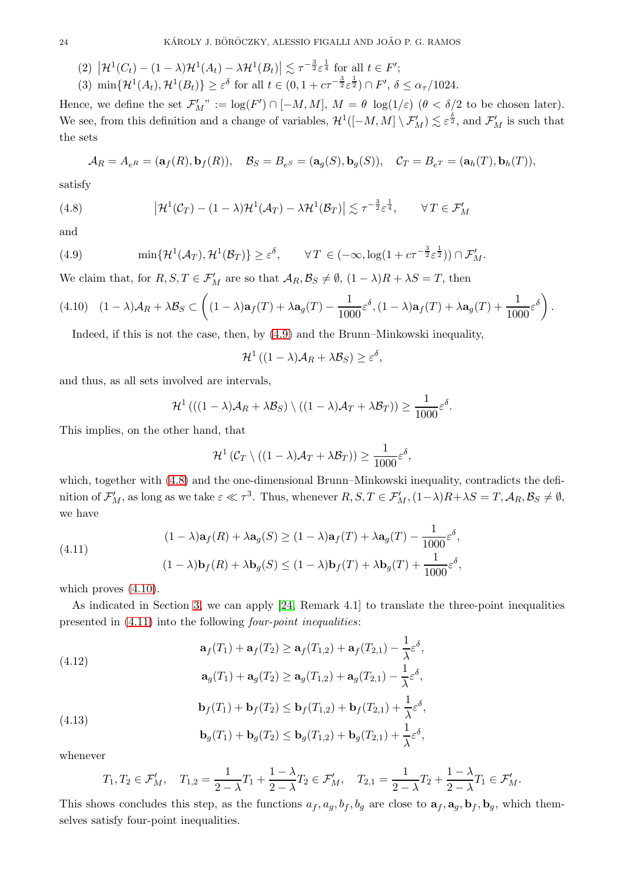- (2)  $|\mathcal{H}^1(C_t) (1 \lambda)\mathcal{H}^1(A_t) \lambda\mathcal{H}^1(B_t)| \lesssim \tau^{-\frac{3}{2}} \varepsilon^{\frac{1}{4}}$  for all  $t \in F'$ ;
- (3)  $\min\{\mathcal{H}^1(A_t),\mathcal{H}^1(B_t)\}\geq \varepsilon^{\delta}$  for all  $t\in(0,1+c\tau^{-\frac{3}{2}}\varepsilon^{\frac{1}{2}})\cap F',\,\delta\leq \alpha_{\tau}/1024.$

Hence, we define the set  $\mathcal{F}'_M$ " :=  $\log(F') \cap [-M, M]$ ,  $M = \theta \log(1/\varepsilon)$   $(\theta < \delta/2$  to be chosen later). We see, from this definition and a change of variables,  $\mathcal{H}^1([-M,M] \setminus \mathcal{F}'_M) \lesssim \varepsilon^{\frac{\delta}{2}}$ , and  $\mathcal{F}'_M$  is such that the sets

$$
\mathcal{A}_R = A_{e^R} = (\mathbf{a}_f(R), \mathbf{b}_f(R)), \quad \mathcal{B}_S = B_{e^S} = (\mathbf{a}_g(S), \mathbf{b}_g(S)), \quad \mathcal{C}_T = B_{e^T} = (\mathbf{a}_h(T), \mathbf{b}_h(T)),
$$

satisfy

<span id="page-23-1"></span>(4.8) 
$$
\left|\mathcal{H}^{1}(\mathcal{C}_{T})-(1-\lambda)\mathcal{H}^{1}(\mathcal{A}_{T})-\lambda\mathcal{H}^{1}(\mathcal{B}_{T})\right|\lesssim \tau^{-\frac{3}{2}}\varepsilon^{\frac{1}{4}}, \qquad \forall T\in\mathcal{F}'_{M}
$$

and

<span id="page-23-0"></span>(4.9) 
$$
\min\{\mathcal{H}^1(\mathcal{A}_T),\mathcal{H}^1(\mathcal{B}_T)\}\geq \varepsilon^{\delta}, \qquad \forall T\in(-\infty,\log(1+c\tau^{-\frac{3}{2}}\varepsilon^{\frac{1}{2}}))\cap\mathcal{F}_M'.
$$

We claim that, for  $R, S, T \in \mathcal{F}'_M$  are so that  $\mathcal{A}_R, \mathcal{B}_S \neq \emptyset$ ,  $(1 - \lambda)R + \lambda S = T$ , then

<span id="page-23-2"></span>
$$
(4.10)\quad (1-\lambda)\mathcal{A}_R + \lambda \mathcal{B}_S \subset \left( (1-\lambda)\mathbf{a}_f(T) + \lambda \mathbf{a}_g(T) - \frac{1}{1000} \varepsilon^{\delta}, (1-\lambda)\mathbf{a}_f(T) + \lambda \mathbf{a}_g(T) + \frac{1}{1000} \varepsilon^{\delta} \right).
$$

Indeed, if this is not the case, then, by [\(4.9\)](#page-23-0) and the Brunn–Minkowski inequality,

$$
\mathcal{H}^1\left((1-\lambda)\mathcal{A}_R+\lambda\mathcal{B}_S\right)\geq\varepsilon^{\delta},
$$

and thus, as all sets involved are intervals,

$$
\mathcal{H}^{1} \left( ((1 - \lambda) \mathcal{A}_{R} + \lambda \mathcal{B}_{S}) \setminus ((1 - \lambda) \mathcal{A}_{T} + \lambda \mathcal{B}_{T}) \right) \geq \frac{1}{1000} \varepsilon^{\delta}.
$$

This implies, on the other hand, that

$$
\mathcal{H}^1(\mathcal{C}_T \setminus ((1 - \lambda)\mathcal{A}_T + \lambda \mathcal{B}_T)) \ge \frac{1}{1000} \varepsilon^{\delta},
$$

which, together with  $(4.8)$  and the one-dimensional Brunn–Minkowski inequality, contradicts the definition of  $\mathcal{F}'_M$ , as long as we take  $\varepsilon \ll \tau^3$ . Thus, whenever  $R, S, T \in \mathcal{F}'_M$ ,  $(1-\lambda)R+\lambda S = T$ ,  $\mathcal{A}_R, \mathcal{B}_S \neq \emptyset$ , we have

<span id="page-23-3"></span>(4.11) 
$$
(1 - \lambda)\mathbf{a}_f(R) + \lambda \mathbf{a}_g(S) \ge (1 - \lambda)\mathbf{a}_f(T) + \lambda \mathbf{a}_g(T) - \frac{1}{1000}\varepsilon^{\delta},
$$

$$
(1 - \lambda)\mathbf{b}_f(R) + \lambda \mathbf{b}_g(S) \le (1 - \lambda)\mathbf{b}_f(T) + \lambda \mathbf{b}_g(T) + \frac{1}{1000}\varepsilon^{\delta},
$$

which proves  $(4.10)$ .

As indicated in Section [3,](#page-13-0) we can apply [\[24,](#page-35-13) Remark 4.1] to translate the three-point inequalities presented in [\(4.11\)](#page-23-3) into the following four-point inequalities:

<span id="page-23-4"></span>(4.12)  
\n
$$
\mathbf{a}_{f}(T_{1}) + \mathbf{a}_{f}(T_{2}) \geq \mathbf{a}_{f}(T_{1,2}) + \mathbf{a}_{f}(T_{2,1}) - \frac{1}{\lambda} \varepsilon^{\delta},
$$
\n
$$
\mathbf{a}_{g}(T_{1}) + \mathbf{a}_{g}(T_{2}) \geq \mathbf{a}_{g}(T_{1,2}) + \mathbf{a}_{g}(T_{2,1}) - \frac{1}{\lambda} \varepsilon^{\delta},
$$
\n
$$
\mathbf{b}_{f}(T_{1}) + \mathbf{b}_{f}(T_{2}) \leq \mathbf{b}_{f}(T_{1,2}) + \mathbf{b}_{f}(T_{2,1}) + \frac{1}{\lambda} \varepsilon^{\delta},
$$
\n(4.13)  
\n
$$
\mathbf{b}_{g}(T_{1}) + \mathbf{b}_{g}(T_{2}) \leq \mathbf{b}_{g}(T_{1,2}) + \mathbf{b}_{g}(T_{2,1}) + \frac{1}{\lambda} \varepsilon^{\delta},
$$

<span id="page-23-5"></span>whenever

$$
T_1, T_2 \in \mathcal{F}'_M
$$
,  $T_{1,2} = \frac{1}{2 - \lambda} T_1 + \frac{1 - \lambda}{2 - \lambda} T_2 \in \mathcal{F}'_M$ ,  $T_{2,1} = \frac{1}{2 - \lambda} T_2 + \frac{1 - \lambda}{2 - \lambda} T_1 \in \mathcal{F}'_M$ .

This shows concludes this step, as the functions  $a_f, a_g, b_f, b_g$  are close to  $a_f, a_g, b_f, b_g$ , which themselves satisfy four-point inequalities.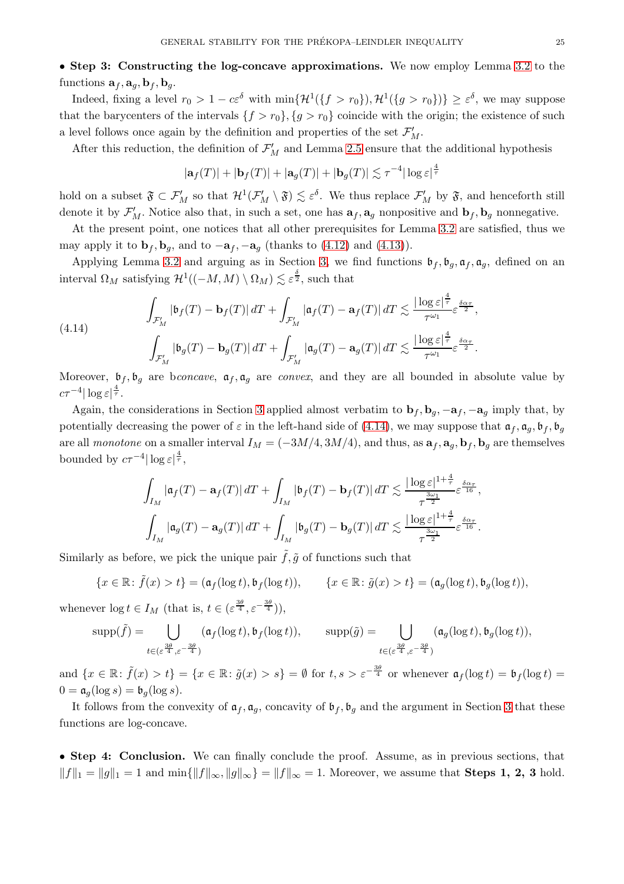Indeed, fixing a level  $r_0 > 1 - c\varepsilon^{\delta}$  with  $\min\{ \mathcal{H}^1(\{f > r_0\}), \mathcal{H}^1(\{g > r_0\}) \} \ge \varepsilon^{\delta}$ , we may suppose that the barycenters of the intervals  $\{f > r_0\}, \{g > r_0\}$  coincide with the origin; the existence of such a level follows once again by the definition and properties of the set  $\mathcal{F}'_M$ .

After this reduction, the definition of  $\mathcal{F}'_M$  and Lemma [2.5](#page-8-4) ensure that the additional hypothesis

$$
|\mathbf{a}_f(T)| + |\mathbf{b}_f(T)| + |\mathbf{a}_g(T)| + |\mathbf{b}_g(T)| \lesssim \tau^{-4} |\log \varepsilon|^{\frac{4}{\tau}}
$$

hold on a subset  $\mathfrak{F} \subset \mathcal{F}'_M$  so that  $\mathcal{H}^1(\mathcal{F}'_M \setminus \mathfrak{F}) \lesssim \varepsilon^{\delta}$ . We thus replace  $\mathcal{F}'_M$  by  $\mathfrak{F}$ , and henceforth still denote it by  $\mathcal{F}'_M$ . Notice also that, in such a set, one has  $a_f, a_g$  nonpositive and  $b_f, b_g$  nonnegative.

At the present point, one notices that all other prerequisites for Lemma [3.2](#page-15-0) are satisfied, thus we may apply it to  $\mathbf{b}_f$ ,  $\mathbf{b}_q$ , and to  $-\mathbf{a}_f$ ,  $-\mathbf{a}_q$  (thanks to [\(4.12\)](#page-23-4) and [\(4.13\)](#page-23-5)).

Applying Lemma [3.2](#page-15-0) and arguing as in Section [3,](#page-13-0) we find functions  $\mathfrak{b}_f$ ,  $\mathfrak{b}_q$ ,  $\mathfrak{a}_f$ ,  $\mathfrak{a}_q$ , defined on an interval  $\Omega_M$  satisfying  $\mathcal{H}^1((-M, M) \setminus \Omega_M) \lesssim \varepsilon^{\frac{\delta}{2}}$ , such that

<span id="page-24-0"></span>(4.14) 
$$
\int_{\mathcal{F}'_M} |\mathfrak{b}_f(T) - \mathfrak{b}_f(T)| dT + \int_{\mathcal{F}'_M} |\mathfrak{a}_f(T) - \mathfrak{a}_f(T)| dT \lesssim \frac{|\log \varepsilon|^{\frac{4}{\tau}}}{\tau^{\omega_1}} \varepsilon^{\frac{\delta \alpha_\tau}{2}},
$$

$$
\int_{\mathcal{F}'_M} |\mathfrak{b}_g(T) - \mathfrak{b}_g(T)| dT + \int_{\mathcal{F}'_M} |\mathfrak{a}_g(T) - \mathfrak{a}_g(T)| dT \lesssim \frac{|\log \varepsilon|^{\frac{4}{\tau}}}{\tau^{\omega_1}} \varepsilon^{\frac{\delta \alpha_\tau}{2}}.
$$

Moreover,  $\mathfrak{b}_f$ ,  $\mathfrak{b}_g$  are bconcave,  $\mathfrak{a}_f$ ,  $\mathfrak{a}_g$  are convex, and they are all bounded in absolute value by  $c\tau^{-4}|\log\varepsilon|^{\frac{4}{\tau}}.$ 

Again, the considerations in Section [3](#page-13-0) applied almost verbatim to  $\mathbf{b}_f$ ,  $\mathbf{b}_g$ ,  $-\mathbf{a}_f$ ,  $-\mathbf{a}_g$  imply that, by potentially decreasing the power of  $\varepsilon$  in the left-hand side of [\(4.14\)](#page-24-0), we may suppose that  $\mathfrak{a}_f, \mathfrak{a}_g, \mathfrak{b}_f, \mathfrak{b}_g$ are all monotone on a smaller interval  $I_M = (-3M/4, 3M/4)$ , and thus, as  $\mathbf{a}_f, \mathbf{a}_g, \mathbf{b}_f, \mathbf{b}_g$  are themselves bounded by  $c\tau^{-4}|\log \varepsilon|^{\frac{4}{\tau}},$ 

$$
\int_{I_M} \left| \mathfrak{a}_f(T) - \mathfrak{a}_f(T) \right| dT + \int_{I_M} \left| \mathfrak{b}_f(T) - \mathfrak{b}_f(T) \right| dT \lesssim \frac{|\log \varepsilon|^{1 + \frac{4}{\tau}}}{\tau^{\frac{3\omega_1}{2}}} \varepsilon^{\frac{\delta \alpha_\tau}{16}},
$$
  

$$
\int_{I_M} \left| \mathfrak{a}_g(T) - \mathfrak{a}_g(T) \right| dT + \int_{I_M} \left| \mathfrak{b}_g(T) - \mathfrak{b}_g(T) \right| dT \lesssim \frac{|\log \varepsilon|^{1 + \frac{4}{\tau}}}{\tau^{\frac{3\omega_1}{2}}} \varepsilon^{\frac{\delta \alpha_\tau}{16}}.
$$

Similarly as before, we pick the unique pair  $\tilde{f}, \tilde{g}$  of functions such that

$$
\{x \in \mathbb{R} \colon \tilde{f}(x) > t\} = (\mathfrak{a}_f(\log t), \mathfrak{b}_f(\log t)), \qquad \{x \in \mathbb{R} \colon \tilde{g}(x) > t\} = (\mathfrak{a}_g(\log t), \mathfrak{b}_g(\log t)),
$$

whenever  $\log t \in I_M$  (that is,  $t \in (\varepsilon^{\frac{3\theta}{4}}, \varepsilon^{-\frac{3\theta}{4}})$ ),

$$
\text{supp}(\tilde{f}) = \bigcup_{t \in (\varepsilon^{\frac{3\theta}{4}}, \varepsilon^{-\frac{3\theta}{4}})} (\mathfrak{a}_f(\log t), \mathfrak{b}_f(\log t)), \qquad \text{supp}(\tilde{g}) = \bigcup_{t \in (\varepsilon^{\frac{3\theta}{4}}, \varepsilon^{-\frac{3\theta}{4}})} (\mathfrak{a}_g(\log t), \mathfrak{b}_g(\log t)),
$$

and  $\{x \in \mathbb{R} : \tilde{f}(x) > t\} = \{x \in \mathbb{R} : \tilde{g}(x) > s\} = \emptyset$  for  $t, s > \varepsilon^{-\frac{3\theta}{4}}$  or whenever  $\mathfrak{a}_f(\log t) = \mathfrak{b}_f(\log t) =$  $0 = \mathfrak{a}_q(\log s) = \mathfrak{b}_q(\log s).$ 

It follows from the convexity of  $a_f$ ,  $a_g$ , concavity of  $b_f$ ,  $b_g$  and the argument in Section [3](#page-13-0) that these functions are log-concave.

• Step 4: Conclusion. We can finally conclude the proof. Assume, as in previous sections, that  $||f||_1 = ||g||_1 = 1$  and  $\min\{||f||_{\infty}, ||g||_{\infty}\} = ||f||_{\infty} = 1$ . Moreover, we assume that **Steps 1, 2, 3** hold.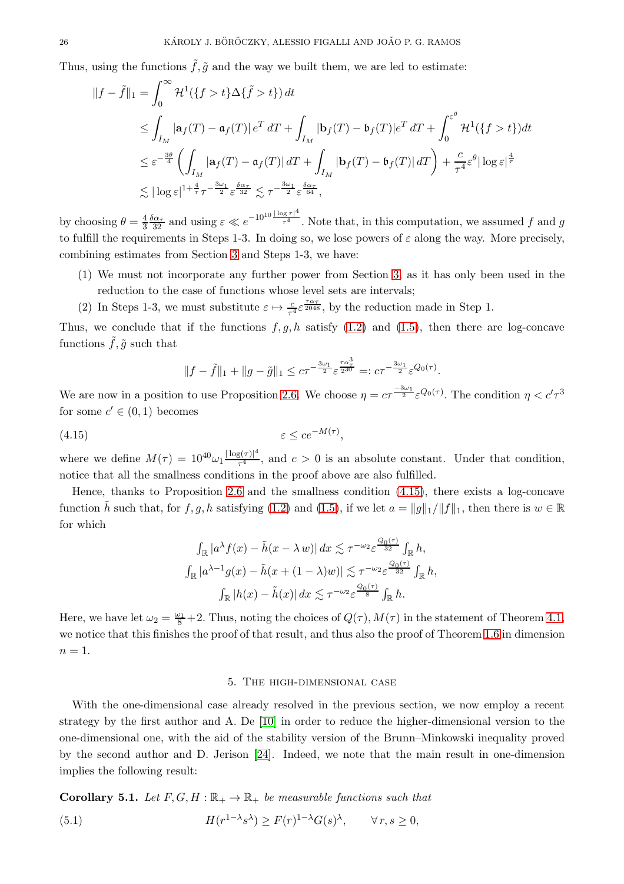Thus, using the functions  $\tilde{f}, \tilde{g}$  and the way we built them, we are led to estimate:

$$
\begin{split} \|f - \tilde{f}\|_{1} &= \int_{0}^{\infty} \mathcal{H}^{1}(\{f > t\} \Delta \{\tilde{f} > t\}) \, dt \\ &\leq \int_{I_{M}} |\mathbf{a}_{f}(T) - \mathbf{a}_{f}(T)| \, e^{T} \, dT + \int_{I_{M}} |\mathbf{b}_{f}(T) - \mathbf{b}_{f}(T)| e^{T} \, dT + \int_{0}^{\varepsilon^{\theta}} \mathcal{H}^{1}(\{f > t\}) dt \\ &\leq \varepsilon^{-\frac{3\theta}{4}} \left( \int_{I_{M}} |\mathbf{a}_{f}(T) - \mathbf{a}_{f}(T)| \, dT + \int_{I_{M}} |\mathbf{b}_{f}(T) - \mathbf{b}_{f}(T)| \, dT \right) + \frac{c}{\tau^{4}} \varepsilon^{\theta} |\log \varepsilon|^{\frac{4}{\tau}} \\ &\lesssim |\log \varepsilon|^{1 + \frac{4}{\tau}} \tau^{-\frac{3\omega_{1}}{2}} \varepsilon^{\frac{\delta \alpha_{\tau}}{32}} \lesssim \tau^{-\frac{3\omega_{1}}{2}} \varepsilon^{\frac{\delta \alpha_{\tau}}{64}}, \end{split}
$$

by choosing  $\theta = \frac{4}{3} \frac{\delta \alpha_{\tau}}{32}$  and using  $\varepsilon \ll e^{-10^{10} \frac{|\log \tau|^4}{\tau^4}}$  $\overline{\tau^4}$ . Note that, in this computation, we assumed f and g to fulfill the requirements in Steps 1-3. In doing so, we lose powers of  $\varepsilon$  along the way. More precisely, combining estimates from Section [3](#page-13-0) and Steps 1-3, we have:

- (1) We must not incorporate any further power from Section [3,](#page-13-0) as it has only been used in the reduction to the case of functions whose level sets are intervals;
- (2) In Steps 1-3, we must substitute  $\varepsilon \mapsto \frac{c}{\tau^4} \varepsilon^{\frac{7\alpha\tau}{2048}}$ , by the reduction made in Step 1.

Thus, we conclude that if the functions  $f, g, h$  satisfy [\(1.2\)](#page-0-3) and [\(1.5\)](#page-2-3), then there are log-concave functions  $f, \tilde{g}$  such that

$$
||f - \tilde{f}||_1 + ||g - \tilde{g}||_1 \le c\tau^{-\frac{3\omega_1}{2}} \varepsilon^{\frac{\tau \alpha_1^3}{230}} =: c\tau^{-\frac{3\omega_1}{2}} \varepsilon^{Q_0(\tau)}
$$

.

We are now in a position to use Proposition [2.6.](#page-9-0) We choose  $\eta = c\tau^{-\frac{3\omega_1}{2}} \varepsilon^{Q_0(\tau)}$ . The condition  $\eta < c'\tau^3$ for some  $c' \in (0,1)$  becomes

<span id="page-25-1"></span>
$$
(4.15) \t\t \varepsilon \le ce^{-M(\tau)},
$$

where we define  $M(\tau) = 10^{40} \omega_1 \frac{|\log(\tau)|^4}{\tau^4}$  $\frac{3(T)T}{T^4}$ , and  $c > 0$  is an absolute constant. Under that condition, notice that all the smallness conditions in the proof above are also fulfilled.

Hence, thanks to Proposition [2.6](#page-9-0) and the smallness condition [\(4.15\)](#page-25-1), there exists a log-concave function h such that, for f, g, h satisfying [\(1.2\)](#page-0-3) and [\(1.5\)](#page-2-3), if we let  $a = ||g||_1/||f||_1$ , then there is  $w \in \mathbb{R}$ for which

$$
\int_{\mathbb{R}} |a^{\lambda} f(x) - \tilde{h}(x - \lambda w)| dx \lesssim \tau^{-\omega_2} \varepsilon^{\frac{Q_0(\tau)}{32}} \int_{\mathbb{R}} h,
$$
  

$$
\int_{\mathbb{R}} |a^{\lambda - 1} g(x) - \tilde{h}(x + (1 - \lambda)w)| \lesssim \tau^{-\omega_2} \varepsilon^{\frac{Q_0(\tau)}{32}} \int_{\mathbb{R}} h,
$$
  

$$
\int_{\mathbb{R}} |h(x) - \tilde{h}(x)| dx \lesssim \tau^{-\omega_2} \varepsilon^{\frac{Q_0(\tau)}{8}} \int_{\mathbb{R}} h.
$$

Here, we have let  $\omega_2 = \frac{\omega_1}{8} + 2$ . Thus, noting the choices of  $Q(\tau)$ ,  $M(\tau)$  in the statement of Theorem [4.1,](#page-18-1) we notice that this finishes the proof of that result, and thus also the proof of Theorem [1.6](#page-2-2) in dimension  $n=1$ .

### 5. The high-dimensional case

<span id="page-25-0"></span>With the one-dimensional case already resolved in the previous section, we now employ a recent strategy by the first author and A. De [\[10\]](#page-35-21) in order to reduce the higher-dimensional version to the one-dimensional one, with the aid of the stability version of the Brunn–Minkowski inequality proved by the second author and D. Jerison [\[24\]](#page-35-13). Indeed, we note that the main result in one-dimension implies the following result:

<span id="page-25-3"></span><span id="page-25-2"></span>**Corollary 5.1.** Let  $F, G, H : \mathbb{R}_+ \to \mathbb{R}_+$  be measurable functions such that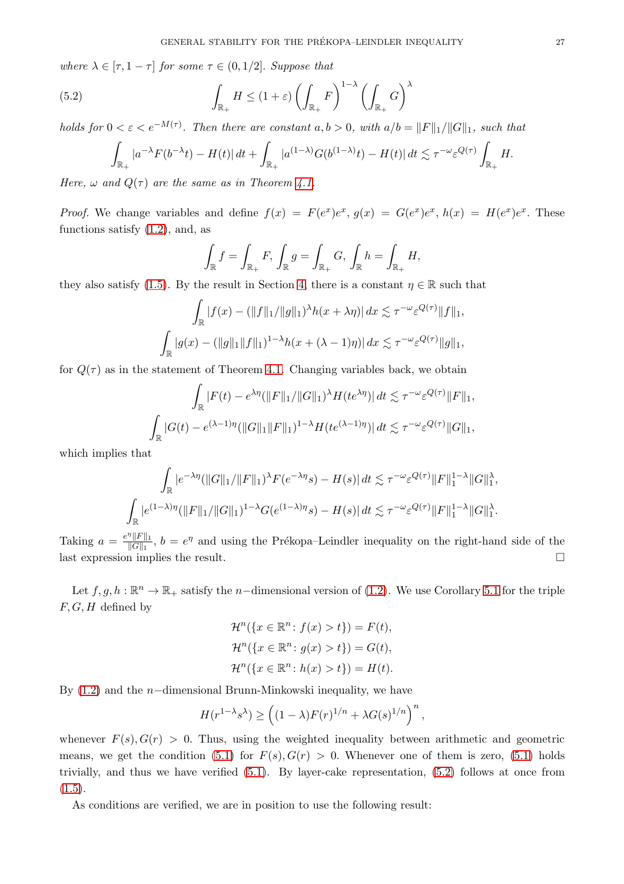where  $\lambda \in [\tau, 1 - \tau]$  for some  $\tau \in (0, 1/2]$ . Suppose that

<span id="page-26-0"></span>(5.2) 
$$
\int_{\mathbb{R}_+} H \leq (1+\varepsilon) \left( \int_{\mathbb{R}_+} F \right)^{1-\lambda} \left( \int_{\mathbb{R}_+} G \right)^{\lambda}
$$

holds for  $0 < \varepsilon < e^{-M(\tau)}$ . Then there are constant  $a, b > 0$ , with  $a/b = ||F||_1/||G||_1$ , such that

$$
\int_{\mathbb{R}_+} |a^{-\lambda} F(b^{-\lambda} t) - H(t)| dt + \int_{\mathbb{R}_+} |a^{(1-\lambda)} G(b^{(1-\lambda)} t) - H(t)| dt \lesssim \tau^{-\omega} \varepsilon^{Q(\tau)} \int_{\mathbb{R}_+} H.
$$

Here,  $\omega$  and  $Q(\tau)$  are the same as in Theorem [4.1.](#page-18-1)

*Proof.* We change variables and define  $f(x) = F(e^x)e^x$ ,  $g(x) = G(e^x)e^x$ ,  $h(x) = H(e^x)e^x$ . These functions satisfy [\(1.2\)](#page-0-3), and, as

$$
\int_{\mathbb{R}} f = \int_{\mathbb{R}_+} F, \, \int_{\mathbb{R}} g = \int_{\mathbb{R}_+} G, \, \int_{\mathbb{R}} h = \int_{\mathbb{R}_+} H,
$$

they also satisfy [\(1.5\)](#page-2-3). By the result in Section [4,](#page-18-0) there is a constant  $\eta \in \mathbb{R}$  such that

$$
\int_{\mathbb{R}} |f(x) - (\|f\|_1/\|g\|_1)^{\lambda} h(x + \lambda \eta) | dx \lesssim \tau^{-\omega} \varepsilon^{Q(\tau)} \|f\|_1,
$$
  

$$
\int_{\mathbb{R}} |g(x) - (\|g\|_1 \|f\|_1)^{1-\lambda} h(x + (\lambda - 1)\eta) | dx \lesssim \tau^{-\omega} \varepsilon^{Q(\tau)} \|g\|_1,
$$

for  $Q(\tau)$  as in the statement of Theorem [4.1.](#page-18-1) Changing variables back, we obtain

$$
\int_{\mathbb{R}} |F(t) - e^{\lambda \eta} (\|F\|_1 / \|G\|_1)^{\lambda} H(te^{\lambda \eta})| dt \lesssim \tau^{-\omega} \varepsilon^{Q(\tau)} \|F\|_1,
$$
  

$$
\int_{\mathbb{R}} |G(t) - e^{(\lambda - 1)\eta} (\|G\|_1 \|F\|_1)^{1-\lambda} H(te^{(\lambda - 1)\eta})| dt \lesssim \tau^{-\omega} \varepsilon^{Q(\tau)} \|G\|_1,
$$

which implies that

$$
\int_{\mathbb{R}} |e^{-\lambda \eta} (\|G\|_1 / \|F\|_1) ^{\lambda} F(e^{-\lambda \eta} s) - H(s) \|dt \lesssim \tau^{-\omega} \varepsilon^{Q(\tau)} \|F\|_1^{1-\lambda} \|G\|_1^{\lambda},
$$
  

$$
\int_{\mathbb{R}} |e^{(1-\lambda)\eta} (\|F\|_1 / \|G\|_1)^{1-\lambda} G(e^{(1-\lambda)\eta} s) - H(s) \|dt \lesssim \tau^{-\omega} \varepsilon^{Q(\tau)} \|F\|_1^{1-\lambda} \|G\|_1^{\lambda}.
$$

Taking  $a = \frac{e^{\eta} ||F||_1}{||G||_1}$  $\frac{\partial ||F||_1}{||G||_1}$ ,  $b = e^{\eta}$  and using the Prékopa–Leindler inequality on the right-hand side of the last expression implies the result.

Let  $f, g, h : \mathbb{R}^n \to \mathbb{R}_+$  satisfy the n-dimensional version of [\(1.2\)](#page-0-3). We use Corollary [5.1](#page-25-2) for the triple  $F, G, H$  defined by

$$
\mathcal{H}^n(\lbrace x \in \mathbb{R}^n : f(x) > t \rbrace) = F(t),
$$
  

$$
\mathcal{H}^n(\lbrace x \in \mathbb{R}^n : g(x) > t \rbrace) = G(t),
$$
  

$$
\mathcal{H}^n(\lbrace x \in \mathbb{R}^n : h(x) > t \rbrace) = H(t).
$$

By [\(1.2\)](#page-0-3) and the n−dimensional Brunn-Minkowski inequality, we have

$$
H(r^{1-\lambda}s^{\lambda}) \ge \left( (1-\lambda)F(r)^{1/n} + \lambda G(s)^{1/n} \right)^n,
$$

whenever  $F(s)$ ,  $G(r) > 0$ . Thus, using the weighted inequality between arithmetic and geometric means, we get the condition [\(5.1\)](#page-25-3) for  $F(s)$ ,  $G(r) > 0$ . Whenever one of them is zero, (5.1) holds trivially, and thus we have verified [\(5.1\)](#page-25-3). By layer-cake representation, [\(5.2\)](#page-26-0) follows at once from  $(1.5).$  $(1.5).$ 

As conditions are verified, we are in position to use the following result: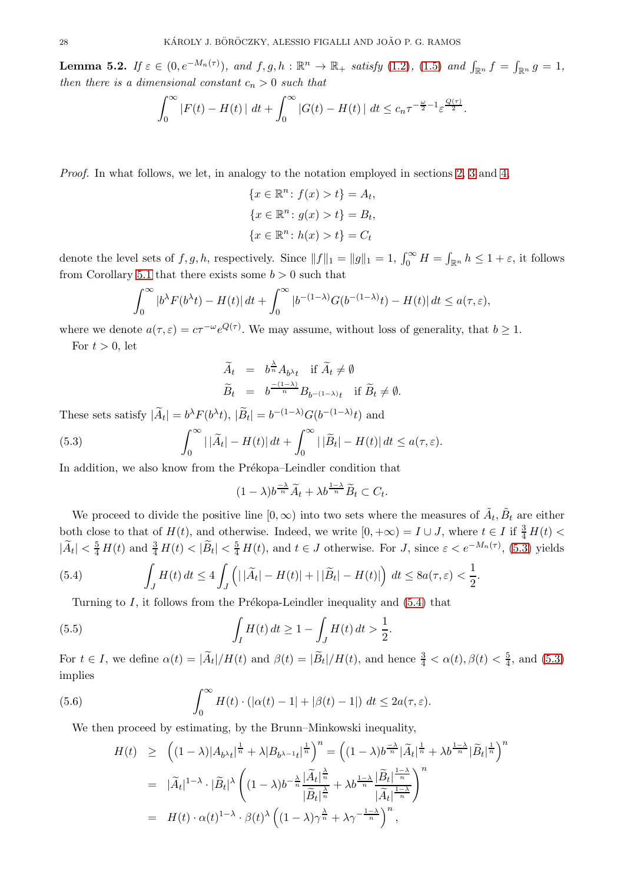<span id="page-27-5"></span>**Lemma 5.2.** If  $\varepsilon \in (0, e^{-M_n(\tau)})$ , and  $f, g, h : \mathbb{R}^n \to \mathbb{R}_+$  satisfy  $(1.2)$ ,  $(1.5)$  and  $\int_{\mathbb{R}^n} f = \int_{\mathbb{R}^n} g = 1$ , then there is a dimensional constant  $c_n > 0$  such that

$$
\int_0^\infty |F(t) - H(t)| \, dt + \int_0^\infty |G(t) - H(t)| \, dt \leq c_n \tau^{-\frac{\omega}{2} - 1} \varepsilon^{\frac{Q(\tau)}{2}}.
$$

Proof. In what follows, we let, in analogy to the notation employed in sections [2,](#page-6-1) [3](#page-13-0) and [4,](#page-18-0)

$$
\{x \in \mathbb{R}^n : f(x) > t\} = A_t,
$$
  

$$
\{x \in \mathbb{R}^n : g(x) > t\} = B_t,
$$
  

$$
\{x \in \mathbb{R}^n : h(x) > t\} = C_t
$$

denote the level sets of  $f, g, h$ , respectively. Since  $||f||_1 = ||g||_1 = 1$ ,  $\int_0^\infty H = \int_{\mathbb{R}^n} h \leq 1 + \varepsilon$ , it follows from Corollary [5.1](#page-25-2) that there exists some  $b > 0$  such that

$$
\int_0^\infty |b^\lambda F(b^\lambda t) - H(t)| dt + \int_0^\infty |b^{-(1-\lambda)} G(b^{-(1-\lambda)}t) - H(t)| dt \le a(\tau, \varepsilon),
$$

where we denote  $a(\tau, \varepsilon) = c\tau^{-\omega} e^{Q(\tau)}$ . We may assume, without loss of generality, that  $b \ge 1$ . For  $t > 0$ , let

$$
\widetilde{A}_t = b^{\frac{\lambda}{n}} A_{b^{\lambda}t} \text{ if } \widetilde{A}_t \neq \emptyset
$$
  

$$
\widetilde{B}_t = b^{\frac{-(1-\lambda)}{n}} B_{b^{-(1-\lambda)}t} \text{ if } \widetilde{B}_t \neq \emptyset.
$$

These sets satisfy  $|\tilde{A}_t| = b^{\lambda} F(b^{\lambda} t), |\tilde{B}_t| = b^{-(1-\lambda)} G(b^{-(1-\lambda)} t)$  and

<span id="page-27-0"></span>(5.3) 
$$
\int_0^\infty |\tilde{A}_t| - H(t)| dt + \int_0^\infty |\tilde{B}_t| - H(t)| dt \leq a(\tau, \varepsilon).
$$

In addition, we also know from the Prékopa–Leindler condition that

$$
(1 - \lambda)b^{\frac{-\lambda}{n}}\widetilde{A}_t + \lambda b^{\frac{1-\lambda}{n}}\widetilde{B}_t \subset C_t.
$$

We proceed to divide the positive line  $[0, \infty)$  into two sets where the measures of  $\tilde{A}_t$ ,  $\tilde{B}_t$  are either both close to that of  $H(t)$ , and otherwise. Indeed, we write  $[0, +\infty) = I \cup J$ , where  $t \in I$  if  $\frac{3}{4}H(t)$  $|\widetilde{A}_t| < \frac{5}{4} H(t)$  and  $\frac{3}{4} H(t) < |\widetilde{B}_t| < \frac{5}{4} H(t)$ , and  $t \in J$  otherwise. For J, since  $\varepsilon < e^{-M_n(\tau)}$ , [\(5.3\)](#page-27-0) yields

<span id="page-27-1"></span>(5.4) 
$$
\int_J H(t) dt \leq 4 \int_J \left( \left| |\widetilde{A}_t| - H(t) \right| + \left| |\widetilde{B}_t| - H(t) \right| \right) dt \leq 8a(\tau, \varepsilon) < \frac{1}{2}.
$$

Turning to  $I$ , it follows from the Prékopa-Leindler inequality and  $(5.4)$  that

<span id="page-27-3"></span>(5.5) 
$$
\int_I H(t) dt \ge 1 - \int_J H(t) dt > \frac{1}{2}
$$

For  $t \in I$ , we define  $\alpha(t) = |\widetilde{A}_t|/H(t)$  and  $\beta(t) = |\widetilde{B}_t|/H(t)$ , and hence  $\frac{3}{4} < \alpha(t)$ ,  $\beta(t) < \frac{5}{4}$  $\frac{5}{4}$ , and  $(5.3)$ implies

.

<span id="page-27-4"></span>(5.6) 
$$
\int_0^\infty H(t) \cdot (|\alpha(t) - 1| + |\beta(t) - 1|) dt \le 2a(\tau, \varepsilon).
$$

We then proceed by estimating, by the Brunn–Minkowski inequality,

<span id="page-27-2"></span>
$$
H(t) \geq \left( (1 - \lambda)|A_{b\lambda t}|^{\frac{1}{n}} + \lambda |B_{b\lambda - 1}t|^{\frac{1}{n}} \right)^n = \left( (1 - \lambda)b^{\frac{-\lambda}{n}}|\widetilde{A}_t|^{\frac{1}{n}} + \lambda b^{\frac{1-\lambda}{n}}|\widetilde{B}_t|^{\frac{1}{n}} \right)^n
$$
  
\n
$$
= |\widetilde{A}_t|^{1-\lambda} \cdot |\widetilde{B}_t|^{\lambda} \left( (1 - \lambda)b^{-\frac{\lambda}{n}}\frac{|\widetilde{A}_t|^{\frac{\lambda}{n}}}{|\widetilde{B}_t|^{\frac{\lambda}{n}}} + \lambda b^{\frac{1-\lambda}{n}}\frac{|\widetilde{B}_t|^{\frac{1-\lambda}{n}}}{|\widetilde{A}_t|^{\frac{1-\lambda}{n}}} \right)^n
$$
  
\n
$$
= H(t) \cdot \alpha(t)^{1-\lambda} \cdot \beta(t)^{\lambda} \left( (1 - \lambda)\gamma^{\frac{\lambda}{n}} + \lambda\gamma^{-\frac{1-\lambda}{n}} \right)^n,
$$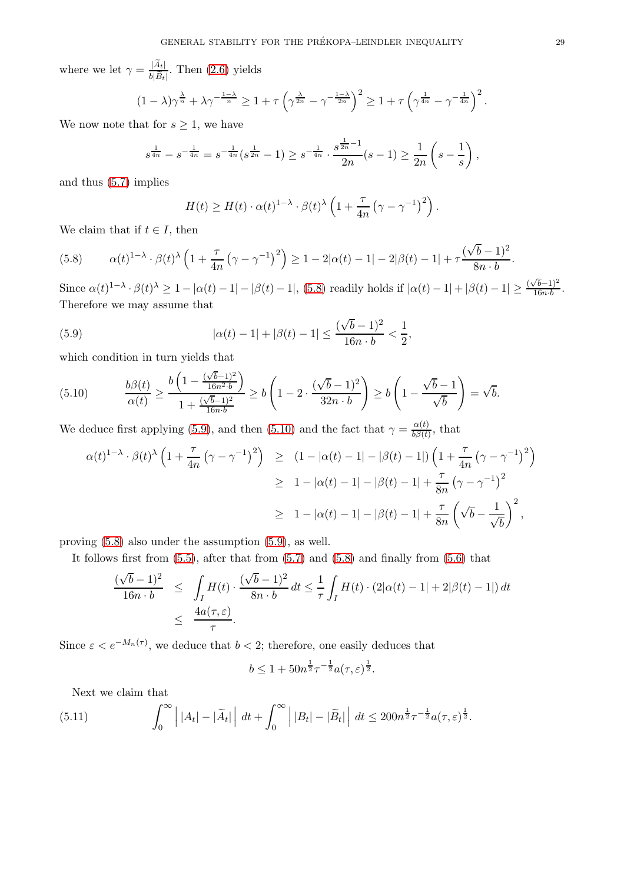where we let  $\gamma = \frac{|\widetilde{A}_t|}{\sqrt{|\widetilde{B}_t|}}$  $\frac{|A_t|}{b|\widetilde{B}_t|}$ . Then  $(2.6)$  yields

$$
(1 - \lambda)\gamma^{\frac{\lambda}{n}} + \lambda \gamma^{-\frac{1-\lambda}{n}} \ge 1 + \tau \left(\gamma^{\frac{\lambda}{2n}} - \gamma^{-\frac{1-\lambda}{2n}}\right)^2 \ge 1 + \tau \left(\gamma^{\frac{1}{4n}} - \gamma^{-\frac{1}{4n}}\right)^2.
$$

We now note that for  $s \geq 1$ , we have

$$
s^{\frac{1}{4n}} - s^{-\frac{1}{4n}} = s^{-\frac{1}{4n}}(s^{\frac{1}{2n}} - 1) \geq s^{-\frac{1}{4n}} \cdot \frac{s^{\frac{1}{2n}-1}}{2n}(s-1) \geq \frac{1}{2n} \left(s - \frac{1}{s}\right),
$$

and thus [\(5.7\)](#page-27-2) implies

$$
H(t) \ge H(t) \cdot \alpha(t)^{1-\lambda} \cdot \beta(t)^{\lambda} \left(1 + \frac{\tau}{4n} \left(\gamma - \gamma^{-1}\right)^2\right).
$$

We claim that if  $t \in I$ , then

<span id="page-28-0"></span>(5.8) 
$$
\alpha(t)^{1-\lambda} \cdot \beta(t)^{\lambda} \left(1 + \frac{\tau}{4n} \left(\gamma - \gamma^{-1}\right)^2\right) \ge 1 - 2|\alpha(t) - 1| - 2|\beta(t) - 1| + \tau \frac{(\sqrt{b} - 1)^2}{8n \cdot b}.
$$

Since  $\alpha(t)^{1-\lambda} \cdot \beta(t)^{\lambda} \ge 1 - |\alpha(t) - 1| - |\beta(t) - 1|$ , [\(5.8\)](#page-28-0) readily holds if  $|\alpha(t) - 1| + |\beta(t) - 1| \ge \frac{(\sqrt{b}-1)^2}{16n \cdot b}$  $\frac{(b-1)^2}{16n \cdot b}$ Therefore we may assume that

<span id="page-28-1"></span>(5.9) 
$$
|\alpha(t) - 1| + |\beta(t) - 1| \le \frac{(\sqrt{b} - 1)^2}{16n \cdot b} < \frac{1}{2},
$$

which condition in turn yields that

<span id="page-28-2"></span>(5.10) bβ(t) α(t) ≥ b 1 − ( √ <sup>b</sup>−1)<sup>2</sup> 16n2·b 1 + ( √ b−1)<sup>2</sup> 16n·b ≥ b 1 − 2 · ( √ <sup>b</sup> <sup>−</sup> 1)<sup>2</sup> 32n · b ! ≥ b 1 − √ b − 1 √ b ! = √ b.

We deduce first applying [\(5.9\)](#page-28-1), and then [\(5.10\)](#page-28-2) and the fact that  $\gamma = \frac{\alpha(t)}{h\beta(t)}$  $\frac{\alpha(t)}{b\beta(t)}$ , that

$$
\alpha(t)^{1-\lambda} \cdot \beta(t)^{\lambda} \left(1 + \frac{\tau}{4n} \left(\gamma - \gamma^{-1}\right)^2\right) \geq (1 - |\alpha(t) - 1| - |\beta(t) - 1|) \left(1 + \frac{\tau}{4n} \left(\gamma - \gamma^{-1}\right)^2\right)
$$
  
\n
$$
\geq 1 - |\alpha(t) - 1| - |\beta(t) - 1| + \frac{\tau}{8n} \left(\gamma - \gamma^{-1}\right)^2
$$
  
\n
$$
\geq 1 - |\alpha(t) - 1| - |\beta(t) - 1| + \frac{\tau}{8n} \left(\sqrt{b} - \frac{1}{\sqrt{b}}\right)^2,
$$

proving [\(5.8\)](#page-28-0) also under the assumption [\(5.9\)](#page-28-1), as well.

It follows first from  $(5.5)$ , after that from  $(5.7)$  and  $(5.8)$  and finally from  $(5.6)$  that

$$
\frac{(\sqrt{b}-1)^2}{16n\cdot b} \le \int_I H(t) \cdot \frac{(\sqrt{b}-1)^2}{8n\cdot b} dt \le \frac{1}{\tau} \int_I H(t) \cdot (2|\alpha(t)-1|+2|\beta(t)-1|) dt
$$
  

$$
\le \frac{4a(\tau,\varepsilon)}{\tau}.
$$

Since  $\varepsilon < e^{-M_n(\tau)}$ , we deduce that  $b < 2$ ; therefore, one easily deduces that

$$
b \leq 1 + 50n^{\frac{1}{2}} \tau^{-\frac{1}{2}} a(\tau, \varepsilon)^{\frac{1}{2}}.
$$

Next we claim that

<span id="page-28-3"></span>(5.11) 
$$
\int_0^\infty \left| |A_t| - |\widetilde{A}_t| \right| dt + \int_0^\infty \left| |B_t| - |\widetilde{B}_t| \right| dt \leq 200 n^{\frac{1}{2}} \tau^{-\frac{1}{2}} a(\tau, \varepsilon)^{\frac{1}{2}}.
$$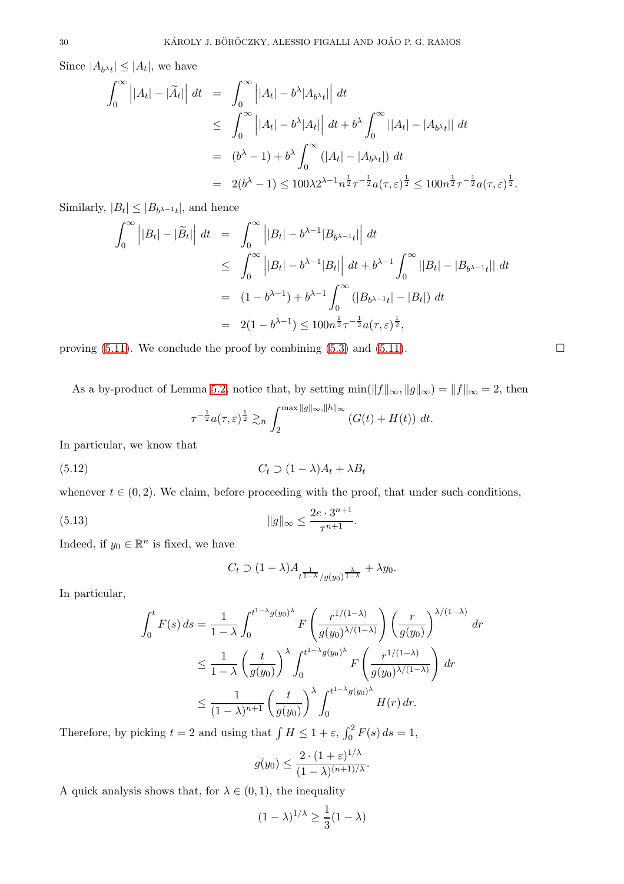Since  $|A_{b\lambda t}| \leq |A_t|$ , we have

$$
\int_0^\infty \left| |A_t| - |\tilde{A}_t| \right| dt = \int_0^\infty \left| |A_t| - b^\lambda |A_{b^\lambda t}| \right| dt
$$
  
\n
$$
\leq \int_0^\infty \left| |A_t| - b^\lambda |A_t| \right| dt + b^\lambda \int_0^\infty ||A_t| - |A_{b^\lambda t}| dt
$$
  
\n
$$
= (b^\lambda - 1) + b^\lambda \int_0^\infty (|A_t| - |A_{b^\lambda t}|) dt
$$
  
\n
$$
= 2(b^\lambda - 1) \leq 100\lambda 2^{\lambda - 1} n^{\frac{1}{2}} \tau^{-\frac{1}{2}} a(\tau, \varepsilon)^{\frac{1}{2}} \leq 100 n^{\frac{1}{2}} \tau^{-\frac{1}{2}} a(\tau, \varepsilon)^{\frac{1}{2}}.
$$

Similarly,  $|B_t| \leq |B_{b^{\lambda-1}t}|$ , and hence

$$
\int_0^{\infty} |B_t| - |\tilde{B}_t| \, dt = \int_0^{\infty} |B_t| - b^{\lambda - 1} |B_{b^{\lambda - 1}t}| \, dt
$$
  
\n
$$
\leq \int_0^{\infty} |B_t| - b^{\lambda - 1} |B_t| \, dt + b^{\lambda - 1} \int_0^{\infty} |B_t| - |B_{b^{\lambda - 1}t}| \, dt
$$
  
\n
$$
= (1 - b^{\lambda - 1}) + b^{\lambda - 1} \int_0^{\infty} (|B_{b^{\lambda - 1}t}| - |B_t|) \, dt
$$
  
\n
$$
= 2(1 - b^{\lambda - 1}) \leq 100n^{\frac{1}{2}} \tau^{-\frac{1}{2}} a(\tau, \varepsilon)^{\frac{1}{2}},
$$

proving [\(5.11\)](#page-28-3). We conclude the proof by combining [\(5.3\)](#page-27-0) and [\(5.11\)](#page-28-3).  $\Box$ 

As a by-product of Lemma [5.2,](#page-27-5) notice that, by setting  $\min(||f||_{\infty}, ||g||_{\infty}) = ||f||_{\infty} = 2$ , then

$$
\tau^{-\frac{1}{2}}a(\tau,\varepsilon)^{\frac{1}{2}} \gtrsim_n \int_2^{\max \|g\|_{\infty},\|h\|_{\infty}} (G(t) + H(t)) dt.
$$

In particular, we know that

<span id="page-29-0"></span>
$$
(5.12) \t Ct \supset (1 - \lambda)At + \lambda Bt
$$

whenever  $t \in (0, 2)$ . We claim, before proceeding with the proof, that under such conditions,

<span id="page-29-1"></span>(5.13) 
$$
||g||_{\infty} \leq \frac{2e \cdot 3^{n+1}}{\tau^{n+1}}.
$$

Indeed, if  $y_0 \in \mathbb{R}^n$  is fixed, we have

$$
C_t \supset (1-\lambda)A_{t^{\frac{1}{1-\lambda}}/g(y_0)^{\frac{\lambda}{1-\lambda}}} + \lambda y_0.
$$

In particular,

$$
\int_0^t F(s) ds = \frac{1}{1 - \lambda} \int_0^{t^{1 - \lambda} g(y_0)^{\lambda}} F\left(\frac{r^{1/(1 - \lambda)}}{g(y_0)^{\lambda/(1 - \lambda)}}\right) \left(\frac{r}{g(y_0)}\right)^{\lambda/(1 - \lambda)} dr
$$
  

$$
\leq \frac{1}{1 - \lambda} \left(\frac{t}{g(y_0)}\right)^{\lambda} \int_0^{t^{1 - \lambda} g(y_0)^{\lambda}} F\left(\frac{r^{1/(1 - \lambda)}}{g(y_0)^{\lambda/(1 - \lambda)}}\right) dr
$$
  

$$
\leq \frac{1}{(1 - \lambda)^{n+1}} \left(\frac{t}{g(y_0)}\right)^{\lambda} \int_0^{t^{1 - \lambda} g(y_0)^{\lambda}} H(r) dr.
$$

Therefore, by picking  $t = 2$  and using that  $\int H \le 1 + \varepsilon$ ,  $\int_0^2 F(s) ds = 1$ ,

$$
g(y_0) \leq \frac{2 \cdot (1+\varepsilon)^{1/\lambda}}{(1-\lambda)^{(n+1)/\lambda}}.
$$

A quick analysis shows that, for  $\lambda \in (0,1)$ , the inequality

$$
(1 - \lambda)^{1/\lambda} \ge \frac{1}{3}(1 - \lambda)
$$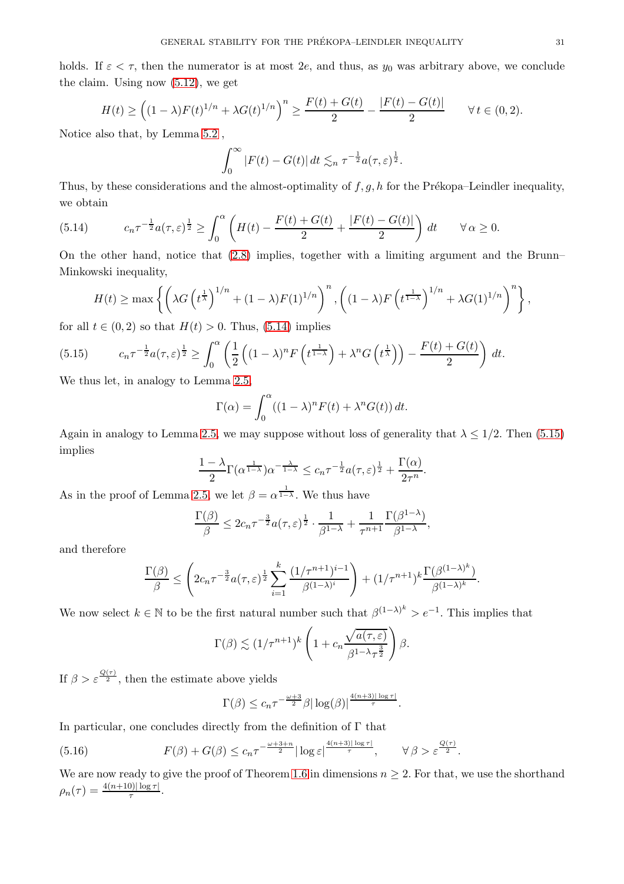holds. If  $\varepsilon < \tau$ , then the numerator is at most 2e, and thus, as  $y_0$  was arbitrary above, we conclude the claim. Using now [\(5.12\)](#page-29-0), we get

$$
H(t) \ge \left( (1 - \lambda) F(t)^{1/n} + \lambda G(t)^{1/n} \right)^n \ge \frac{F(t) + G(t)}{2} - \frac{|F(t) - G(t)|}{2} \qquad \forall \, t \in (0, 2).
$$

Notice also that, by Lemma [5.2](#page-27-5) ,

$$
\int_0^\infty |F(t) - G(t)| dt \lesssim_n \tau^{-\frac{1}{2}} a(\tau, \varepsilon)^{\frac{1}{2}}.
$$

Thus, by these considerations and the almost-optimality of  $f, g, h$  for the Prékopa–Leindler inequality, we obtain

<span id="page-30-0"></span>(5.14) 
$$
c_n \tau^{-\frac{1}{2}} a(\tau,\varepsilon)^{\frac{1}{2}} \geq \int_0^{\alpha} \left( H(t) - \frac{F(t) + G(t)}{2} + \frac{|F(t) - G(t)|}{2} \right) dt \quad \forall \alpha \geq 0.
$$

On the other hand, notice that [\(2.8\)](#page-8-5) implies, together with a limiting argument and the Brunn– Minkowski inequality,

$$
H(t) \ge \max\left\{ \left(\lambda G\left(t^{\frac{1}{\lambda}}\right)^{1/n} + (1-\lambda)F(1)^{1/n}\right)^n, \left((1-\lambda)F\left(t^{\frac{1}{1-\lambda}}\right)^{1/n} + \lambda G(1)^{1/n}\right)^n \right\},\
$$

for all  $t \in (0, 2)$  so that  $H(t) > 0$ . Thus, [\(5.14\)](#page-30-0) implies

<span id="page-30-1"></span>(5.15) 
$$
c_n \tau^{-\frac{1}{2}} a(\tau,\varepsilon)^{\frac{1}{2}} \geq \int_0^{\alpha} \left( \frac{1}{2} \left( (1-\lambda)^n F\left(t^{\frac{1}{1-\lambda}}\right) + \lambda^n G\left(t^{\frac{1}{\lambda}}\right) \right) - \frac{F(t) + G(t)}{2} \right) dt.
$$

We thus let, in analogy to Lemma [2.5,](#page-8-4)

$$
\Gamma(\alpha) = \int_0^{\alpha} ((1 - \lambda)^n F(t) + \lambda^n G(t)) dt.
$$

Again in analogy to Lemma [2.5,](#page-8-4) we may suppose without loss of generality that  $\lambda \leq 1/2$ . Then [\(5.15\)](#page-30-1) implies

$$
\frac{1-\lambda}{2}\Gamma(\alpha^{\frac{1}{1-\lambda}})\alpha^{-\frac{\lambda}{1-\lambda}} \leq c_n\tau^{-\frac{1}{2}}a(\tau,\varepsilon)^{\frac{1}{2}}+\frac{\Gamma(\alpha)}{2\tau^n}.
$$

As in the proof of Lemma [2.5,](#page-8-4) we let  $\beta = \alpha^{\frac{1}{1-\lambda}}$ . We thus have

$$
\frac{\Gamma(\beta)}{\beta} \le 2c_n \tau^{-\frac{3}{2}} a(\tau,\varepsilon)^{\frac{1}{2}} \cdot \frac{1}{\beta^{1-\lambda}} + \frac{1}{\tau^{n+1}} \frac{\Gamma(\beta^{1-\lambda})}{\beta^{1-\lambda}},
$$

and therefore

$$
\frac{\Gamma(\beta)}{\beta} \le \left(2c_n\tau^{-\frac{3}{2}}a(\tau,\varepsilon)^{\frac{1}{2}}\sum_{i=1}^k \frac{(1/\tau^{n+1})^{i-1}}{\beta^{(1-\lambda)^i}}\right) + (1/\tau^{n+1})^k \frac{\Gamma(\beta^{(1-\lambda)^k})}{\beta^{(1-\lambda)^k}}.
$$

We now select  $k \in \mathbb{N}$  to be the first natural number such that  $\beta^{(1-\lambda)^k} > e^{-1}$ . This implies that

$$
\Gamma(\beta) \lesssim (1/\tau^{n+1})^k \left(1 + c_n \frac{\sqrt{a(\tau,\varepsilon)}}{\beta^{1-\lambda}\tau^{\frac{3}{2}}}\right)\beta.
$$

If  $\beta > \varepsilon^{\frac{Q(\tau)}{2}}$ , then the estimate above yields

$$
\Gamma(\beta) \le c_n \tau^{-\frac{\omega+3}{2}} \beta |\log(\beta)|^{\frac{4(n+3)|\log \tau|}{\tau}}.
$$

In particular, one concludes directly from the definition of  $\Gamma$  that

<span id="page-30-2"></span>(5.16) 
$$
F(\beta) + G(\beta) \leq c_n \tau^{-\frac{\omega+3+n}{2}} |\log \varepsilon|^{\frac{4(n+3)|\log \tau|}{\tau}}, \qquad \forall \beta > \varepsilon^{\frac{Q(\tau)}{2}}.
$$

We are now ready to give the proof of Theorem [1.6](#page-2-2) in dimensions  $n \geq 2$ . For that, we use the shorthand  $\rho_n(\tau) = \frac{4(n+10)|\log \tau|}{\tau}.$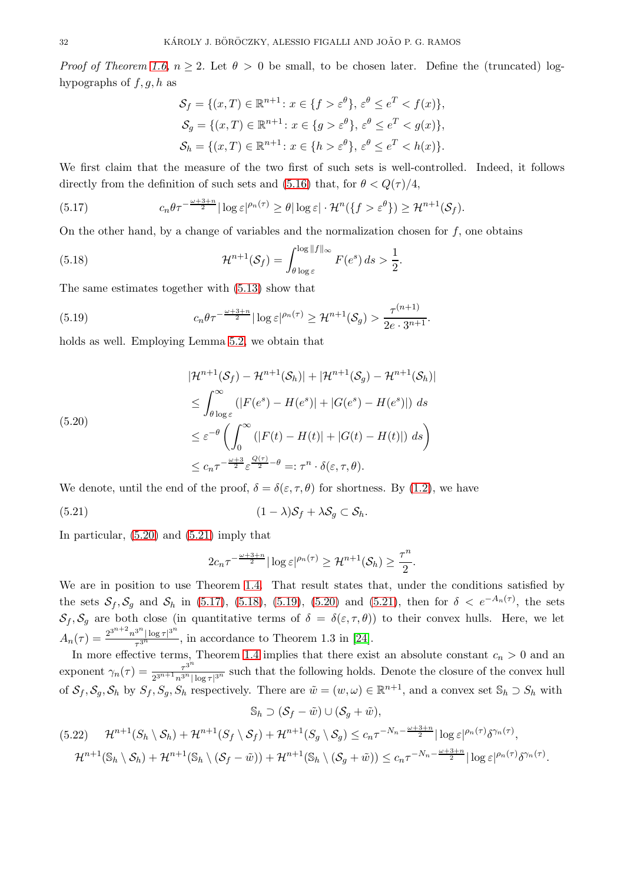*Proof of Theorem [1.6,](#page-2-2) n*  $\geq$  2. Let  $\theta$   $>$  0 be small, to be chosen later. Define the (truncated) loghypographs of  $f, g, h$  as

$$
\mathcal{S}_f = \{(x, T) \in \mathbb{R}^{n+1} : x \in \{f > \varepsilon^{\theta}\}, \varepsilon^{\theta} \le e^T < f(x)\},
$$
  
\n
$$
\mathcal{S}_g = \{(x, T) \in \mathbb{R}^{n+1} : x \in \{g > \varepsilon^{\theta}\}, \varepsilon^{\theta} \le e^T < g(x)\},
$$
  
\n
$$
\mathcal{S}_h = \{(x, T) \in \mathbb{R}^{n+1} : x \in \{h > \varepsilon^{\theta}\}, \varepsilon^{\theta} \le e^T < h(x)\}.
$$

We first claim that the measure of the two first of such sets is well-controlled. Indeed, it follows directly from the definition of such sets and [\(5.16\)](#page-30-2) that, for  $\theta < Q(\tau)/4$ ,

<span id="page-31-2"></span>(5.17) 
$$
c_n \theta \tau^{-\frac{\omega+3+n}{2}} |\log \varepsilon|^{p_n(\tau)} \geq \theta |\log \varepsilon| \cdot \mathcal{H}^n(\lbrace f > \varepsilon^{\theta} \rbrace) \geq \mathcal{H}^{n+1}(\mathcal{S}_f).
$$

On the other hand, by a change of variables and the normalization chosen for  $f$ , one obtains

<span id="page-31-3"></span>(5.18) 
$$
\mathcal{H}^{n+1}(\mathcal{S}_f) = \int_{\theta \log \varepsilon}^{\log ||f||_{\infty}} F(e^s) ds > \frac{1}{2}.
$$

The same estimates together with [\(5.13\)](#page-29-1) show that

<span id="page-31-4"></span>(5.19) 
$$
c_n \theta \tau^{-\frac{\omega+3+n}{2}} |\log \varepsilon|^{p_n(\tau)} \geq \mathcal{H}^{n+1}(\mathcal{S}_g) > \frac{\tau^{(n+1)}}{2e \cdot 3^{n+1}}.
$$

holds as well. Employing Lemma [5.2,](#page-27-5) we obtain that

<span id="page-31-0"></span>
$$
|\mathcal{H}^{n+1}(\mathcal{S}_f) - \mathcal{H}^{n+1}(\mathcal{S}_h)| + |\mathcal{H}^{n+1}(\mathcal{S}_g) - \mathcal{H}^{n+1}(\mathcal{S}_h)|
$$
  
\n
$$
\leq \int_{\theta \log \varepsilon}^{\infty} (|F(e^s) - H(e^s)| + |G(e^s) - H(e^s)|) ds
$$
  
\n
$$
\leq \varepsilon^{-\theta} \left( \int_0^{\infty} (|F(t) - H(t)| + |G(t) - H(t)|) ds \right)
$$
  
\n
$$
\leq c_n \tau^{-\frac{\omega+3}{2}} \varepsilon^{\frac{Q(\tau)}{2} - \theta} =: \tau^n \cdot \delta(\varepsilon, \tau, \theta).
$$

We denote, until the end of the proof,  $\delta = \delta(\varepsilon, \tau, \theta)$  for shortness. By [\(1.2\)](#page-0-3), we have

<span id="page-31-1"></span>
$$
(5.21) \t\t\t (1-\lambda)S_f + \lambda S_g \subset S_h.
$$

In particular, [\(5.20\)](#page-31-0) and [\(5.21\)](#page-31-1) imply that

$$
2c_n\tau^{-\frac{\omega+3+n}{2}}|\log \varepsilon|^{\rho_n(\tau)} \geq \mathcal{H}^{n+1}(\mathcal{S}_h) \geq \frac{\tau^n}{2}.
$$

We are in position to use Theorem [1.4.](#page-1-1) That result states that, under the conditions satisfied by the sets  $S_f$ ,  $S_g$  and  $S_h$  in [\(5.17\)](#page-31-2), [\(5.18\)](#page-31-3), [\(5.19\)](#page-31-4), [\(5.20\)](#page-31-0) and [\(5.21\)](#page-31-1), then for  $\delta < e^{-A_n(\tau)}$ , the sets  $S_f$ ,  $S_g$  are both close (in quantitative terms of  $\delta = \delta(\epsilon, \tau, \theta)$ ) to their convex hulls. Here, we let  $A_n(\tau) = \frac{2^{3^{n+2}} n^{3^n} |\log \tau|^{3^n}}{\tau^{3^n}}$  $\frac{\log \tau}{\tau^{3^n}}$ , in accordance to Theorem 1.3 in [\[24\]](#page-35-13).

In more effective terms, Theorem [1.4](#page-1-1) implies that there exist an absolute constant  $c_n > 0$  and an exponent  $\gamma_n(\tau) = \frac{\tau^{3^n}}{2n+1}$  $\frac{\tau^{\circ}}{2^{3^{n+1}}n^{3^n}|\log \tau|^{3^n}}$  such that the following holds. Denote the closure of the convex hull of  $S_f$ ,  $S_g$ ,  $S_h$  by  $S_f$ ,  $S_g$ ,  $S_h$  respectively. There are  $\tilde{w} = (w, \omega) \in \mathbb{R}^{n+1}$ , and a convex set  $\mathbb{S}_h \supset S_h$  with

$$
\mathbb{S}_h \supset (\mathcal{S}_f - \tilde{w}) \cup (\mathcal{S}_g + \tilde{w}),
$$

<span id="page-31-5"></span>
$$
(5.22) \mathcal{H}^{n+1}(S_h \setminus S_h) + \mathcal{H}^{n+1}(S_f \setminus S_f) + \mathcal{H}^{n+1}(S_g \setminus S_g) \le c_n \tau^{-N_n - \frac{\omega + 3 + n}{2}} |\log \varepsilon|^{p_n(\tau)} \delta^{\gamma_n(\tau)},
$$
  

$$
\mathcal{H}^{n+1}(\mathbb{S}_h \setminus S_h) + \mathcal{H}^{n+1}(\mathbb{S}_h \setminus (S_f - \tilde{w})) + \mathcal{H}^{n+1}(\mathbb{S}_h \setminus (S_g + \tilde{w})) \le c_n \tau^{-N_n - \frac{\omega + 3 + n}{2}} |\log \varepsilon|^{p_n(\tau)} \delta^{\gamma_n(\tau)}.
$$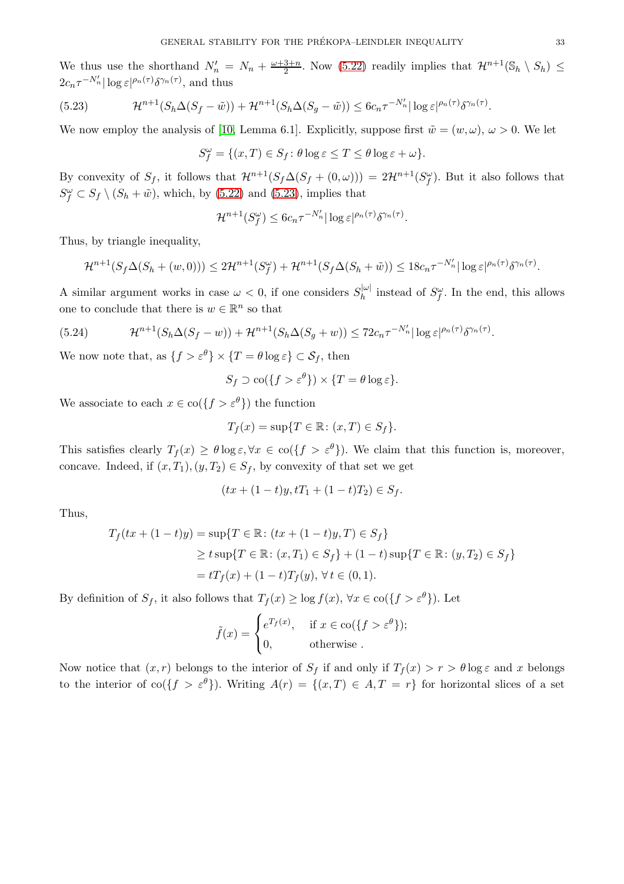We thus use the shorthand  $N'_n = N_n + \frac{\omega + 3 + n}{2}$ . Now [\(5.22\)](#page-31-5) readily implies that  $\mathcal{H}^{n+1}(\mathbb{S}_h \setminus S_h) \leq$  $2c_n\tau^{-N'_n}|\log \varepsilon|^{\rho_n(\tau)}\delta^{\gamma_n(\tau)},$  and thus

<span id="page-32-0"></span>(5.23) 
$$
\mathcal{H}^{n+1}(S_h\Delta(S_f - \tilde{w})) + \mathcal{H}^{n+1}(S_h\Delta(S_g - \tilde{w})) \le 6c_n \tau^{-N'_n} |\log \varepsilon|^{\rho_n(\tau)} \delta^{\gamma_n(\tau)}.
$$

We now employ the analysis of [\[10,](#page-35-21) Lemma 6.1]. Explicitly, suppose first  $\tilde{w} = (w, \omega)$ ,  $\omega > 0$ . We let

$$
S_f^{\omega} = \{(x,T) \in S_f \colon \theta \log \varepsilon \leq T \leq \theta \log \varepsilon + \omega\}.
$$

By convexity of  $S_f$ , it follows that  $\mathcal{H}^{n+1}(S_f\Delta(S_f+(0,\omega)))=2\mathcal{H}^{n+1}(S_f^{\omega})$ . But it also follows that  $S_f^{\omega} \subset S_f \setminus (S_h + \tilde{w})$ , which, by [\(5.22\)](#page-31-5) and [\(5.23\)](#page-32-0), implies that

$$
\mathcal{H}^{n+1}(S_f^{\omega}) \le 6c_n \tau^{-N'_n} |\log \varepsilon|^{\rho_n(\tau)} \delta^{\gamma_n(\tau)}.
$$

Thus, by triangle inequality,

$$
\mathcal{H}^{n+1}(S_f\Delta(S_h+(w,0)))\leq 2\mathcal{H}^{n+1}(S_f^{\omega})+\mathcal{H}^{n+1}(S_f\Delta(S_h+\tilde{w}))\leq 18c_n\tau^{-N'_n}|\log\varepsilon|^{\rho_n(\tau)}\delta^{\gamma_n(\tau)}.
$$

A similar argument works in case  $\omega < 0$ , if one considers  $S_h^{|\omega|}$  instead of  $S_f^{\omega}$ . In the end, this allows one to conclude that there is  $w \in \mathbb{R}^n$  so that

<span id="page-32-1"></span>(5.24) 
$$
\mathcal{H}^{n+1}(S_h\Delta(S_f-w))+\mathcal{H}^{n+1}(S_h\Delta(S_g+w))\leq 72c_n\tau^{-N'_n}|\log \varepsilon|^{\rho_n(\tau)}\delta^{\gamma_n(\tau)}.
$$

We now note that, as  $\{f > \varepsilon^{\theta}\}\times\{T = \theta \log \varepsilon\} \subset \mathcal{S}_f$ , then

$$
S_f \supset \text{co}(\{f > \varepsilon^{\theta}\}) \times \{T = \theta \log \varepsilon\}.
$$

We associate to each  $x \in \text{co}(\lbrace f > \varepsilon^{\theta} \rbrace)$  the function

$$
T_f(x) = \sup\{T \in \mathbb{R} \colon (x,T) \in S_f\}.
$$

This satisfies clearly  $T_f(x) \geq \theta \log \varepsilon$ ,  $\forall x \in \text{co}(\lbrace f > \varepsilon^{\theta} \rbrace)$ . We claim that this function is, moreover, concave. Indeed, if  $(x, T_1), (y, T_2) \in S_f$ , by convexity of that set we get

$$
(tx + (1-t)y, tT_1 + (1-t)T_2) \in S_f.
$$

Thus,

$$
T_f(tx + (1-t)y) = \sup\{T \in \mathbb{R} : (tx + (1-t)y, T) \in S_f\}
$$
  
\n
$$
\ge t \sup\{T \in \mathbb{R} : (x, T_1) \in S_f\} + (1-t) \sup\{T \in \mathbb{R} : (y, T_2) \in S_f\}
$$
  
\n
$$
= tT_f(x) + (1-t)T_f(y), \forall t \in (0, 1).
$$

By definition of  $S_f$ , it also follows that  $T_f(x) \ge \log f(x)$ ,  $\forall x \in \text{co}(\lbrace f > \varepsilon^{\theta} \rbrace)$ . Let

$$
\tilde{f}(x) = \begin{cases} e^{T_f(x)}, & \text{if } x \in \text{co}(\{f > \varepsilon^{\theta}\});\\ 0, & \text{otherwise}. \end{cases}
$$

Now notice that  $(x, r)$  belongs to the interior of  $S_f$  if and only if  $T_f(x) > r > \theta \log \varepsilon$  and x belongs to the interior of co( $\{f > \varepsilon^{\theta}\}\)$ ). Writing  $A(r) = \{(x, T) \in A, T = r\}$  for horizontal slices of a set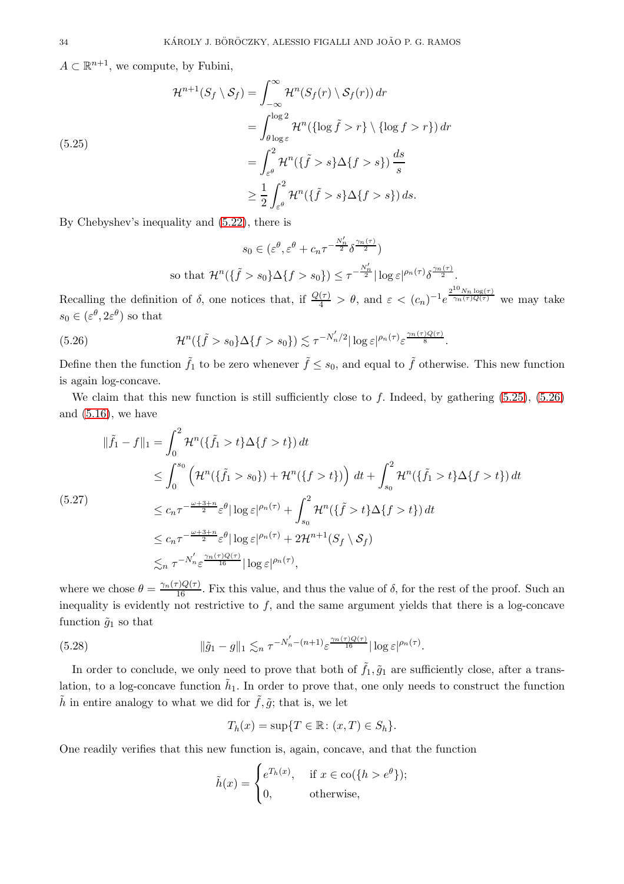$A \subset \mathbb{R}^{n+1}$ , we compute, by Fubini,

<span id="page-33-0"></span>
$$
\mathcal{H}^{n+1}(S_f \setminus S_f) = \int_{-\infty}^{\infty} \mathcal{H}^n(S_f(r) \setminus S_f(r)) dr
$$
  
\n
$$
= \int_{\theta \log \varepsilon}^{\log 2} \mathcal{H}^n(\{\log \tilde{f} > r\} \setminus \{\log f > r\}) dr
$$
  
\n
$$
= \int_{\varepsilon^{\theta}}^2 \mathcal{H}^n(\{\tilde{f} > s\} \Delta \{f > s\}) \frac{ds}{s}
$$
  
\n
$$
\geq \frac{1}{2} \int_{\varepsilon^{\theta}}^2 \mathcal{H}^n(\{\tilde{f} > s\} \Delta \{f > s\}) ds.
$$

By Chebyshev's inequality and [\(5.22\)](#page-31-5), there is

$$
s_0 \in (\varepsilon^{\theta}, \varepsilon^{\theta} + c_n \tau^{-\frac{N'_n}{2}} \delta^{\frac{\gamma_n(\tau)}{2}})
$$
  
so that  $\mathcal{H}^n(\{\tilde{f} > s_0\} \Delta \{f > s_0\}) \le \tau^{-\frac{N'_n}{2}} |\log \varepsilon|^{\rho_n(\tau)} \delta^{\frac{\gamma_n(\tau)}{2}}.$ 

Recalling the definition of  $\delta$ , one notices that, if  $\frac{Q(\tau)}{4} > \theta$ , and  $\varepsilon < (c_n)^{-1} e^{\frac{2^{10} N_n \log(\tau)}{ \gamma_n(\tau) Q(\tau)}}$  $\sqrt[n]{n^{(\tau)}Q(\tau)}$  we may take  $s_0 \in (\varepsilon^\theta, 2\varepsilon^\theta)$  so that

<span id="page-33-1"></span>(5.26) 
$$
\mathcal{H}^n(\{\tilde{f} > s_0\} \Delta \{f > s_0\}) \lesssim \tau^{-N'_n/2} |\log \varepsilon|^{\rho_n(\tau)} \varepsilon^{\frac{\gamma_n(\tau)Q(\tau)}{8}}.
$$

Define then the function  $\tilde{f}_1$  to be zero whenever  $\tilde{f} \leq s_0$ , and equal to  $\tilde{f}$  otherwise. This new function is again log-concave.

We claim that this new function is still sufficiently close to f. Indeed, by gathering  $(5.25)$ ,  $(5.26)$ and  $(5.16)$ , we have

<span id="page-33-2"></span>
$$
\|\tilde{f}_1 - f\|_1 = \int_0^2 \mathcal{H}^n(\{\tilde{f}_1 > t\} \Delta \{f > t\}) dt
$$
  
\n
$$
\leq \int_0^{s_0} \left( \mathcal{H}^n(\{\tilde{f}_1 > s_0\}) + \mathcal{H}^n(\{f > t\}) \right) dt + \int_{s_0}^2 \mathcal{H}^n(\{\tilde{f}_1 > t\} \Delta \{f > t\}) dt
$$
  
\n(5.27)  
\n
$$
\leq c_n \tau^{-\frac{\omega + 3 + n}{2}} \varepsilon^{\theta} |\log \varepsilon|^{\rho_n(\tau)} + \int_{s_0}^2 \mathcal{H}^n(\{\tilde{f} > t\} \Delta \{f > t\}) dt
$$
  
\n
$$
\leq c_n \tau^{-\frac{\omega + 3 + n}{2}} \varepsilon^{\theta} |\log \varepsilon|^{\rho_n(\tau)} + 2 \mathcal{H}^{n+1}(S_f \setminus S_f)
$$
  
\n
$$
\lesssim_n \tau^{-N'_n} \varepsilon^{\frac{\gamma_n(\tau) Q(\tau)}{16}} |\log \varepsilon|^{\rho_n(\tau)},
$$

where we chose  $\theta = \frac{\gamma_n(\tau)Q(\tau)}{16}$ . Fix this value, and thus the value of  $\delta$ , for the rest of the proof. Such an inequality is evidently not restrictive to  $f$ , and the same argument yields that there is a log-concave function  $\tilde{g}_1$  so that

<span id="page-33-3"></span>(5.28) 
$$
\|\tilde{g}_1 - g\|_1 \lesssim_n \tau^{-N_n' - (n+1)} \varepsilon^{\frac{\gamma_n(\tau)Q(\tau)}{16}} |\log \varepsilon|^{\rho_n(\tau)}.
$$

In order to conclude, we only need to prove that both of  $\tilde{f}_1, \tilde{g}_1$  are sufficiently close, after a translation, to a log-concave function  $\tilde{h}_1$ . In order to prove that, one only needs to construct the function  $\tilde{h}$  in entire analogy to what we did for  $\tilde{f}, \tilde{g}$ ; that is, we let

$$
T_h(x) = \sup\{T \in \mathbb{R} \colon (x,T) \in S_h\}.
$$

One readily verifies that this new function is, again, concave, and that the function

$$
\tilde{h}(x) = \begin{cases} e^{T_h(x)}, & \text{if } x \in \text{co}(\{h > e^{\theta}\});\\ 0, & \text{otherwise}, \end{cases}
$$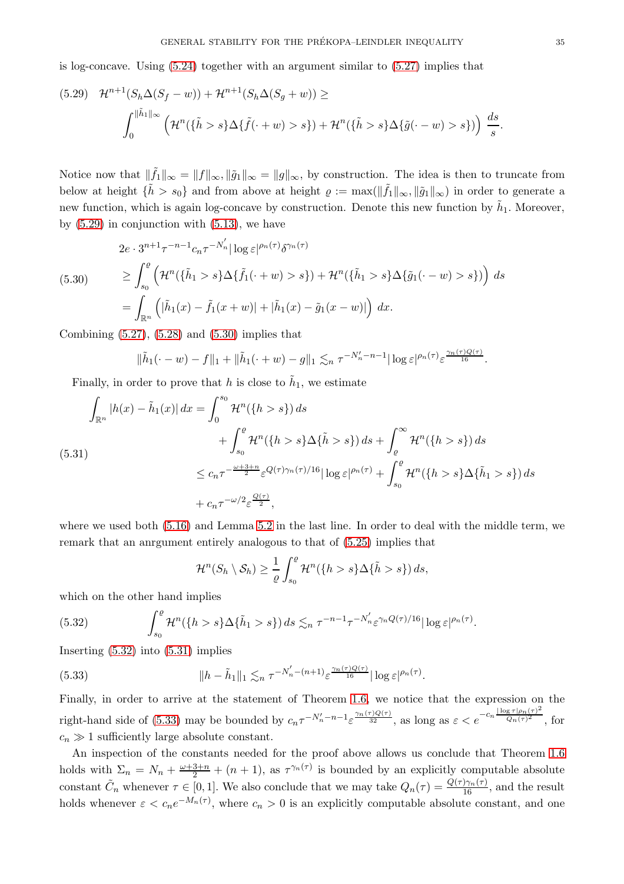is log-concave. Using [\(5.24\)](#page-32-1) together with an argument similar to [\(5.27\)](#page-33-2) implies that

<span id="page-34-0"></span>
$$
(5.29) \quad \mathcal{H}^{n+1}(S_h \Delta(S_f - w)) + \mathcal{H}^{n+1}(S_h \Delta(S_g + w)) \ge
$$

$$
\int_0^{\|\tilde{h}_1\|_{\infty}} \left( \mathcal{H}^n(\{\tilde{h} > s\} \Delta\{\tilde{f}(\cdot + w) > s\}) + \mathcal{H}^n(\{\tilde{h} > s\} \Delta\{\tilde{g}(\cdot - w) > s\}) \right) \frac{ds}{s}.
$$

Notice now that  $\|\tilde{f}_1\|_{\infty} = \|f\|_{\infty}, \|\tilde{g}_1\|_{\infty} = \|g\|_{\infty}$ , by construction. The idea is then to truncate from below at height  $\{\tilde{h} > s_0\}$  and from above at height  $\varrho := \max(||\tilde{f}_1||_{\infty}, ||\tilde{g}_1||_{\infty})$  in order to generate a new function, which is again log-concave by construction. Denote this new function by  $\tilde{h}_1$ . Moreover, by  $(5.29)$  in conjunction with  $(5.13)$ , we have

<span id="page-34-1"></span>
$$
(5.30) \quad 2e \cdot 3^{n+1} \tau^{-n-1} c_n \tau^{-N'_n} |\log \varepsilon|^{\rho_n(\tau)} \delta^{\gamma_n(\tau)}\n\geq \int_{s_0}^e \left( \mathcal{H}^n(\{\tilde{h}_1 > s\} \Delta \{\tilde{f}_1(\cdot + w) > s\}) + \mathcal{H}^n(\{\tilde{h}_1 > s\} \Delta \{\tilde{g}_1(\cdot - w) > s\}) \right) ds \n= \int_{\mathbb{R}^n} \left( |\tilde{h}_1(x) - \tilde{f}_1(x + w)| + |\tilde{h}_1(x) - \tilde{g}_1(x - w)| \right) dx.
$$

Combining  $(5.27)$ ,  $(5.28)$  and  $(5.30)$  implies that

$$
\|\tilde{h}_1(\cdot - w) - f\|_1 + \|\tilde{h}_1(\cdot + w) - g\|_1 \lesssim_n \tau^{-N'_n - n - 1} |\log \varepsilon|^{\rho_n(\tau)} \varepsilon^{\frac{\gamma_n(\tau)Q(\tau)}{16}}.
$$

Finally, in order to prove that h is close to  $\tilde{h}_1$ , we estimate

<span id="page-34-3"></span>
$$
\int_{\mathbb{R}^n} |h(x) - \tilde{h}_1(x)| dx = \int_0^{s_0} \mathcal{H}^n(\{h > s\}) ds \n+ \int_{s_0}^{\rho} \mathcal{H}^n(\{h > s\} \Delta\{\tilde{h} > s\}) ds + \int_{\rho}^{\infty} \mathcal{H}^n(\{h > s\}) ds \n\le c_n \tau^{-\frac{\omega + 3 + n}{2}} \varepsilon^{Q(\tau)\gamma_n(\tau)/16} |\log \varepsilon|^{\rho_n(\tau)} + \int_{s_0}^{\rho} \mathcal{H}^n(\{h > s\} \Delta\{\tilde{h}_1 > s\}) ds \n+ c_n \tau^{-\omega/2} \varepsilon^{\frac{Q(\tau)}{2}},
$$

where we used both [\(5.16\)](#page-30-2) and Lemma [5.2](#page-27-5) in the last line. In order to deal with the middle term, we remark that an anrgument entirely analogous to that of [\(5.25\)](#page-33-0) implies that

$$
\mathcal{H}^n(S_h \setminus S_h) \geq \frac{1}{\varrho} \int_{s_0}^{\varrho} \mathcal{H}^n(\{h > s\} \Delta\{\tilde{h} > s\}) ds,
$$

which on the other hand implies

<span id="page-34-2"></span>(5.32) 
$$
\int_{s_0}^{\varrho} \mathcal{H}^n(\lbrace h > s \rbrace \Delta \lbrace \tilde{h}_1 > s \rbrace) ds \lesssim_n \tau^{-n-1} \tau^{-N'_n} \varepsilon^{\gamma_n Q(\tau)/16} |\log \varepsilon|^{\rho_n(\tau)}.
$$

Inserting [\(5.32\)](#page-34-2) into [\(5.31\)](#page-34-3) implies

<span id="page-34-4"></span>(5.33) 
$$
\|h - \tilde{h}_1\|_1 \lesssim_n \tau^{-N'_n - (n+1)} \varepsilon^{\frac{\gamma_n(\tau)Q(\tau)}{16}} |\log \varepsilon|^{\rho_n(\tau)}.
$$

Finally, in order to arrive at the statement of Theorem [1.6,](#page-2-2) we notice that the expression on the right-hand side of [\(5.33\)](#page-34-4) may be bounded by  $c_n \tau^{-N'_n-n-1} \varepsilon^{\frac{\gamma_n(\tau)Q(\tau)}{32}}$ , as long as  $\varepsilon < e^{-c_n \frac{|\log \tau| \rho_n(\tau)^2}{Q_n(\tau)^2}}$  $\frac{Q_n(\tau)^2}{\tau}$ , for  $c_n \gg 1$  sufficiently large absolute constant.

An inspection of the constants needed for the proof above allows us conclude that Theorem [1.6](#page-2-2) holds with  $\Sigma_n = N_n + \frac{\omega + 3 + n}{2} + (n + 1)$ , as  $\tau^{\gamma_n(\tau)}$  is bounded by an explicitly computable absolute constant  $\tilde{C}_n$  whenever  $\tau \in [0,1]$ . We also conclude that we may take  $Q_n(\tau) = \frac{Q(\tau)\gamma_n(\tau)}{16}$ , and the result holds whenever  $\varepsilon < c_n e^{-M_n(\tau)}$ , where  $c_n > 0$  is an explicitly computable absolute constant, and one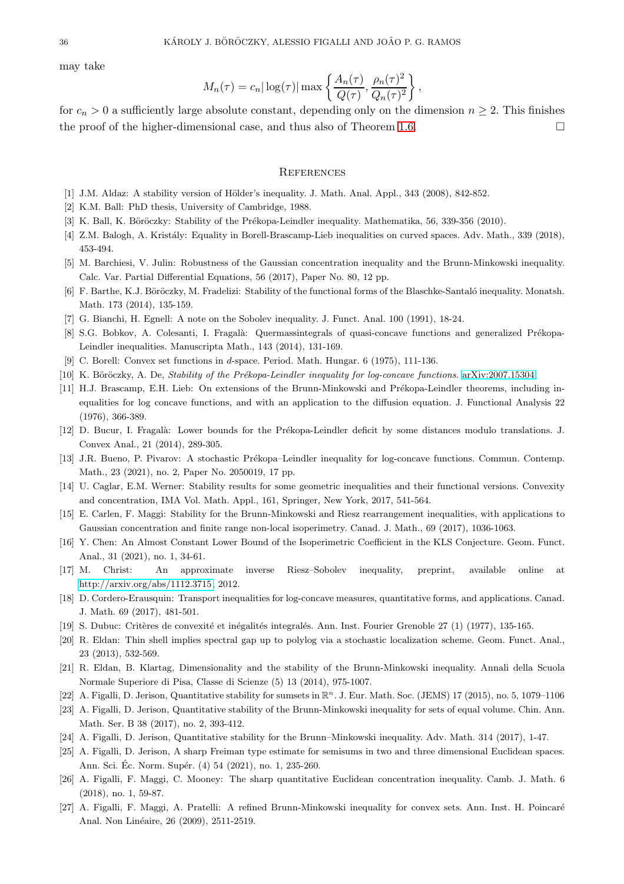may take

$$
M_n(\tau) = c_n |\log(\tau)| \max\left\{ \frac{A_n(\tau)}{Q(\tau)}, \frac{\rho_n(\tau)^2}{Q_n(\tau)^2} \right\},\,
$$

for  $c_n > 0$  a sufficiently large absolute constant, depending only on the dimension  $n \geq 2$ . This finishes the proof of the higher-dimensional case, and thus also of Theorem [1.6.](#page-2-2)  $\Box$ 

#### **REFERENCES**

- <span id="page-35-23"></span>[1] J.M. Aldaz: A stability version of Hölder's inequality. J. Math. Anal. Appl., 343 (2008), 842-852.
- <span id="page-35-20"></span>[2] K.M. Ball: PhD thesis, University of Cambridge, 1988.
- <span id="page-35-7"></span>[3] K. Ball, K. Böröczky: Stability of the Prékopa-Leindler inequality. Mathematika, 56, 339-356 (2010).
- <span id="page-35-17"></span>[4] Z.M. Balogh, A. Kristály: Equality in Borell-Brascamp-Lieb inequalities on curved spaces. Adv. Math., 339 (2018), 453-494.
- <span id="page-35-6"></span>[5] M. Barchiesi, V. Julin: Robustness of the Gaussian concentration inequality and the Brunn-Minkowski inequality. Calc. Var. Partial Differential Equations, 56 (2017), Paper No. 80, 12 pp.
- <span id="page-35-8"></span>[6] F. Barthe, K.J. Böröczky, M. Fradelizi: Stability of the functional forms of the Blaschke-Santaló inequality. Monatsh. Math. 173 (2014), 135-159.
- <span id="page-35-3"></span>[7] G. Bianchi, H. Egnell: A note on the Sobolev inequality. J. Funct. Anal. 100 (1991), 18-24.
- <span id="page-35-0"></span>[8] S.G. Bobkov, A. Colesanti, I. Fragalà: Quermassintegrals of quasi-concave functions and generalized Prékopa-Leindler inequalities. Manuscripta Math., 143 (2014), 131-169.
- <span id="page-35-21"></span>[9] C. Borell: Convex set functions in d-space. Period. Math. Hungar. 6 (1975), 111-136.
- <span id="page-35-2"></span>[10] K. Böröczky, A. De, Stability of the Prékopa-Leindler inequality for log-concave functions. [arXiv:2007.15304.](http://arxiv.org/abs/2007.15304)
- [11] H.J. Brascamp, E.H. Lieb: On extensions of the Brunn-Minkowski and Prékopa-Leindler theorems, including inequalities for log concave functions, and with an application to the diffusion equation. J. Functional Analysis 22 (1976), 366-389.
- <span id="page-35-22"></span><span id="page-35-1"></span>[12] D. Bucur, I. Fragalà: Lower bounds for the Prékopa-Leindler deficit by some distances modulo translations. J. Convex Anal., 21 (2014), 289-305.
- <span id="page-35-9"></span>[13] J.R. Bueno, P. Pivarov: A stochastic Prékopa–Leindler inequality for log-concave functions. Commun. Contemp. Math., 23 (2021), no. 2, Paper No. 2050019, 17 pp.
- [14] U. Caglar, E.M. Werner: Stability results for some geometric inequalities and their functional versions. Convexity and concentration, IMA Vol. Math. Appl., 161, Springer, New York, 2017, 541-564.
- <span id="page-35-19"></span>[15] E. Carlen, F. Maggi: Stability for the Brunn-Minkowski and Riesz rearrangement inequalities, with applications to Gaussian concentration and finite range non-local isoperimetry. Canad. J. Math., 69 (2017), 1036-1063.
- <span id="page-35-12"></span>[16] Y. Chen: An Almost Constant Lower Bound of the Isoperimetric Coefficient in the KLS Conjecture. Geom. Funct. Anal., 31 (2021), no. 1, 34-61.
- <span id="page-35-10"></span>[17] M. Christ: An approximate inverse Riesz–Sobolev inequality, preprint, available online at [http://arxiv.org/abs/1112.3715,](http://arxiv.org/abs/1112.3715) 2012.
- <span id="page-35-4"></span>[18] D. Cordero-Erausquin: Transport inequalities for log-concave measures, quantitative forms, and applications. Canad. J. Math. 69 (2017), 481-501.
- <span id="page-35-11"></span>[19] S. Dubuc: Critères de convexité et inégalités integralés. Ann. Inst. Fourier Grenoble 27 (1) (1977), 135-165.
- [20] R. Eldan: Thin shell implies spectral gap up to polylog via a stochastic localization scheme. Geom. Funct. Anal., 23 (2013), 532-569.
- <span id="page-35-14"></span>[21] R. Eldan, B. Klartag, Dimensionality and the stability of the Brunn-Minkowski inequality. Annali della Scuola Normale Superiore di Pisa, Classe di Scienze (5) 13 (2014), 975-1007.
- <span id="page-35-15"></span>[22] A. Figalli, D. Jerison, Quantitative stability for sumsets in  $\mathbb{R}^n$ . J. Eur. Math. Soc. (JEMS) 17 (2015), no. 5, 1079-1106
- [23] A. Figalli, D. Jerison, Quantitative stability of the Brunn-Minkowski inequality for sets of equal volume. Chin. Ann. Math. Ser. B 38 (2017), no. 2, 393-412.
- <span id="page-35-16"></span><span id="page-35-13"></span>[24] A. Figalli, D. Jerison, Quantitative stability for the Brunn–Minkowski inequality. Adv. Math. 314 (2017), 1-47.
- [25] A. Figalli, D. Jerison, A sharp Freiman type estimate for semisums in two and three dimensional Euclidean spaces. Ann. Sci. Éc. Norm. Supér. (4) 54 (2021), no. 1, 235-260.
- <span id="page-35-18"></span>[26] A. Figalli, F. Maggi, C. Mooney: The sharp quantitative Euclidean concentration inequality. Camb. J. Math. 6 (2018), no. 1, 59-87.
- <span id="page-35-5"></span>[27] A. Figalli, F. Maggi, A. Pratelli: A refined Brunn-Minkowski inequality for convex sets. Ann. Inst. H. Poincaré Anal. Non Linéaire, 26 (2009), 2511-2519.